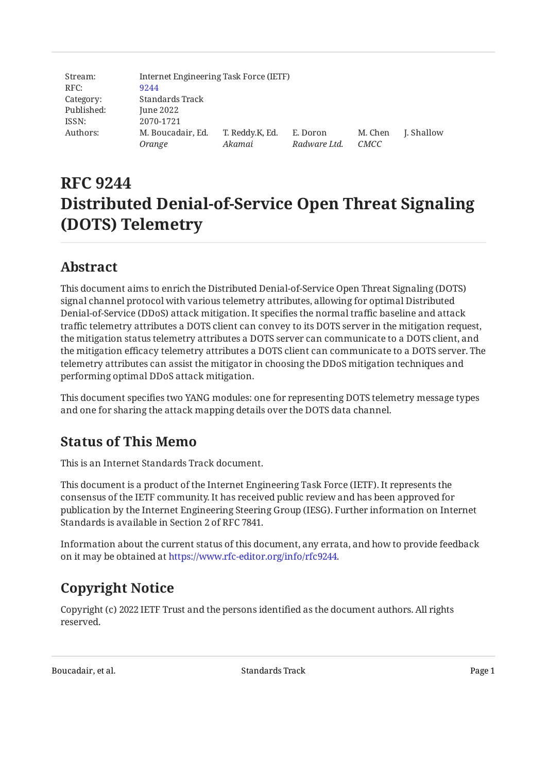| Stream:    |                   | Internet Engineering Task Force (IETF) |              |         |            |  |  |
|------------|-------------------|----------------------------------------|--------------|---------|------------|--|--|
| RFC:       | 9244              |                                        |              |         |            |  |  |
| Category:  | Standards Track   |                                        |              |         |            |  |  |
| Published: | June 2022         |                                        |              |         |            |  |  |
| ISSN:      | 2070-1721         |                                        |              |         |            |  |  |
| Authors:   | M. Boucadair, Ed. | T. Reddy.K, Ed.                        | E. Doron     | M. Chen | J. Shallow |  |  |
|            | Orange            | Akamai                                 | Radware Ltd. | CMCC    |            |  |  |

# **RFC 9244 Distributed Denial-of-Service Open Threat Signaling (DOTS) Telemetry**

## <span id="page-0-0"></span>**[Abstract](#page-0-0)**

This document aims to enrich the Distributed Denial-of-Service Open Threat Signaling (DOTS) signal channel protocol with various telemetry attributes, allowing for optimal Distributed Denial-of-Service (DDoS) attack mitigation. It specifies the normal traffic baseline and attack traffic telemetry attributes a DOTS client can convey to its DOTS server in the mitigation request, the mitigation status telemetry attributes a DOTS server can communicate to a DOTS client, and the mitigation efficacy telemetry attributes a DOTS client can communicate to a DOTS server. The telemetry attributes can assist the mitigator in choosing the DDoS mitigation techniques and performing optimal DDoS attack mitigation.

<span id="page-0-1"></span>This document specifies two YANG modules: one for representing DOTS telemetry message types and one for sharing the attack mapping details over the DOTS data channel.

## **[Status of This Memo](#page-0-1)**

This is an Internet Standards Track document.

This document is a product of the Internet Engineering Task Force (IETF). It represents the consensus of the IETF community. It has received public review and has been approved for publication by the Internet Engineering Steering Group (IESG). Further information on Internet Standards is available in Section 2 of RFC 7841.

Information about the current status of this document, any errata, and how to provide feedback on it may be obtained at [https://www.rfc-editor.org/info/rfc9244.](https://www.rfc-editor.org/info/rfc9244)

## <span id="page-0-2"></span>**[Copyright Notice](#page-0-2)**

Copyright (c) 2022 IETF Trust and the persons identified as the document authors. All rights reserved.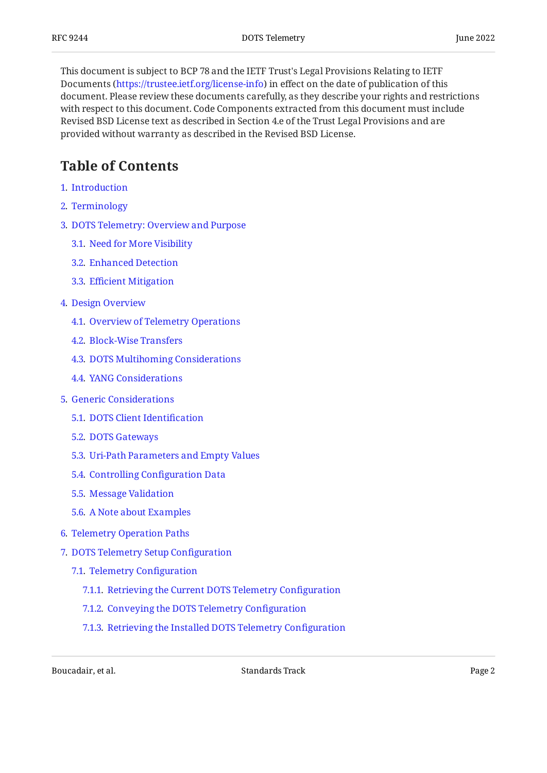This document is subject to BCP 78 and the IETF Trust's Legal Provisions Relating to IETF Documents (<https://trustee.ietf.org/license-info>) in effect on the date of publication of this document. Please review these documents carefully, as they describe your rights and restrictions with respect to this document. Code Components extracted from this document must include Revised BSD License text as described in Section 4.e of the Trust Legal Provisions and are provided without warranty as described in the Revised BSD License.

## <span id="page-1-0"></span>**[Table of Contents](#page-1-0)**

- [1](#page-3-0). [Introduction](#page-3-0)
- [2](#page-5-0). [Terminology](#page-5-0)
- [3](#page-6-0). [DOTS Telemetry: Overview and Purpose](#page-6-0)
	- [3.1.](#page-6-1) [Need for More Visibility](#page-6-1)
	- [3.2.](#page-7-0) [Enhanced Detection](#page-7-0)
	- [3.3.](#page-8-0) Effi[cient Mitigation](#page-8-0)
- [4](#page-9-0). [Design Overview](#page-9-0)
	- [4.1.](#page-9-1) [Overview of Telemetry Operations](#page-9-1)
	- [4.2.](#page-10-0) [Block-Wise Transfers](#page-10-0)
	- [4.3.](#page-10-1) [DOTS Multihoming Considerations](#page-10-1)
	- [4.4.](#page-10-2) [YANG Considerations](#page-10-2)
- [5](#page-12-0). [Generic Considerations](#page-12-0)
	- [5.1.](#page-12-1) [DOTS Client Identi](#page-12-1)fication
	- [5.2.](#page-12-2) [DOTS Gateways](#page-12-2)
	- [5.3.](#page-12-3) [Uri-Path Parameters and Empty Values](#page-12-3)
	- [5.4.](#page-12-4) [Controlling Con](#page-12-4)figuration Data
	- [5.5.](#page-12-5) [Message Validation](#page-12-5)
	- [5.6.](#page-12-6) [A Note about Examples](#page-12-6)
- [6](#page-13-0). [Telemetry Operation Paths](#page-13-0)
- [7](#page-14-0). [DOTS Telemetry Setup Con](#page-14-0)figuration
	- [7.1.](#page-14-1) [Telemetry Con](#page-14-1)figuration
		- [7.1.1](#page-15-0). [Retrieving the Current DOTS Telemetry Con](#page-15-0)figuration
		- [7.1.2](#page-17-0). [Conveying the DOTS Telemetry Con](#page-17-0)figuration
		- [7.1.3](#page-20-0). [Retrieving the Installed DOTS Telemetry Con](#page-20-0)figuration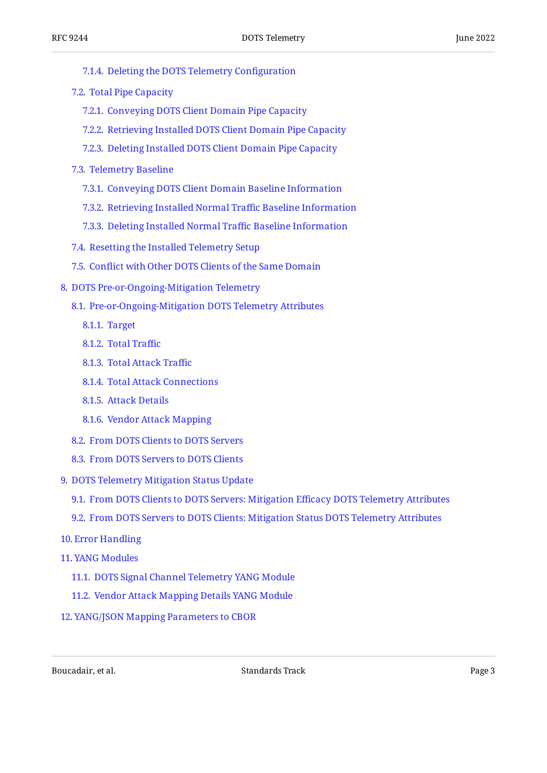- [7.1.4](#page-20-1). [Deleting the DOTS Telemetry Con](#page-20-1)figuration
- [7.2.](#page-21-0) [Total Pipe Capacity](#page-21-0)
	- [7.2.1](#page-22-0). [Conveying DOTS Client Domain Pipe Capacity](#page-22-0)
	- [7.2.2](#page-26-0). [Retrieving Installed DOTS Client Domain Pipe Capacity](#page-26-0)
	- [7.2.3](#page-27-0). [Deleting Installed DOTS Client Domain Pipe Capacity](#page-27-0)
- [7.3.](#page-27-1) [Telemetry Baseline](#page-27-1)
	- [7.3.1](#page-30-0). [Conveying DOTS Client Domain Baseline Information](#page-30-0)
	- [7.3.2](#page-32-0). [Retrieving Installed Normal Tra](#page-32-0)ffic Baseline Information
	- [7.3.3](#page-33-0). [Deleting Installed Normal Tra](#page-33-0)ffic Baseline Information
- [7.4.](#page-33-1) [Resetting the Installed Telemetry Setup](#page-33-1)
- [7.5.](#page-33-2) Confl[ict with Other DOTS Clients of the Same Domain](#page-33-2)
- [8](#page-33-3). [DOTS Pre-or-Ongoing-Mitigation Telemetry](#page-33-3)
	- [8.1.](#page-35-0) [Pre-or-Ongoing-Mitigation DOTS Telemetry Attributes](#page-35-0)
		- [8.1.1](#page-36-0). [Target](#page-36-0)
		- [8.1.2](#page-37-0). [Total Tra](#page-37-0)ffic
		- [8.1.3](#page-38-0). [Total Attack Tra](#page-38-0)ffic
		- [8.1.4](#page-40-0). [Total Attack Connections](#page-40-0)
		- [8.1.5](#page-42-0). [Attack Details](#page-42-0)
		- [8.1.6](#page-45-0). [Vendor Attack Mapping](#page-45-0)
	- [8.2.](#page-49-0) [From DOTS Clients to DOTS Servers](#page-49-0)
	- [8.3.](#page-52-0) [From DOTS Servers to DOTS Clients](#page-52-0)
- [9](#page-56-0). [DOTS Telemetry Mitigation Status Update](#page-56-0)
	- [9.1.](#page-56-1) [From DOTS Clients to DOTS Servers: Mitigation E](#page-56-1)fficacy DOTS Telemetry Attributes
	- [9.2.](#page-58-0) [From DOTS Servers to DOTS Clients: Mitigation Status DOTS Telemetry Attributes](#page-58-0)
- [10](#page-63-0). [Error Handling](#page-63-0)
- [11](#page-63-1). [YANG Modules](#page-63-1)
	- [11.1.](#page-63-2) [DOTS Signal Channel Telemetry YANG Module](#page-63-2)
	- [11.2.](#page-89-0) [Vendor Attack Mapping Details YANG Module](#page-89-0)
- [12](#page-92-0). [YANG/JSON Mapping Parameters to CBOR](#page-92-0)

Boucadair, et al. The contract of the Standards Track Contract Page 3 and 2011 11: The contract Page 3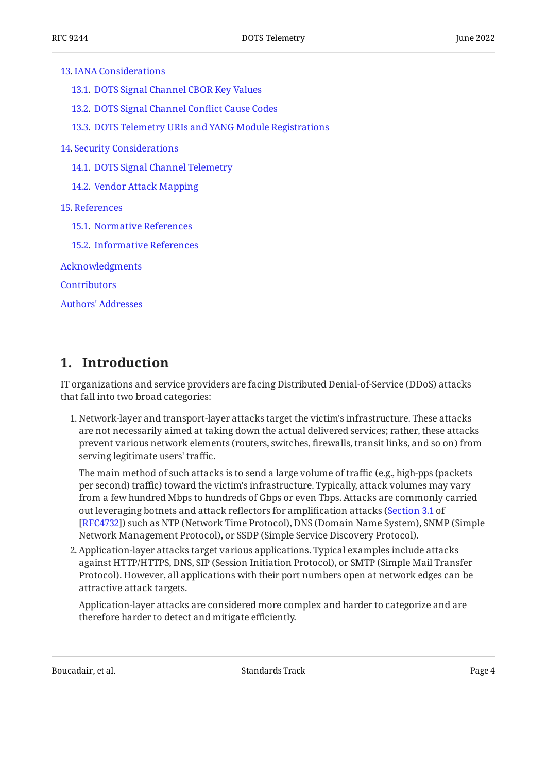- [13.1.](#page-97-1) [DOTS Signal Channel CBOR Key Values](#page-97-1)
- [13.2.](#page-100-0) [DOTS Signal Channel Con](#page-100-0)flict Cause Codes
- [13.3.](#page-101-0) [DOTS Telemetry URIs and YANG Module Registrations](#page-101-0)
- [14](#page-101-1). [Security Considerations](#page-101-1)
	- [14.1.](#page-101-2) [DOTS Signal Channel Telemetry](#page-101-2)
	- [14.2.](#page-102-0) [Vendor Attack Mapping](#page-102-0)

#### [15](#page-103-0). [References](#page-103-0)

- [15.1.](#page-103-1) [Normative References](#page-103-1)
- [15.2.](#page-104-0) [Informative References](#page-104-0)

[Acknowledgments](#page-106-0)

**[Contributors](#page-106-1)** 

[Authors' Addresses](#page-107-0)

## <span id="page-3-0"></span>**[1. Introduction](#page-3-0)**

IT organizations and service providers are facing Distributed Denial-of-Service (DDoS) attacks that fall into two broad categories:

1. Network-layer and transport-layer attacks target the victim's infrastructure. These attacks are not necessarily aimed at taking down the actual delivered services; rather, these attacks prevent various network elements (routers, switches, firewalls, transit links, and so on) from serving legitimate users' traffic.

The main method of such attacks is to send a large volume of traffic (e.g., high-pps (packets per second) traffic) toward the victim's infrastructure. Typically, attack volumes may vary from a few hundred Mbps to hundreds of Gbps or even Tbps. Attacks are commonly carried out leveraging botnets and attack reflectors for amplification attacks ( [Section 3.1](https://www.rfc-editor.org/rfc/rfc4732#section-3.1) of [[RFC4732\]](#page-105-0)) such as NTP (Network Time Protocol), DNS (Domain Name System), SNMP (Simple Network Management Protocol), or SSDP (Simple Service Discovery Protocol).

Application-layer attacks target various applications. Typical examples include attacks 2. against HTTP/HTTPS, DNS, SIP (Session Initiation Protocol), or SMTP (Simple Mail Transfer Protocol). However, all applications with their port numbers open at network edges can be attractive attack targets.

Application-layer attacks are considered more complex and harder to categorize and are therefore harder to detect and mitigate efficiently.

Boucadair, et al. The contract of the Standards Track Contract Page 4 and 2012 11: The contract of the Page 4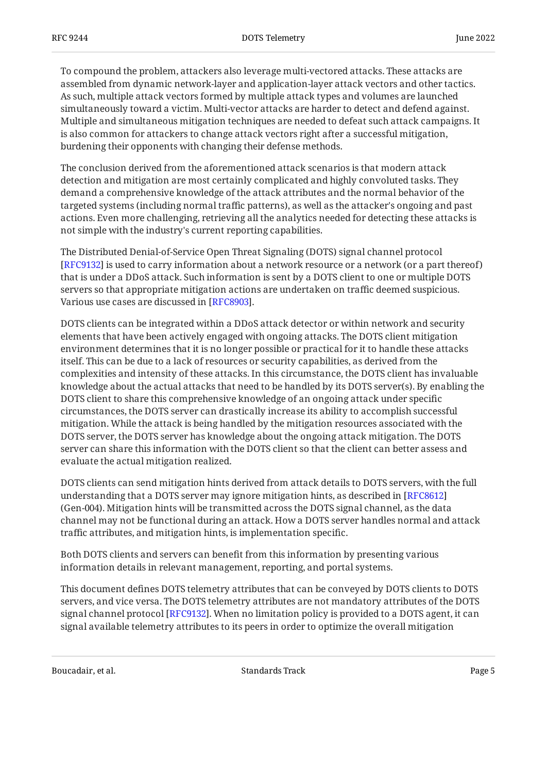To compound the problem, attackers also leverage multi-vectored attacks. These attacks are assembled from dynamic network-layer and application-layer attack vectors and other tactics. As such, multiple attack vectors formed by multiple attack types and volumes are launched simultaneously toward a victim. Multi-vector attacks are harder to detect and defend against. Multiple and simultaneous mitigation techniques are needed to defeat such attack campaigns. It is also common for attackers to change attack vectors right after a successful mitigation, burdening their opponents with changing their defense methods.

The conclusion derived from the aforementioned attack scenarios is that modern attack detection and mitigation are most certainly complicated and highly convoluted tasks. They demand a comprehensive knowledge of the attack attributes and the normal behavior of the targeted systems (including normal traffic patterns), as well as the attacker's ongoing and past actions. Even more challenging, retrieving all the analytics needed for detecting these attacks is not simple with the industry's current reporting capabilities.

The Distributed Denial-of-Service Open Threat Signaling (DOTS) signal channel protocol [[RFC9132\]](#page-104-1) is used to carry information about a network resource or a network (or a part thereof) that is under a DDoS attack. Such information is sent by a DOTS client to one or multiple DOTS servers so that appropriate mitigation actions are undertaken on traffic deemed suspicious. Various use cases are discussed in [RFC8903].

DOTS clients can be integrated within a DDoS attack detector or within network and security elements that have been actively engaged with ongoing attacks. The DOTS client mitigation environment determines that it is no longer possible or practical for it to handle these attacks itself. This can be due to a lack of resources or security capabilities, as derived from the complexities and intensity of these attacks. In this circumstance, the DOTS client has invaluable knowledge about the actual attacks that need to be handled by its DOTS server(s). By enabling the DOTS client to share this comprehensive knowledge of an ongoing attack under specific circumstances, the DOTS server can drastically increase its ability to accomplish successful mitigation. While the attack is being handled by the mitigation resources associated with the DOTS server, the DOTS server has knowledge about the ongoing attack mitigation. The DOTS server can share this information with the DOTS client so that the client can better assess and evaluate the actual mitigation realized.

DOTS clients can send mitigation hints derived from attack details to DOTS servers, with the full understanding that a DOTS server may ignore mitigation hints, as described in [\[RFC8612\]](#page-105-1) (Gen-004). Mitigation hints will be transmitted across the DOTS signal channel, as the data channel may not be functional during an attack. How a DOTS server handles normal and attack traffic attributes, and mitigation hints, is implementation specific.

Both DOTS clients and servers can benefit from this information by presenting various information details in relevant management, reporting, and portal systems.

This document defines DOTS telemetry attributes that can be conveyed by DOTS clients to DOTS servers, and vice versa. The DOTS telemetry attributes are not mandatory attributes of the DOTS signal channel protocol [RFC9132]. When no limitation policy is provided to a DOTS agent, it can signal available telemetry attributes to its peers in order to optimize the overall mitigation

Boucadair, et al. Standards Track Page 5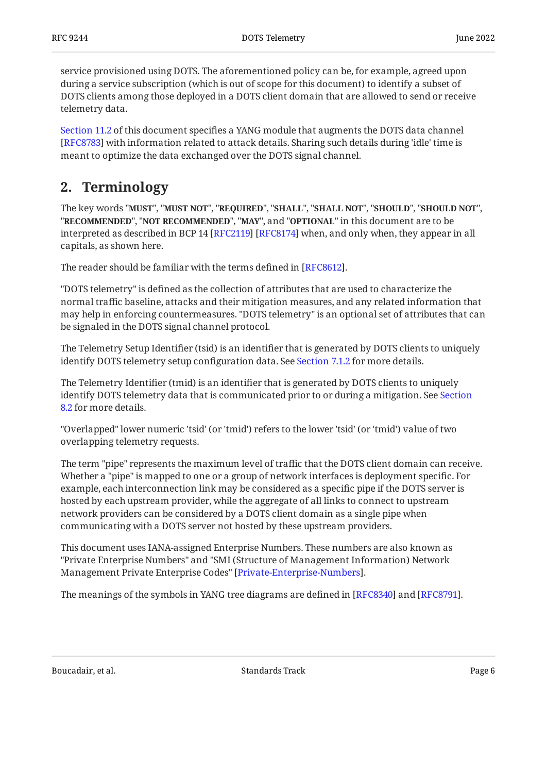service provisioned using DOTS. The aforementioned policy can be, for example, agreed upon during a service subscription (which is out of scope for this document) to identify a subset of DOTS clients among those deployed in a DOTS client domain that are allowed to send or receive telemetry data.

[Section 11.2](#page-89-0) of this document specifies a YANG module that augments the DOTS data channel [[RFC8783\]](#page-104-2) with information related to attack details. Sharing such details during 'idle' time is meant to optimize the data exchanged over the DOTS signal channel.

## <span id="page-5-0"></span>**[2. Terminology](#page-5-0)**

The key words "MUST", "MUST NOT", "REQUIRED", "SHALL", "SHALL NOT", "SHOULD", "SHOULD NOT", "**RECOMMENDED", "NOT RECOMMENDED", "MAY",** and "OPTIONAL" in this document are to be interpreted as described in BCP 14 [RFC2119] [RFC8174] when, and only when, they appear in all capitals, as shown here.

The reader should be familiar with the terms defined in [RFC8612].

"DOTS telemetry" is defined as the collection of attributes that are used to characterize the normal traffic baseline, attacks and their mitigation measures, and any related information that may help in enforcing countermeasures. "DOTS telemetry" is an optional set of attributes that can be signaled in the DOTS signal channel protocol.

The Telemetry Setup Identifier (tsid) is an identifier that is generated by DOTS clients to uniquely identify DOTS telemetry setup configuration data. See [Section 7.1.2](#page-17-0) for more details.

The Telemetry Identifier (tmid) is an identifier that is generated by DOTS clients to uniquely identify DOTS telemetry data that is communicated prior to or during a mitigation. See [Section](#page-49-0) [8.2](#page-49-0) for more details.

"Overlapped" lower numeric 'tsid' (or 'tmid') refers to the lower 'tsid' (or 'tmid') value of two overlapping telemetry requests.

The term "pipe" represents the maximum level of traffic that the DOTS client domain can receive. Whether a "pipe" is mapped to one or a group of network interfaces is deployment specific. For example, each interconnection link may be considered as a specific pipe if the DOTS server is hosted by each upstream provider, while the aggregate of all links to connect to upstream network providers can be considered by a DOTS client domain as a single pipe when communicating with a DOTS server not hosted by these upstream providers.

This document uses IANA-assigned Enterprise Numbers. These numbers are also known as "Private Enterprise Numbers" and "SMI (Structure of Management Information) Network Management Private Enterprise Codes" [[Private-Enterprise-Numbers\]](#page-103-3).

The meanings of the symbols in YANG tree diagrams are defined in [[RFC8340\]](#page-105-2) and [\[RFC8791\]](#page-104-4).

Boucadair, et al. The contract of the Standards Track Contract Page 6 and 2012 12:30 For the contract Page 6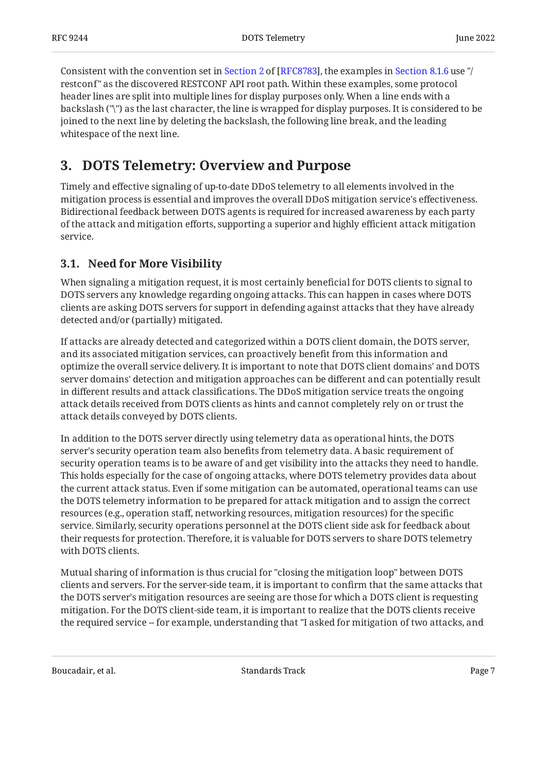Consistentwith the convention set in Section 2 of [RFC8783], the examples in [Section 8.1.6](#page-45-0) use "/ restconf" as the discovered RESTCONF API root path. Within these examples, some protocol header lines are split into multiple lines for display purposes only. When a line ends with a backslash ("\") as the last character, the line is wrapped for display purposes. It is considered to be joined to the next line by deleting the backslash, the following line break, and the leading whitespace of the next line.

## <span id="page-6-0"></span>**[3. DOTS Telemetry: Overview and Purpose](#page-6-0)**

Timely and effective signaling of up-to-date DDoS telemetry to all elements involved in the mitigation process is essential and improves the overall DDoS mitigation service's effectiveness. Bidirectional feedback between DOTS agents is required for increased awareness by each party of the attack and mitigation efforts, supporting a superior and highly efficient attack mitigation service.

## <span id="page-6-1"></span>**[3.1. Need for More Visibility](#page-6-1)**

When signaling a mitigation request, it is most certainly beneficial for DOTS clients to signal to DOTS servers any knowledge regarding ongoing attacks. This can happen in cases where DOTS clients are asking DOTS servers for support in defending against attacks that they have already detected and/or (partially) mitigated.

If attacks are already detected and categorized within a DOTS client domain, the DOTS server, and its associated mitigation services, can proactively benefit from this information and optimize the overall service delivery. It is important to note that DOTS client domains' and DOTS server domains' detection and mitigation approaches can be different and can potentially result in different results and attack classifications. The DDoS mitigation service treats the ongoing attack details received from DOTS clients as hints and cannot completely rely on or trust the attack details conveyed by DOTS clients.

In addition to the DOTS server directly using telemetry data as operational hints, the DOTS server's security operation team also benefits from telemetry data. A basic requirement of security operation teams is to be aware of and get visibility into the attacks they need to handle. This holds especially for the case of ongoing attacks, where DOTS telemetry provides data about the current attack status. Even if some mitigation can be automated, operational teams can use the DOTS telemetry information to be prepared for attack mitigation and to assign the correct resources (e.g., operation staff, networking resources, mitigation resources) for the specific service. Similarly, security operations personnel at the DOTS client side ask for feedback about their requests for protection. Therefore, it is valuable for DOTS servers to share DOTS telemetry with DOTS clients.

Mutual sharing of information is thus crucial for "closing the mitigation loop" between DOTS clients and servers. For the server-side team, it is important to confirm that the same attacks that the DOTS server's mitigation resources are seeing are those for which a DOTS client is requesting mitigation. For the DOTS client-side team, it is important to realize that the DOTS clients receive the required service -- for example, understanding that "I asked for mitigation of two attacks, and

Boucadair, et al. Standards Track Page 7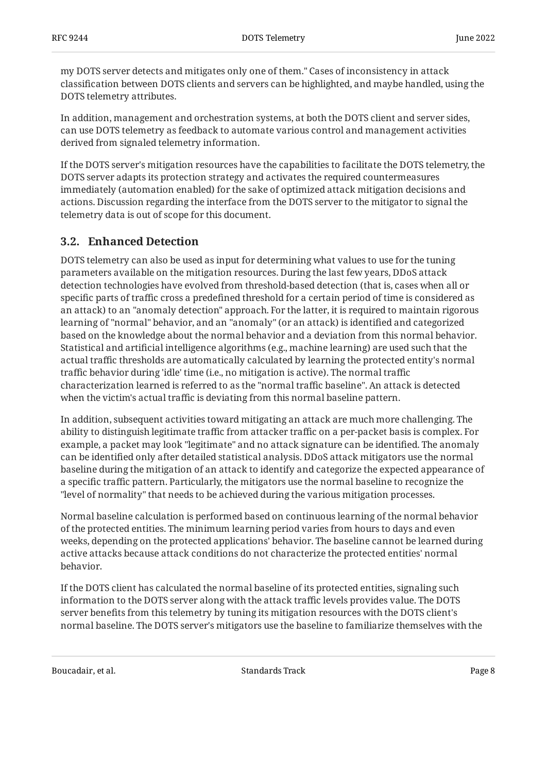my DOTS server detects and mitigates only one of them." Cases of inconsistency in attack classification between DOTS clients and servers can be highlighted, and maybe handled, using the DOTS telemetry attributes.

In addition, management and orchestration systems, at both the DOTS client and server sides, can use DOTS telemetry as feedback to automate various control and management activities derived from signaled telemetry information.

If the DOTS server's mitigation resources have the capabilities to facilitate the DOTS telemetry, the DOTS server adapts its protection strategy and activates the required countermeasures immediately (automation enabled) for the sake of optimized attack mitigation decisions and actions. Discussion regarding the interface from the DOTS server to the mitigator to signal the telemetry data is out of scope for this document.

## <span id="page-7-0"></span>**[3.2. Enhanced Detection](#page-7-0)**

DOTS telemetry can also be used as input for determining what values to use for the tuning parameters available on the mitigation resources. During the last few years, DDoS attack detection technologies have evolved from threshold-based detection (that is, cases when all or specific parts of traffic cross a predefined threshold for a certain period of time is considered as an attack) to an "anomaly detection" approach. For the latter, it is required to maintain rigorous learning of "normal" behavior, and an "anomaly" (or an attack) is identified and categorized based on the knowledge about the normal behavior and a deviation from this normal behavior. Statistical and artificial intelligence algorithms (e.g., machine learning) are used such that the actual traffic thresholds are automatically calculated by learning the protected entity's normal traffic behavior during 'idle' time (i.e., no mitigation is active). The normal traffic characterization learned is referred to as the "normal traffic baseline". An attack is detected when the victim's actual traffic is deviating from this normal baseline pattern.

In addition, subsequent activities toward mitigating an attack are much more challenging. The ability to distinguish legitimate traffic from attacker traffic on a per-packet basis is complex. For example, a packet may look "legitimate" and no attack signature can be identified. The anomaly can be identified only after detailed statistical analysis. DDoS attack mitigators use the normal baseline during the mitigation of an attack to identify and categorize the expected appearance of a specific traffic pattern. Particularly, the mitigators use the normal baseline to recognize the "level of normality" that needs to be achieved during the various mitigation processes.

Normal baseline calculation is performed based on continuous learning of the normal behavior of the protected entities. The minimum learning period varies from hours to days and even weeks, depending on the protected applications' behavior. The baseline cannot be learned during active attacks because attack conditions do not characterize the protected entities' normal behavior.

If the DOTS client has calculated the normal baseline of its protected entities, signaling such information to the DOTS server along with the attack traffic levels provides value. The DOTS server benefits from this telemetry by tuning its mitigation resources with the DOTS client's normal baseline. The DOTS server's mitigators use the baseline to familiarize themselves with the

Boucadair, et al. Standards Track Page 8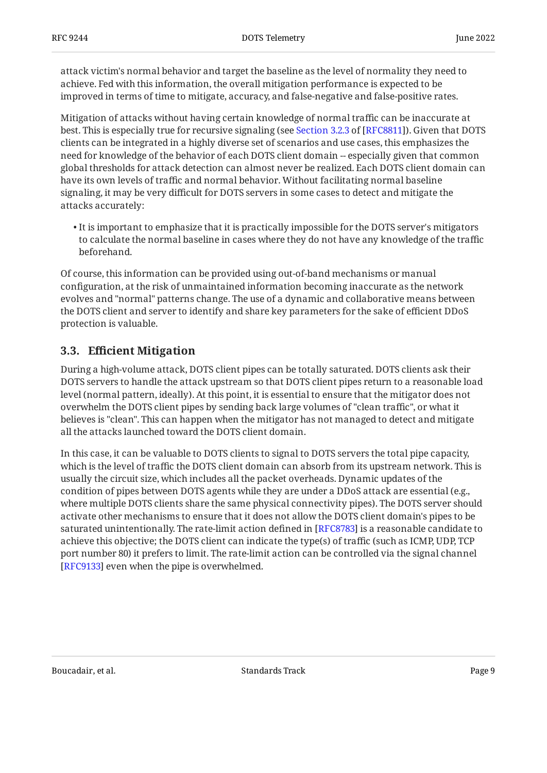attack victim's normal behavior and target the baseline as the level of normality they need to achieve. Fed with this information, the overall mitigation performance is expected to be improved in terms of time to mitigate, accuracy, and false-negative and false-positive rates.

Mitigation of attacks without having certain knowledge of normal traffic can be inaccurate at best.This is especially true for recursive signaling (see Section 3.2.3 of [RFC8811]). Given that DOTS clients can be integrated in a highly diverse set of scenarios and use cases, this emphasizes the need for knowledge of the behavior of each DOTS client domain -- especially given that common global thresholds for attack detection can almost never be realized. Each DOTS client domain can have its own levels of traffic and normal behavior. Without facilitating normal baseline signaling, it may be very difficult for DOTS servers in some cases to detect and mitigate the attacks accurately:

 $\bullet$  It is important to emphasize that it is practically impossible for the DOTS server's mitigators to calculate the normal baseline in cases where they do not have any knowledge of the traffic beforehand.

Of course, this information can be provided using out-of-band mechanisms or manual configuration, at the risk of unmaintained information becoming inaccurate as the network evolves and "normal" patterns change. The use of a dynamic and collaborative means between the DOTS client and server to identify and share key parameters for the sake of efficient DDoS protection is valuable.

### <span id="page-8-0"></span>**[3.3. E](#page-8-0)ffi[cient Mitigation](#page-8-0)**

During a high-volume attack, DOTS client pipes can be totally saturated. DOTS clients ask their DOTS servers to handle the attack upstream so that DOTS client pipes return to a reasonable load level (normal pattern, ideally). At this point, it is essential to ensure that the mitigator does not overwhelm the DOTS client pipes by sending back large volumes of "clean traffic", or what it believes is "clean". This can happen when the mitigator has not managed to detect and mitigate all the attacks launched toward the DOTS client domain.

In this case, it can be valuable to DOTS clients to signal to DOTS servers the total pipe capacity, which is the level of traffic the DOTS client domain can absorb from its upstream network. This is usually the circuit size, which includes all the packet overheads. Dynamic updates of the condition of pipes between DOTS agents while they are under a DDoS attack are essential (e.g., where multiple DOTS clients share the same physical connectivity pipes). The DOTS server should activate other mechanisms to ensure that it does not allow the DOTS client domain's pipes to be saturated unintentionally. The rate-limit action defined in [\[RFC8783](#page-104-2)] is a reasonable candidate to achieve this objective; the DOTS client can indicate the type(s) of traffic (such as ICMP, UDP, TCP port number 80) it prefers to limit. The rate-limit action can be controlled via the signal channel [[RFC9133\]](#page-106-3) even when the pipe is overwhelmed.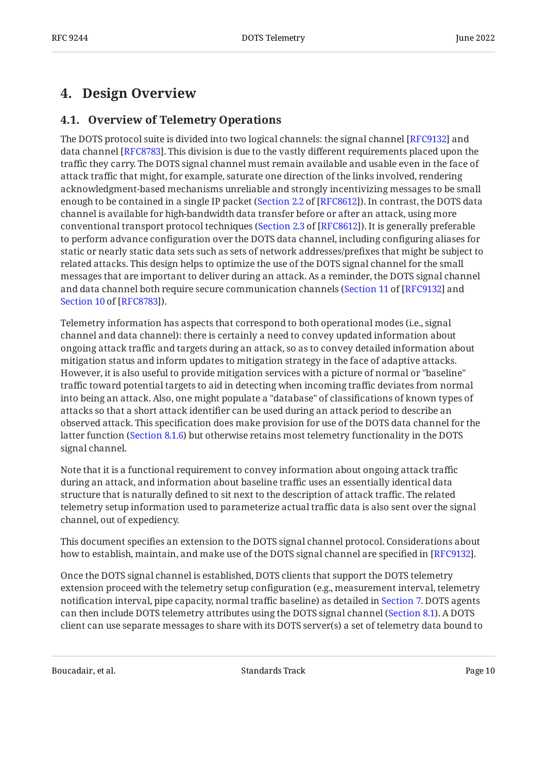## <span id="page-9-1"></span><span id="page-9-0"></span>**[4. Design Overview](#page-9-0)**

### **[4.1. Overview of Telemetry Operations](#page-9-1)**

The DOTS protocol suite is divided into two logical channels: the signal channel [\[RFC9132\]](#page-104-1) and data channel [RFC8783]. This division is due to the vastly different requirements placed upon the traffic they carry. The DOTS signal channel must remain available and usable even in the face of attack traffic that might, for example, saturate one direction of the links involved, rendering acknowledgment-based mechanisms unreliable and strongly incentivizing messages to be small enough to be contained in a single IP packet ([Section 2.2](https://www.rfc-editor.org/rfc/rfc8612#section-2.2) of [[RFC8612\]](#page-105-1)). In contrast, the DOTS data channel is available for high-bandwidth data transfer before or after an attack, using more conventional transport protocol techniques ([Section 2.3](https://www.rfc-editor.org/rfc/rfc8612#section-2.3) of [\[RFC8612](#page-105-1)]). It is generally preferable to perform advance configuration over the DOTS data channel, including configuring aliases for static or nearly static data sets such as sets of network addresses/prefixes that might be subject to related attacks. This design helps to optimize the use of the DOTS signal channel for the small messages that are important to deliver during an attack. As a reminder, the DOTS signal channel and data channel both require secure communication channels (Section 11 of [RFC9132] and ). [Section 10](https://www.rfc-editor.org/rfc/rfc8783#section-10) of [[RFC8783\]](#page-104-2)

Telemetry information has aspects that correspond to both operational modes (i.e., signal channel and data channel): there is certainly a need to convey updated information about ongoing attack traffic and targets during an attack, so as to convey detailed information about mitigation status and inform updates to mitigation strategy in the face of adaptive attacks. However, it is also useful to provide mitigation services with a picture of normal or "baseline" traffic toward potential targets to aid in detecting when incoming traffic deviates from normal into being an attack. Also, one might populate a "database" of classifications of known types of attacks so that a short attack identifier can be used during an attack period to describe an observed attack. This specification does make provision for use of the DOTS data channel for the latter function ([Section 8.1.6\)](#page-45-0) but otherwise retains most telemetry functionality in the DOTS signal channel.

Note that it is a functional requirement to convey information about ongoing attack traffic during an attack, and information about baseline traffic uses an essentially identical data structure that is naturally defined to sit next to the description of attack traffic. The related telemetry setup information used to parameterize actual traffic data is also sent over the signal channel, out of expediency.

This document specifies an extension to the DOTS signal channel protocol. Considerations about how to establish, maintain, and make use of the DOTS signal channel are specified in [\[RFC9132](#page-104-1)].

Once the DOTS signal channel is established, DOTS clients that support the DOTS telemetry extension proceed with the telemetry setup configuration (e.g., measurement interval, telemetry notification interval, pipe capacity, normal traffic baseline) as detailed in [Section 7](#page-14-0). DOTS agents can then include DOTS telemetry attributes using the DOTS signal channel ([Section 8.1](#page-35-0)). A DOTS client can use separate messages to share with its DOTS server(s) a set of telemetry data bound to

Boucadair, et al. The contract of the Standards Track Page 10 and the Page 10 and the Page 10 and the Page 10 and the Page 10 and the Page 10 and the Page 10 and the Page 10 and the Page 10 and the Page 10 and the Page 10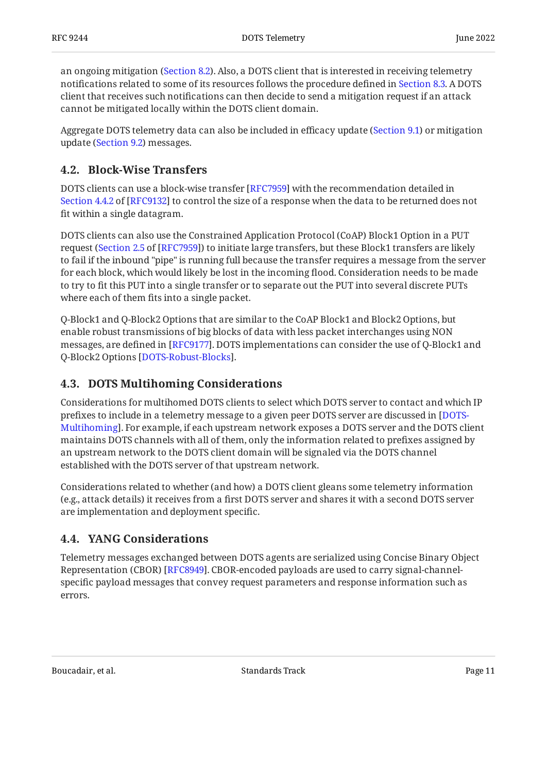an ongoing mitigation [\(Section 8.2](#page-49-0)). Also, a DOTS client that is interested in receiving telemetry notifications related to some of its resources follows the procedure defined in [Section 8.3](#page-52-0). A DOTS client that receives such notifications can then decide to send a mitigation request if an attack cannot be mitigated locally within the DOTS client domain.

Aggregate DOTS telemetry data can also be included in efficacy update [\(Section 9.1](#page-56-1)) or mitigation update ([Section 9.2](#page-58-0)) messages.

## <span id="page-10-0"></span>**[4.2. Block-Wise Transfers](#page-10-0)**

DOTS clients can use a block-wise transfer [RFC7959] with the recommendation detailed in [Section 4.4.2](https://www.rfc-editor.org/rfc/rfc9132#section-4.4.2) of [[RFC9132\]](#page-104-1) to control the size of a response when the data to be returned does not fit within a single datagram.

DOTS clients can also use the Constrained Application Protocol (CoAP) Block1 Option in a PUT request ([Section 2.5](https://www.rfc-editor.org/rfc/rfc7959#section-2.5) of [\[RFC7959](#page-104-5)]) to initiate large transfers, but these Block1 transfers are likely to fail if the inbound "pipe" is running full because the transfer requires a message from the server for each block, which would likely be lost in the incoming flood. Consideration needs to be made to try to fit this PUT into a single transfer or to separate out the PUT into several discrete PUTs where each of them fits into a single packet.

Q-Block1 and Q-Block2 Options that are similar to the CoAP Block1 and Block2 Options, but enable robust transmissions of big blocks of data with less packet interchanges using NON messages, are defined in [\[RFC9177](#page-106-4)]. DOTS implementations can consider the use of Q-Block1 and Q-Block2 Options [\[DOTS-Robust-Blocks](#page-105-4)].

## <span id="page-10-1"></span>**[4.3. DOTS Multihoming Considerations](#page-10-1)**

Considerations for multihomed DOTS clients to select which DOTS server to contact and which IP prefixes to include in a telemetry message to a given peer DOTS server are discussed in [\[DOTS-](#page-105-5)[Multihoming](#page-105-5)]. For example, if each upstream network exposes a DOTS server and the DOTS client maintains DOTS channels with all of them, only the information related to prefixes assigned by an upstream network to the DOTS client domain will be signaled via the DOTS channel established with the DOTS server of that upstream network.

Considerations related to whether (and how) a DOTS client gleans some telemetry information (e.g., attack details) it receives from a first DOTS server and shares it with a second DOTS server are implementation and deployment specific.

## <span id="page-10-2"></span>**[4.4. YANG Considerations](#page-10-2)**

Telemetry messages exchanged between DOTS agents are serialized using Concise Binary Object Representation (CBOR) [RFC8949]. CBOR-encoded payloads are used to carry signal-channelspecific payload messages that convey request parameters and response information such as errors.

Boucadair, et al. The contract of the Standards Track Contract Page 11 and 2012 11 and 2012 12:30 Page 11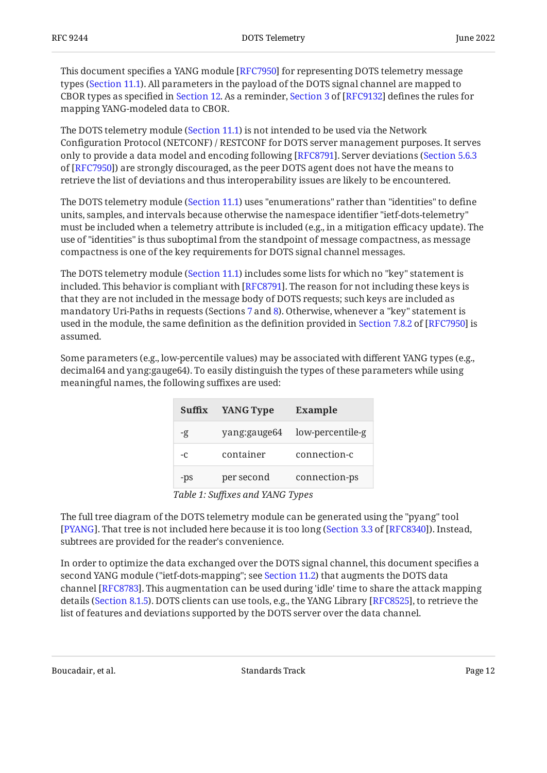This document specifies a YANG module [RFC7950] for representing DOTS telemetry message types [\(Section 11.1\)](#page-63-2). All parameters in the payload of the DOTS signal channel are mapped to CBOR types as specified in [Section 12.](#page-92-0)As a reminder, Section 3 of [RFC9132] defines the rules for mapping YANG-modeled data to CBOR.

The DOTS telemetry module ([Section 11.1\)](#page-63-2) is not intended to be used via the Network Configuration Protocol (NETCONF) / RESTCONF for DOTS server management purposes. It serves only to provide a data model and encoding following [RFC8791]. Server deviations ([Section 5.6.3](https://www.rfc-editor.org/rfc/rfc7950#section-5.6.3) of [[RFC7950\]](#page-104-7)) are strongly discouraged, as the peer DOTS agent does not have the means to retrieve the list of deviations and thus interoperability issues are likely to be encountered.

The DOTS telemetry module ([Section 11.1\)](#page-63-2) uses "enumerations" rather than "identities" to define units, samples, and intervals because otherwise the namespace identifier "ietf-dots-telemetry" must be included when a telemetry attribute is included (e.g., in a mitigation efficacy update). The use of "identities" is thus suboptimal from the standpoint of message compactness, as message compactness is one of the key requirements for DOTS signal channel messages.

The DOTS telemetry module ([Section 11.1\)](#page-63-2) includes some lists for which no "key" statement is included. This behavior is compliant with [ $\mathrm{RFC}$ 8791]. The reason for not including these keys is that they are not included in the message body of DOTS requests; such keys are included as mandatory Uri-Paths in requests (Sections [7](#page-14-0) and [8\)](#page-33-3). Otherwise, whenever a "key" statement is usedin the module, the same definition as the definition provided in Section 7.8.2 of [RFC7950] is assumed.

<span id="page-11-1"></span>Some parameters (e.g., low-percentile values) may be associated with different YANG types (e.g., decimal64 and yang:gauge64). To easily distinguish the types of these parameters while using meaningful names, the following suffixes are used:

<span id="page-11-0"></span>

| Suffix | <b>YANG Type</b> | <b>Example</b>   |
|--------|------------------|------------------|
| -g     | yang:gauge64     | low-percentile-g |
| $-c$   | container        | connection-c     |
| -ps    | per second       | connection-ps    |

*[Table 1:](#page-11-0) Suf[xes and YANG Types](#page-11-1)* 

The full tree diagram of the DOTS telemetry module can be generated using the "pyang" tool [[PYANG\]](#page-105-6). That tree is not included here because it is too long ([Section 3.3](https://www.rfc-editor.org/rfc/rfc8340#section-3.3) of [[RFC8340\]](#page-105-2)). Instead, subtrees are provided for the reader's convenience.

In order to optimize the data exchanged over the DOTS signal channel, this document specifies a second YANG module ("ietf-dots-mapping"; see [Section 11.2\)](#page-89-0) that augments the DOTS data channel [[RFC8783\]](#page-104-2). This augmentation can be used during 'idle' time to share the attack mapping details [\(Section 8.1.5](#page-42-0)). DOTS clients can use tools, e.g., the YANG Library [[RFC8525\]](#page-105-7), to retrieve the list of features and deviations supported by the DOTS server over the data channel.

Boucadair, et al. The contract of the Standards Track Page 12 and the contract of the Page 12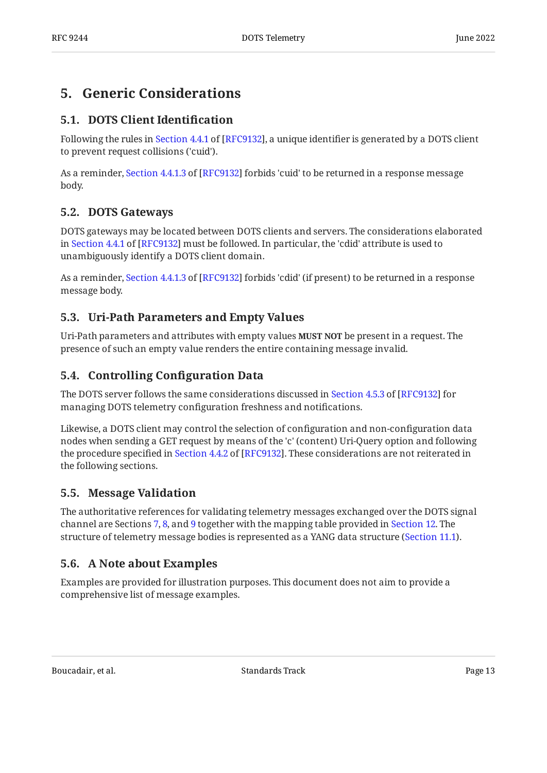## <span id="page-12-1"></span><span id="page-12-0"></span>**[5. Generic Considerations](#page-12-0)**

### **[5.1. DOTS Client Identi](#page-12-1)fication**

Followingthe rules in Section 4.4.1 of [RFC9132], a unique identifier is generated by a DOTS client to prevent request collisions ('cuid').

Asa reminder, Section 4.4.1.3 of [RFC9132] forbids 'cuid' to be returned in a response message body.

### <span id="page-12-2"></span>**[5.2. DOTS Gateways](#page-12-2)**

DOTS gateways may be located between DOTS clients and servers. The considerations elaborated inSection 4.4.1 of [RFC9132] must be followed. In particular, the 'cdid' attribute is used to unambiguously identify a DOTS client domain.

Asa reminder, Section 4.4.1.3 of [RFC9132] forbids 'cdid' (if present) to be returned in a response message body.

### <span id="page-12-3"></span>**[5.3. Uri-Path Parameters and Empty Values](#page-12-3)**

Uri-Path parameters and attributes with empty values **MUST NOT** be present in a request. The presence of such an empty value renders the entire containing message invalid.

### <span id="page-12-4"></span>**[5.4. Controlling Con](#page-12-4)figuration Data**

TheDOTS server follows the same considerations discussed in Section 4.5.3 of [RFC9132] for managing DOTS telemetry configuration freshness and notifications.

Likewise, a DOTS client may control the selection of configuration and non-configuration data nodes when sending a GET request by means of the 'c' (content) Uri-Query option and following theprocedure specified in Section 4.4.2 of [RFC9132]. These considerations are not reiterated in the following sections.

### <span id="page-12-5"></span>**[5.5. Message Validation](#page-12-5)**

The authoritative references for validating telemetry messages exchanged over the DOTS signal channel are Sections [7](#page-14-0), [8](#page-33-3), and [9](#page-56-0) together with the mapping table provided in [Section 12.](#page-92-0) The structure of telemetry message bodies is represented as a YANG data structure ([Section 11.1\)](#page-63-2).

### <span id="page-12-6"></span>**[5.6. A Note about Examples](#page-12-6)**

Examples are provided for illustration purposes. This document does not aim to provide a comprehensive list of message examples.

Boucadair, et al. The contract of the Standards Track Page 13 and the contract of the Page 13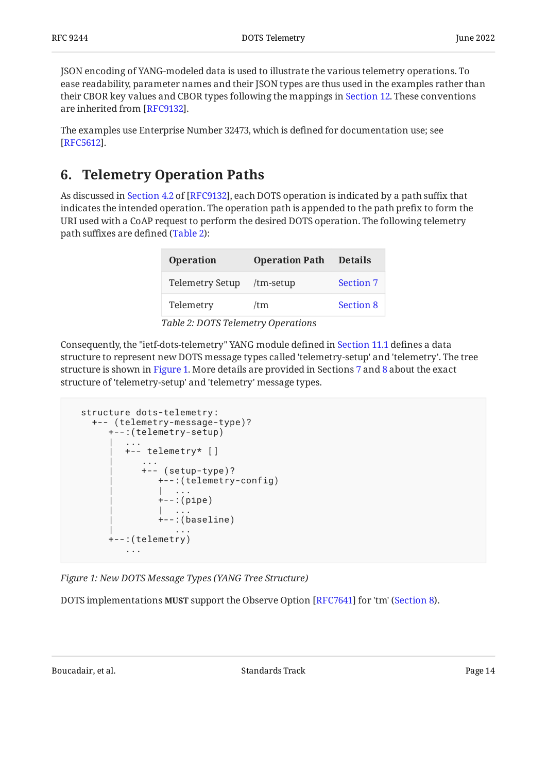JSON encoding of YANG-modeled data is used to illustrate the various telemetry operations. To ease readability, parameter names and their JSON types are thus used in the examples rather than their CBOR key values and CBOR types following the mappings in [Section 12](#page-92-0). These conventions are inherited from [RFC9132].

The examples use Enterprise Number 32473, which is defined for documentation use; see . [[RFC5612\]](#page-105-8)

## <span id="page-13-0"></span>**[6. Telemetry Operation Paths](#page-13-0)**

<span id="page-13-1"></span>Asdiscussed in Section 4.2 of [RFC9132], each DOTS operation is indicated by a path suffix that indicates the intended operation. The operation path is appended to the path prefix to form the URI used with a CoAP request to perform the desired DOTS operation. The following telemetry path suffixes are defined ([Table 2\)](#page-13-1):

<span id="page-13-2"></span>

| <b>Operation</b>          | <b>Operation Path</b> | <b>Details</b>   |
|---------------------------|-----------------------|------------------|
| <b>Telemetry Setup</b>    | $/mm-setup$           | <b>Section 7</b> |
| Telemetry                 | /tm                   | <b>Section 8</b> |
| $\pi$ ii o pomorni i o ii |                       |                  |

*[Table 2:](#page-13-2) [DOTS Telemetry Operations](#page-13-1)* 

Consequently, the "ietf-dots-telemetry" YANG module defined in [Section 11.1](#page-63-2) defines a data structure to represent new DOTS message types called 'telemetry-setup' and 'telemetry'. The tree structure is shown in [Figure 1.](#page-13-3) More details are provided in Sections [7](#page-14-0) and [8](#page-33-3) about the exact structure of 'telemetry-setup' and 'telemetry' message types.

```
 structure dots-telemetry:
    +-- (telemetry-message-type)?
       +--:(telemetry-setup)
| .... | ....
          | +-- telemetry* []
 | ...
              | +-- (setup-type)?
                 | +--:(telemetry-config)
| | ... | ... | ... | ...
                +--:(pipe)
| | ... | ... | ... | ...
                +-: (baseline)
 | ...
       +--:(telemetry)
           ...
```
*[Figure 1: New DOTS Message Types \(YANG Tree Structure\)](#page-13-3)* 

DOTS implementations **MUST** support the Observe Option [RFC7641] for 'tm' (Section 8**).**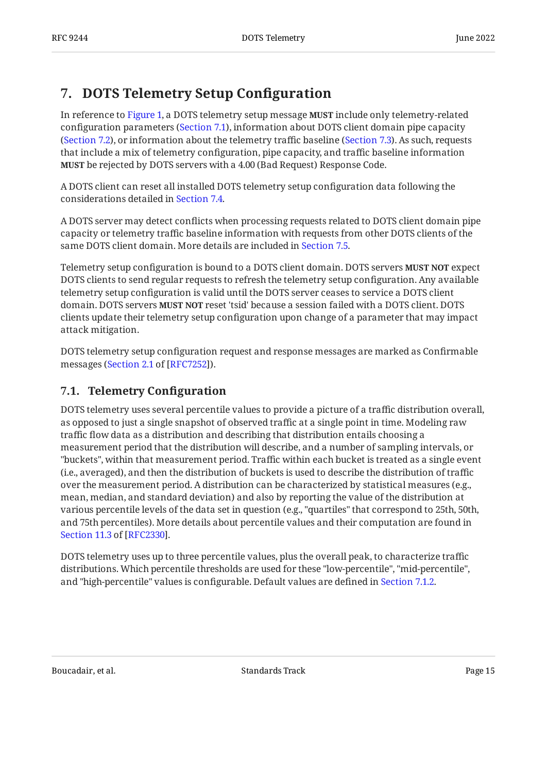## <span id="page-14-0"></span>**[7. DOTS Telemetry Setup Con](#page-14-0)figuration**

In reference to [Figure 1,](#page-13-3) a DOTS telemetry setup message **MUST** include only telemetry-related configuration parameters ([Section 7.1\)](#page-14-1), information about DOTS client domain pipe capacity ([Section 7.2\)](#page-21-0), or information about the telemetry traffic baseline ([Section 7.3\)](#page-27-1). As such, requests that include a mix of telemetry configuration, pipe capacity, and traffic baseline information **MUST** be rejected by DOTS servers with a 4.00 (Bad Request) Response Code.

A DOTS client can reset all installed DOTS telemetry setup configuration data following the considerations detailed in [Section 7.4](#page-33-1).

A DOTS server may detect conflicts when processing requests related to DOTS client domain pipe capacity or telemetry traffic baseline information with requests from other DOTS clients of the same DOTS client domain. More details are included in [Section 7.5](#page-33-2).

Telemetry setup configuration is bound to a DOTS client domain. DOTS servers **MUST NOT** expect DOTS clients to send regular requests to refresh the telemetry setup configuration. Any available telemetry setup configuration is valid until the DOTS server ceases to service a DOTS client domain. DOTS servers **MUST NOT** reset 'tsid' because a session failed with a DOTS client. DOTS clients update their telemetry setup configuration upon change of a parameter that may impact attack mitigation.

DOTS telemetry setup configuration request and response messages are marked as Confirmable messages ([Section 2.1](https://www.rfc-editor.org/rfc/rfc7252#section-2.1) of [\[RFC7252\]](#page-103-4)).

## <span id="page-14-1"></span>**[7.1. Telemetry Con](#page-14-1)figuration**

DOTS telemetry uses several percentile values to provide a picture of a traffic distribution overall, as opposed to just a single snapshot of observed traffic at a single point in time. Modeling raw traffic flow data as a distribution and describing that distribution entails choosing a measurement period that the distribution will describe, and a number of sampling intervals, or "buckets", within that measurement period. Traffic within each bucket is treated as a single event (i.e., averaged), and then the distribution of buckets is used to describe the distribution of traffic over the measurement period. A distribution can be characterized by statistical measures (e.g., mean, median, and standard deviation) and also by reporting the value of the distribution at various percentile levels of the data set in question (e.g., "quartiles" that correspond to 25th, 50th, and 75th percentiles). More details about percentile values and their computation are found in . [Section 11.3](https://www.rfc-editor.org/rfc/rfc2330#section-11.3) of [\[RFC2330](#page-105-9)]

DOTS telemetry uses up to three percentile values, plus the overall peak, to characterize traffic distributions. Which percentile thresholds are used for these "low-percentile", "mid-percentile", and "high-percentile" values is configurable. Default values are defined in [Section 7.1.2.](#page-17-0)

Boucadair, et al. The contract of the Standards Track Contract Page 15 and 2011 11: 10: 10: 10: 10: 10: 10: 10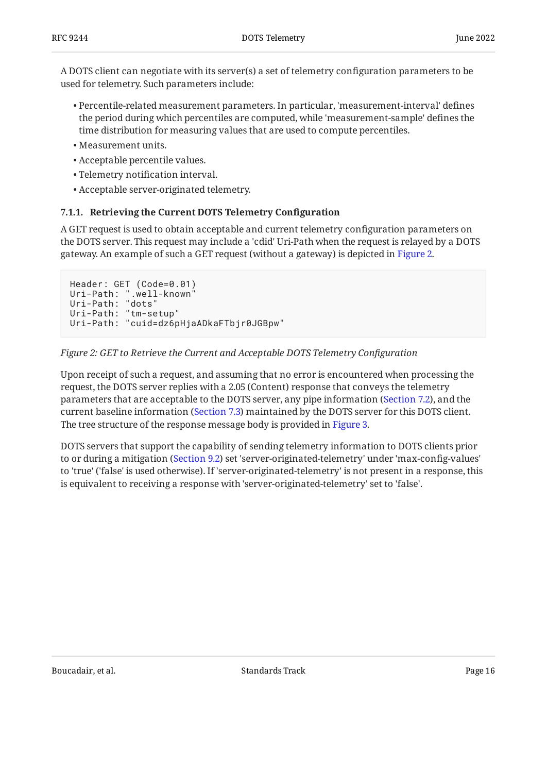A DOTS client can negotiate with its server(s) a set of telemetry configuration parameters to be used for telemetry. Such parameters include:

- Percentile-related measurement parameters. In particular, 'measurement-interval' defines the period during which percentiles are computed, while 'measurement-sample' defines the time distribution for measuring values that are used to compute percentiles.
- Measurement units. •
- Acceptable percentile values. •
- Telemetry notification interval. •
- <span id="page-15-0"></span>Acceptable server-originated telemetry. •

#### **[7.1.1. Retrieving the Current DOTS Telemetry Con](#page-15-0)figuration**

A GET request is used to obtain acceptable and current telemetry configuration parameters on the DOTS server. This request may include a 'cdid' Uri-Path when the request is relayed by a DOTS gateway. An example of such a GET request (without a gateway) is depicted in [Figure 2.](#page-15-1)

```
Header: GET (Code=0.01)
Uri-Path: ".well-known"
Uri-Path: "dots"
Uri-Path: "tm-setup"
Uri-Path: "cuid=dz6pHjaADkaFTbjr0JGBpw"
```
#### *[Figure 2: GET to Retrieve the Current and Acceptable DOTS Telemetry Con](#page-15-1)figuration*

Upon receipt of such a request, and assuming that no error is encountered when processing the request, the DOTS server replies with a 2.05 (Content) response that conveys the telemetry parameters that are acceptable to the DOTS server, any pipe information ([Section 7.2\)](#page-21-0), and the current baseline information [\(Section 7.3](#page-27-1)) maintained by the DOTS server for this DOTS client. The tree structure of the response message body is provided in [Figure 3.](#page-16-0)

<span id="page-15-2"></span>DOTS servers that support the capability of sending telemetry information to DOTS clients prior to or during a mitigation ([Section 9.2](#page-58-0)) set 'server-originated-telemetry' under 'max-config-values' to 'true' ('false' is used otherwise). If 'server-originated-telemetry' is not present in a response, this is equivalent to receiving a response with 'server-originated-telemetry' set to 'false'.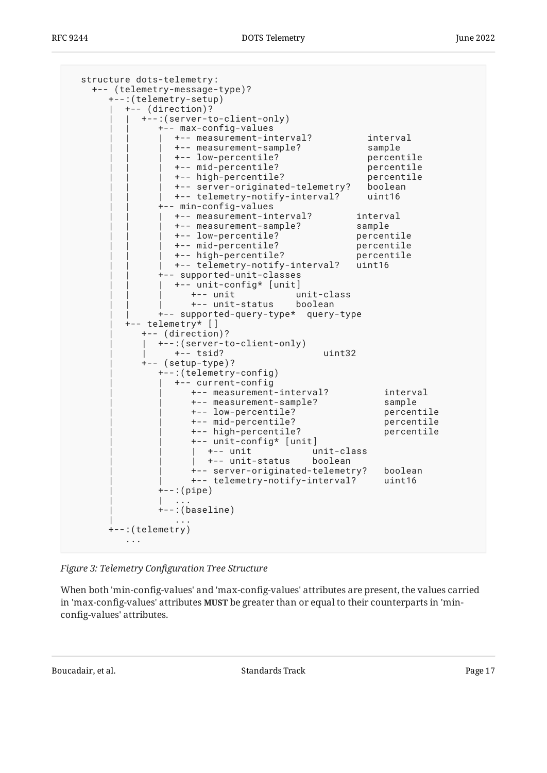```
 structure dots-telemetry:
    +-- (telemetry-message-type)?
       +--:(telemetry-setup)
          | +-- (direction)?
             | | +--:(server-to-client-only)
                 | | +-- max-config-values
                   | | | +-- measurement-interval? interval
                  +-- measurement-sample?
                   | | | +-- low-percentile? percentile
                   | | | +-- mid-percentile? percentile
                   | | | +-- high-percentile? percentile
                  +-- server-originated-telemetry? boolean
                   | | | +-- telemetry-notify-interval? uint16
                 | | +-- min-config-values
                  % +-- measurement-interval? interval<br>+-- measurement-sample? sample<br>+-- low-percentile? percentile<br>+-- mid-percentile? percentile
 | | | +-- measurement-sample? sample
 | | | +-- low-percentile? percentile
                   | | | +-- mid-percentile? percentile
                  +-- high-percentile?
                   | | | +-- telemetry-notify-interval? uint16
                 | | +-- supported-unit-classes
                  | | | +-- unit-config* [unit]
                      | | | +-- unit unit-class
                      | | | +-- unit-status boolean
                | | +-- supported-query-type* query-type
           | +-- telemetry* []
             | +-- (direction)?
              | | +--:(server-to-client-only)
                  | | +-- tsid? uint32
              | +-- (setup-type)?
                | +--:(telemetry-config)
                   | | +-- current-config
                      | | +-- measurement-interval? interval
                       | | +-- measurement-sample? sample
                      +-- low-percentile?
                       | | +-- mid-percentile? percentile
                       | | +-- high-percentile? percentile
                       | | +-- unit-config* [unit]
                        | | | +-- unit unit-class
                      | +-- unit-status boolean
                       | | +-- server-originated-telemetry? boolean
                       | | +-- telemetry-notify-interval? uint16
                +--:(pipe)| | ... | ... | ... | ...
                +-:(baseline)
 | ...
       +--:(telemetry)
           ...
```
*[Figure 3:](#page-16-0) Telemetry Confi[guration Tree Structure](#page-15-2)* 

When both 'min-config-values' and 'max-config-values' attributes are present, the values carried in 'max-config-values' attributes **MUST** be greater than or equal to their counterparts in 'minconfig-values' attributes.

Boucadair, et al. The standards Track Controllering the Standards Track Page 17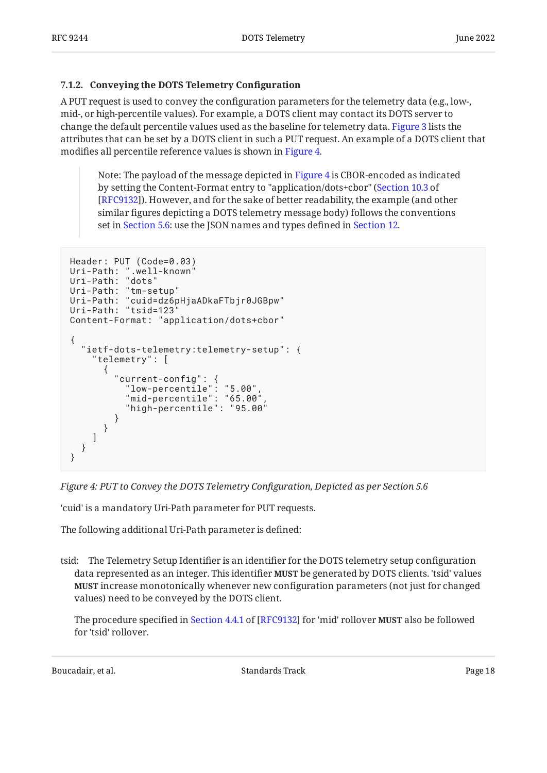#### <span id="page-17-0"></span>**[7.1.2. Conveying the DOTS Telemetry Con](#page-17-0)figuration**

A PUT request is used to convey the configuration parameters for the telemetry data (e.g., low-, mid-, or high-percentile values). For example, a DOTS client may contact its DOTS server to change the default percentile values used as the baseline for telemetry data. [Figure 3](#page-16-0) lists the attributes that can be set by a DOTS client in such a PUT request. An example of a DOTS client that modifies all percentile reference values is shown in [Figure 4.](#page-17-1)

Note: The payload of the message depicted in [Figure 4](#page-17-1) is CBOR-encoded as indicated by setting the Content-Format entry to "application/dots+cbor" ( [Section 10.3](https://www.rfc-editor.org/rfc/rfc9132#section-10.3) of [\[RFC9132](#page-104-1)]). However, and for the sake of better readability, the example (and other similar figures depicting a DOTS telemetry message body) follows the conventions set in [Section 5.6](#page-12-6): use the JSON names and types defined in [Section 12.](#page-92-0)

```
Header: PUT (Code=0.03)
Uri-Path: ".well-known"
Uri-Path: "dots"
Uri-Path: "tm-setup"
Uri-Path: "cuid=dz6pHjaADkaFTbjr0JGBpw"
Uri-Path: "tsid=123
Content-Format: "application/dots+cbor"
{
   "ietf-dots-telemetry:telemetry-setup": {
     "telemetry": [
       {
 "current-config": {
 "low-percentile": "5.00",
 "mid-percentile": "65.00",
           "high-percentile": "95.00"
         }
      }
    ]
  }
}
```
*[Figure 4: PUT to Convey the DOTS Telemetry Con](#page-17-1)figuration, Depicted as per Section 5.6* 

'cuid' is a mandatory Uri-Path parameter for PUT requests.

The following additional Uri-Path parameter is defined:

tsid: The Telemetry Setup Identifier is an identifier for the DOTS telemetry setup configuration data represented as an integer. This identifier **MUST** be generated by DOTS clients. 'tsid' values **MUST** increase monotonically whenever new configuration parameters (not just for changed values) need to be conveyed by the DOTS client.

Theprocedure specified in Section 4.4.1 of [RFC9132] for 'mid' rollover **MUST** also be followed for 'tsid' rollover.

Boucadair, et al. The contract of the Standards Track Contract Page 18 and 2011 11: 12: 13: 14: 15: 16: 16: 16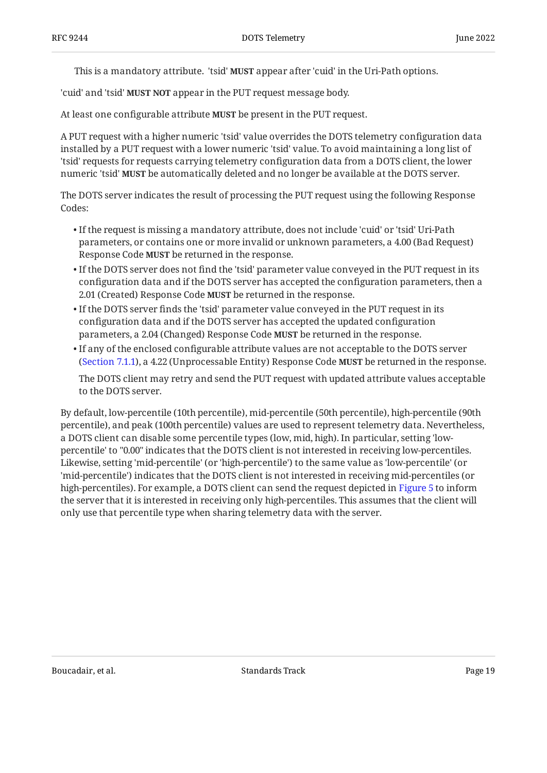This is a mandatory attribute. 'tsid' **MUST** appear after 'cuid' in the Uri-Path options.

'cuid' and 'tsid' **MUST NOT** appear in the PUT request message body.

At least one configurable attribute **MUST** be present in the PUT request.

A PUT request with a higher numeric 'tsid' value overrides the DOTS telemetry configuration data installed by a PUT request with a lower numeric 'tsid' value. To avoid maintaining a long list of 'tsid' requests for requests carrying telemetry configuration data from a DOTS client, the lower numeric 'tsid' **MUST** be automatically deleted and no longer be available at the DOTS server.

The DOTS server indicates the result of processing the PUT request using the following Response Codes:

- $\bullet$  If the request is missing a mandatory attribute, does not include 'cuid' or 'tsid' Uri-Path parameters, or contains one or more invalid or unknown parameters, a 4.00 (Bad Request) Response Code **MUST** be returned in the response.
- $\bullet$  If the DOTS server does not find the 'tsid' parameter value conveyed in the PUT request in its configuration data and if the DOTS server has accepted the configuration parameters, then a 2.01 (Created) Response Code **MUST** be returned in the response.
- $\bullet$  If the DOTS server finds the 'tsid' parameter value conveyed in the PUT request in its configuration data and if the DOTS server has accepted the updated configuration parameters, a 2.04 (Changed) Response Code **MUST** be returned in the response.
- $\bullet$  If any of the enclosed configurable attribute values are not acceptable to the DOTS server ([Section 7.1.1\)](#page-15-0), a 4.22 (Unprocessable Entity) Response Code **MUST** be returned in the response.

The DOTS client may retry and send the PUT request with updated attribute values acceptable to the DOTS server.

<span id="page-18-0"></span>By default, low-percentile (10th percentile), mid-percentile (50th percentile), high-percentile (90th percentile), and peak (100th percentile) values are used to represent telemetry data. Nevertheless, a DOTS client can disable some percentile types (low, mid, high). In particular, setting 'lowpercentile' to "0.00" indicates that the DOTS client is not interested in receiving low-percentiles. Likewise, setting 'mid-percentile' (or 'high-percentile') to the same value as 'low-percentile' (or 'mid-percentile') indicates that the DOTS client is not interested in receiving mid-percentiles (or high-percentiles). For example, a DOTS client can send the request depicted in [Figure 5](#page-19-0) to inform the server that it is interested in receiving only high-percentiles. This assumes that the client will only use that percentile type when sharing telemetry data with the server.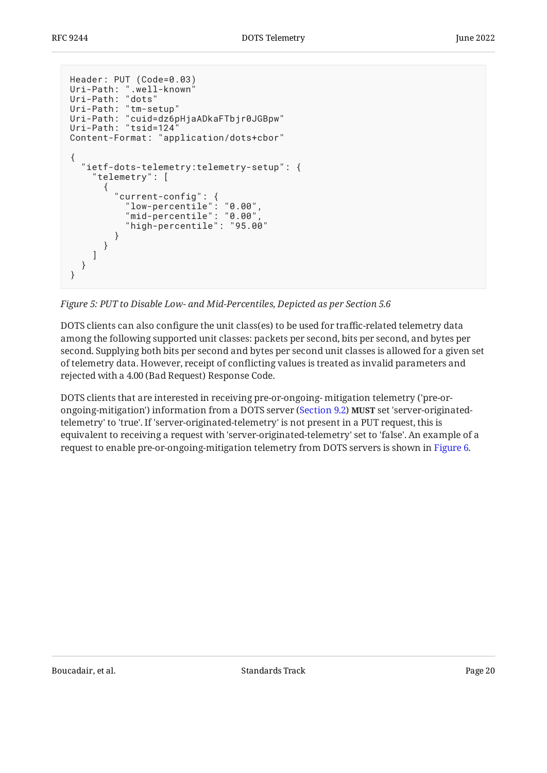```
Header: PUT (Code=0.03)
Uri-Path: ".well-known"
Uri-Path: "dots"
Uri-Path: "tm-setup"
Uri-Path: "cuid=dz6pHjaADkaFTbjr0JGBpw"
Uri-Path: "tsid=124"
Content-Format: "application/dots+cbor"
{
   "ietf-dots-telemetry:telemetry-setup": {
     "telemetry": [
       {
 "current-config": {
 "low-percentile": "0.00",
 "mid-percentile": "0.00",
           "high-percentile": "95.00"
        }
      }
    ]
   }
}
```
*[Figure 5:](#page-19-0) [PUT to Disable Low- and Mid-Percentiles, Depicted as per Section 5.6](#page-18-0)* 

DOTS clients can also configure the unit class(es) to be used for traffic-related telemetry data among the following supported unit classes: packets per second, bits per second, and bytes per second. Supplying both bits per second and bytes per second unit classes is allowed for a given set of telemetry data. However, receipt of conflicting values is treated as invalid parameters and rejected with a 4.00 (Bad Request) Response Code.

<span id="page-19-1"></span>DOTS clients that are interested in receiving pre-or-ongoing- mitigation telemetry ('pre-or-ongoing-mitigation') information from a DOTS server ([Section 9.2](#page-58-0)) **MUST** set 'server-originatedtelemetry' to 'true'. If 'server-originated-telemetry' is not present in a PUT request, this is equivalent to receiving a request with 'server-originated-telemetry' set to 'false'. An example of a request to enable pre-or-ongoing-mitigation telemetry from DOTS servers is shown in [Figure 6.](#page-20-2)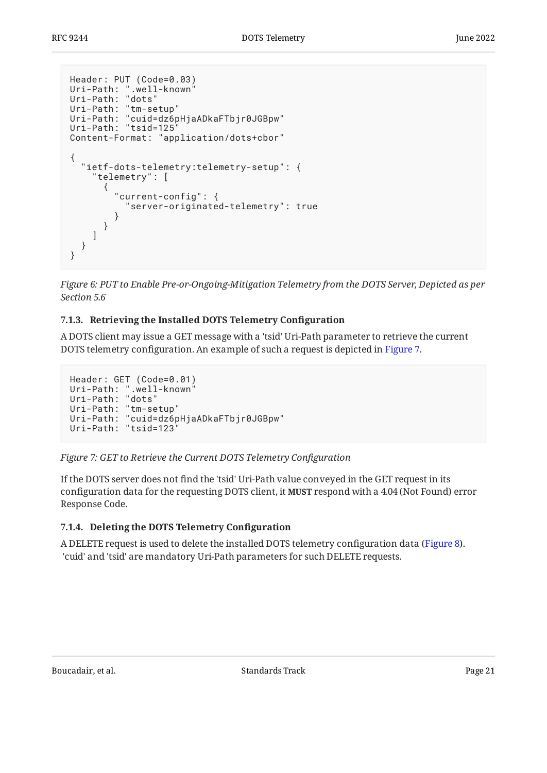```
Header: PUT (Code=0.03)
Uri-Path: ".well-known"
Uri-Path: "dots"
Uri-Path: "tm-setup"
Uri-Path: "cuid=dz6pHjaADkaFTbjr0JGBpw"
Uri-Path: "tsid=125"
Content-Format: "application/dots+cbor"
{
   "ietf-dots-telemetry:telemetry-setup": {
     "telemetry": [
       {
         "current-config": {
            "server-originated-telemetry": true
         }
       }
     ]
   }
}
```
*[Figure 6:](#page-20-2) [PUT to Enable Pre-or-Ongoing-Mitigation Telemetry from the DOTS Server, Depicted as per](#page-19-1) [Section 5.6](#page-19-1)* 

### <span id="page-20-0"></span>**[7.1.3. Retrieving the Installed DOTS Telemetry Con](#page-20-0)figuration**

A DOTS client may issue a GET message with a 'tsid' Uri-Path parameter to retrieve the current DOTS telemetry configuration. An example of such a request is depicted in [Figure 7.](#page-20-3)

```
Header: GET (Code=0.01)
Uri-Path: ".well-known"
Uri-Path: "dots"
Uri-Path: "tm-setup"
Uri-Path: "cuid=dz6pHjaADkaFTbjr0JGBpw"
Uri-Path: "tsid=123"
```

```
Figure 7: GET to Retrieve the Current DOTS Telemetry Configuration
```
If the DOTS server does not find the 'tsid' Uri-Path value conveyed in the GET request in its configuration data for the requesting DOTS client, it MUST respond with a 4.04 (Not Found) error Response Code.

### <span id="page-20-1"></span>**[7.1.4. Deleting the DOTS Telemetry Con](#page-20-1)figuration**

<span id="page-20-4"></span>A DELETE request is used to delete the installed DOTS telemetry configuration data ([Figure 8\)](#page-21-1). 'cuid' and 'tsid' are mandatory Uri-Path parameters for such DELETE requests.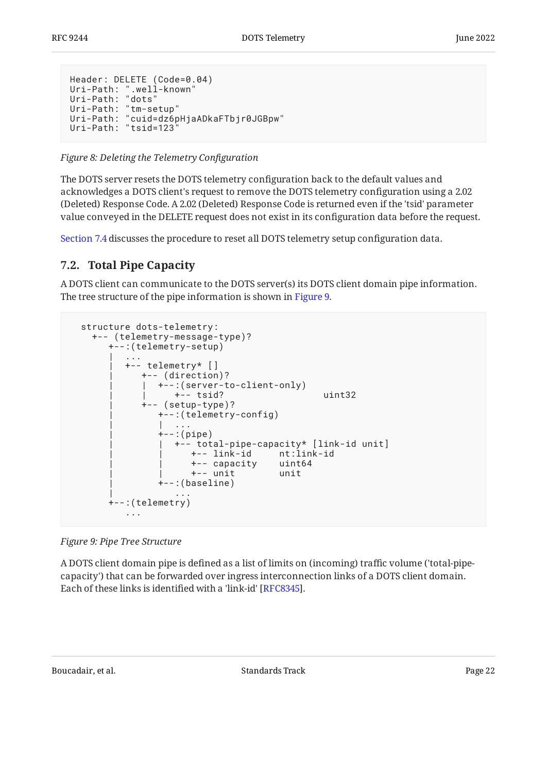```
Header: DELETE (Code=0.04)
Uri-Path: ".well-known"
Uri-Path: "dots"
Uri-Path: "tm-setup"
Uri-Path: "cuid=dz6pHjaADkaFTbjr0JGBpw"
Uri-Path: "tsid=123"
```
*[Figure 8:](#page-21-1) [Deleting the Telemetry Con](#page-20-4)figuration* 

The DOTS server resets the DOTS telemetry configuration back to the default values and acknowledges a DOTS client's request to remove the DOTS telemetry configuration using a 2.02 (Deleted) Response Code. A 2.02 (Deleted) Response Code is returned even if the 'tsid' parameter value conveyed in the DELETE request does not exist in its configuration data before the request.

<span id="page-21-0"></span>[Section 7.4](#page-33-1) discusses the procedure to reset all DOTS telemetry setup configuration data.

## **[7.2. Total Pipe Capacity](#page-21-0)**

A DOTS client can communicate to the DOTS server(s) its DOTS client domain pipe information. The tree structure of the pipe information is shown in [Figure 9.](#page-21-2)

```
 structure dots-telemetry:
    +-- (telemetry-message-type)?
       +--:(telemetry-setup)
| .... | ....
          | +-- telemetry* []
              | +-- (direction)?
              | | +--:(server-to-client-only)
                   | | +-- tsid? uint32
              | +-- (setup-type)?
                | +--:(telemetry-config)
| | ... | ... | ... | ...
                +--:(pipe) | | +-- total-pipe-capacity* [link-id unit]
                      | | +-- link-id nt:link-id
                       | | +-- capacity uint64
                       | | +-- unit unit
                 | +--:(baseline)
 | ...
        +--:(telemetry)
           ...
```
*[Figure 9: Pipe Tree Structure](#page-21-2)* 

A DOTS client domain pipe is defined as a list of limits on (incoming) traffic volume ('total-pipecapacity') that can be forwarded over ingress interconnection links of a DOTS client domain. Each of these links is identified with a 'link-id' [RFC8345].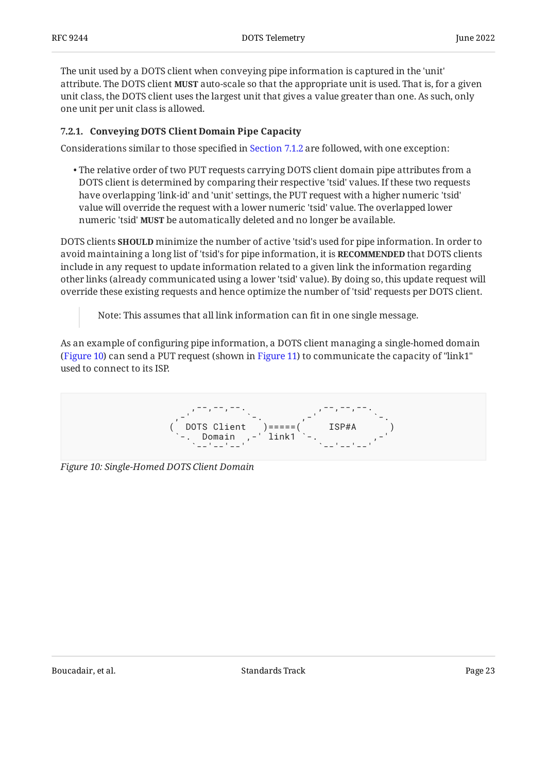The unit used by a DOTS client when conveying pipe information is captured in the 'unit' attribute. The DOTS client MUST auto-scale so that the appropriate unit is used. That is, for a given unit class, the DOTS client uses the largest unit that gives a value greater than one. As such, only one unit per unit class is allowed.

### <span id="page-22-0"></span>**[7.2.1. Conveying DOTS Client Domain Pipe Capacity](#page-22-0)**

Considerations similar to those specified in [Section 7.1.2](#page-17-0) are followed, with one exception:

 $\bullet$  The relative order of two PUT requests carrying DOTS client domain pipe attributes from a DOTS client is determined by comparing their respective 'tsid' values. If these two requests have overlapping 'link-id' and 'unit' settings, the PUT request with a higher numeric 'tsid' value will override the request with a lower numeric 'tsid' value. The overlapped lower numeric 'tsid' **MUST** be automatically deleted and no longer be available.

DOTS clients **SHOULD** minimize the number of active 'tsid's used for pipe information. In order to avoid maintaining a long list of 'tsid's for pipe information, it is **RECOMMENDED** that DOTS clients include in any request to update information related to a given link the information regarding other links (already communicated using a lower 'tsid' value). By doing so, this update request will override these existing requests and hence optimize the number of 'tsid' requests per DOTS client.

Note: This assumes that all link information can fit in one single message.

As an example of configuring pipe information, a DOTS client managing a single-homed domain ([Figure 10\)](#page-22-1) can send a PUT request (shown in [Figure 11](#page-23-0)) to communicate the capacity of "link1" used to connect to its ISP.

<span id="page-22-1"></span>,--,--,--,--. ,--,--,--. ,-' `-. ,-' `-. ( DOTS Client )=====( ISP#A ) `-. Domain ,-' link1 `-. ,-' `--'--'--' `--'--'--' `--' `--'--'--' `

<span id="page-22-2"></span>*[Figure 10: Single-Homed DOTS Client Domain](#page-22-1)*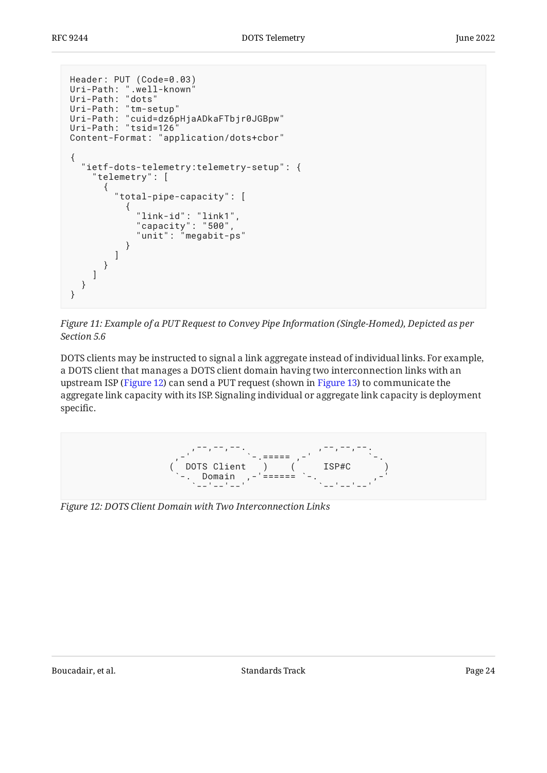```
Header: PUT (Code=0.03)
Uri-Path: ".well-known"
Uri-Path: "dots"
Uri-Path: "tm-setup"
Uri-Path: "cuid=dz6pHjaADkaFTbjr0JGBpw"
Uri-Path: "tsid=126"
Content-Format: "application/dots+cbor"
{
   "ietf-dots-telemetry:telemetry-setup": {
     "telemetry": [
       {
         "total-pipe-capacity": [
\{ "link-id": "link1",
 "capacity": "500",
 "unit": "megabit-ps"
          }
        ]
      }
    ]
  }
}
```


DOTS clients may be instructed to signal a link aggregate instead of individual links. For example, a DOTS client that manages a DOTS client domain having two interconnection links with an upstream ISP ([Figure 12\)](#page-23-1) can send a PUT request (shown in [Figure 13\)](#page-24-0) to communicate the aggregate link capacity with its ISP. Signaling individual or aggregate link capacity is deployment specific.

<span id="page-23-1"></span>

<span id="page-23-2"></span>*[Figure 12: DOTS Client Domain with Two Interconnection Links](#page-23-1)*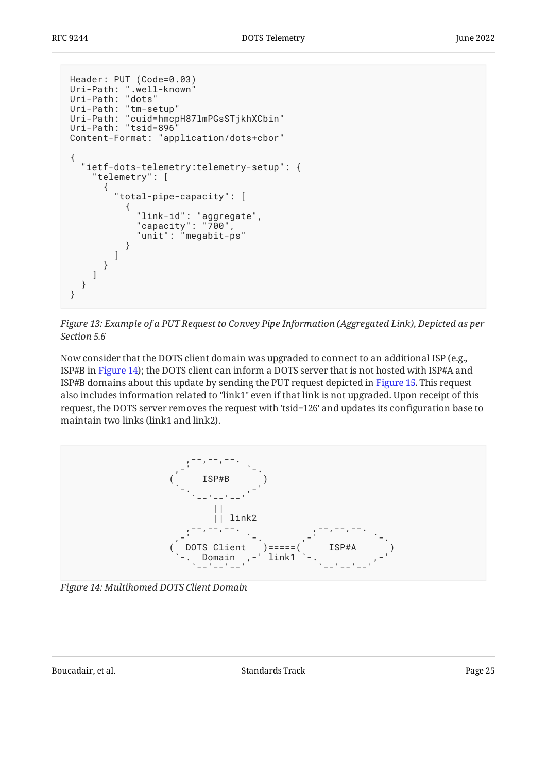```
Header: PUT (Code=0.03)
Uri-Path: ".well-known"
Uri-Path: "dots"
Uri-Path: "tm-setup"
Uri-Path: "cuid=hmcpH87lmPGsSTjkhXCbin"
Uri-Path: "tsid=896"
Content-Format: "application/dots+cbor"
{
   "ietf-dots-telemetry:telemetry-setup": {
     "telemetry": [
      {
        "total-pipe-capacity": [
\{ "link-id": "aggregate",
 "capacity": "700",
 "unit": "megabit-ps"
 }
        ]
      }
    ]
  }
}
```
*[Figure 13:](#page-24-0) [Example of a PUT Request to Convey Pipe Information \(Aggregated Link\), Depicted as per](#page-23-2) [Section 5.6](#page-23-2)* 

Now consider that the DOTS client domain was upgraded to connect to an additional ISP (e.g., ISP#B in [Figure 14\)](#page-24-1); the DOTS client can inform a DOTS server that is not hosted with ISP#A and ISP#B domains about this update by sending the PUT request depicted in [Figure 15](#page-25-0). This request also includes information related to "link1" even if that link is not upgraded. Upon receipt of this request, the DOTS server removes the request with 'tsid=126' and updates its configuration base to maintain two links (link1 and link2).

<span id="page-24-1"></span>

<span id="page-24-2"></span>*[Figure 14: Multihomed DOTS Client Domain](#page-24-1)*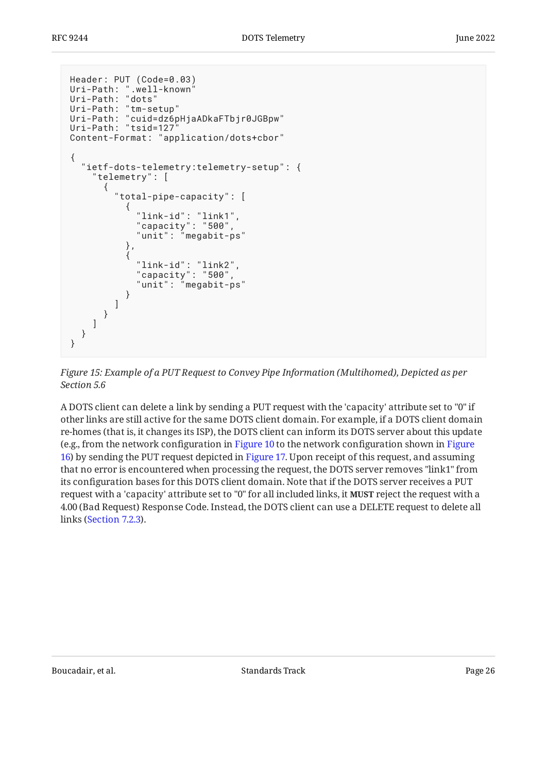```
Header: PUT (Code=0.03)
Uri-Path: ".well-known"
Uri-Path: "dots"
Uri-Path: "tm-setup"
Uri-Path: "cuid=dz6pHjaADkaFTbjr0JGBpw"
Uri-Path: "tsid=127"
Content-Format: "application/dots+cbor"
{
   "ietf-dots-telemetry:telemetry-setup": {
     "telemetry": [
      {
        "total-pipe-capacity": [
\{ "link-id": "link1",
 "capacity": "500",
 "unit": "megabit-ps"
          },
\{ "link-id": "link2",
 "capacity": "500",
 "unit": "megabit-ps"
 }
        ]
      }
    ]
  }
}
```
*[Figure 15:](#page-25-0) [Example of a PUT Request to Convey Pipe Information \(Multihomed\), Depicted as per](#page-24-2) [Section 5.6](#page-24-2)* 

A DOTS client can delete a link by sending a PUT request with the 'capacity' attribute set to "0" if other links are still active for the same DOTS client domain. For example, if a DOTS client domain re-homes (that is, it changes its ISP), the DOTS client can inform its DOTS server about this update (e.g., from the network configuration in [Figure 10](#page-22-1) to the network configuration shown in [Figure](#page-26-1) [16](#page-26-1)) by sending the PUT request depicted in [Figure 17.](#page-26-2) Upon receipt of this request, and assuming that no error is encountered when processing the request, the DOTS server removes "link1" from its configuration bases for this DOTS client domain. Note that if the DOTS server receives a PUT request with a 'capacity' attribute set to "0" for all included links, it **MUST** reject the request with a 4.00 (Bad Request) Response Code. Instead, the DOTS client can use a DELETE request to delete all links ([Section 7.2.3\)](#page-27-0).

<span id="page-25-1"></span>Boucadair, et al. Standards Track Page 26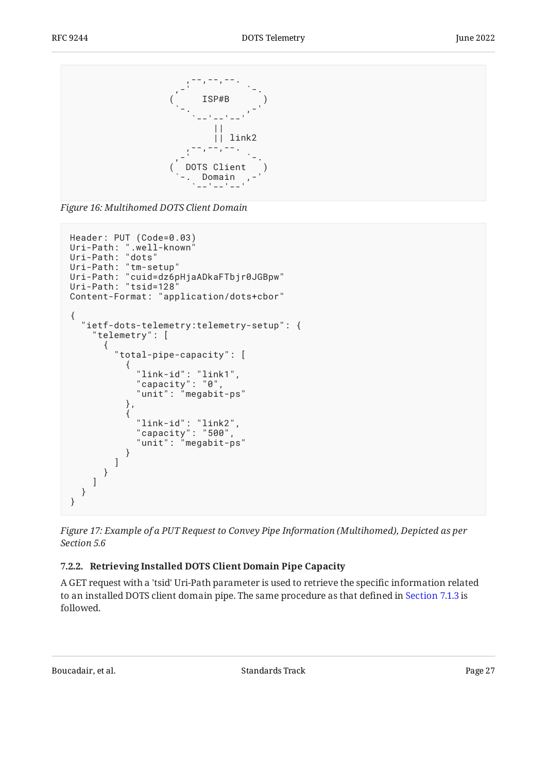<span id="page-26-1"></span>

*[Figure 16:](#page-26-1) [Multihomed DOTS Client Domain](#page-25-1)* 

```
Header: PUT (Code=0.03)
Uri-Path: ".well-known"
Uri-Path: "dots"
Uri-Path: "tm-setup"
Uri-Path: "cuid=dz6pHjaADkaFTbjr0JGBpw"
Uri-Path: "tsid=128"
Content-Format: "application/dots+cbor"
{
   "ietf-dots-telemetry:telemetry-setup": {
     "telemetry": [
      {
        "total-pipe-capacity": [
\{ "link-id": "link1",
 "capacity": "0",
 "unit": "megabit-ps"
          },
\{ "link-id": "link2",
 "capacity": "500",
 "unit": "megabit-ps"
          }
        ]
      }
    ]
  }
}
```
*[Figure 17: Example of a PUT Request to Convey Pipe Information \(Multihomed\), Depicted as per](#page-26-2) [Section 5.6](#page-26-2)* 

### <span id="page-26-0"></span>**[7.2.2. Retrieving Installed DOTS Client Domain Pipe Capacity](#page-26-0)**

A GET request with a 'tsid' Uri-Path parameter is used to retrieve the specific information related to an installed DOTS client domain pipe. The same procedure as that defined in [Section 7.1.3](#page-20-0) is followed.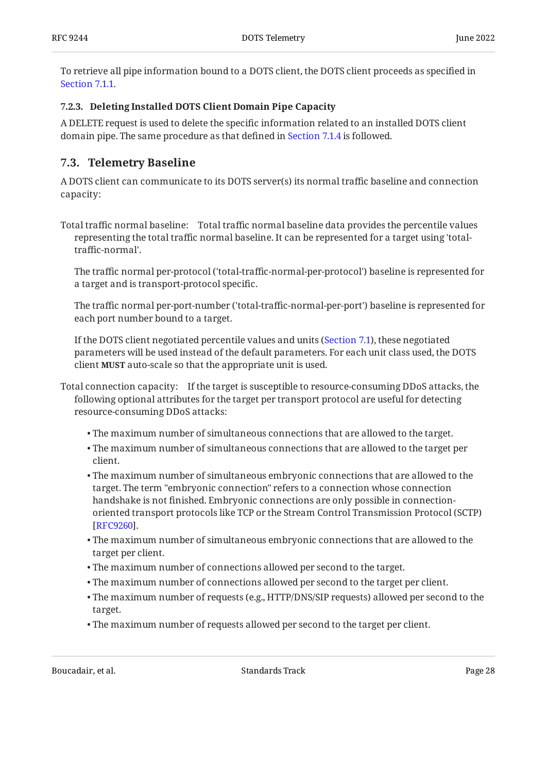To retrieve all pipe information bound to a DOTS client, the DOTS client proceeds as specified in [Section 7.1.1.](#page-15-0)

### <span id="page-27-0"></span>**[7.2.3. Deleting Installed DOTS Client Domain Pipe Capacity](#page-27-0)**

A DELETE request is used to delete the specific information related to an installed DOTS client domain pipe. The same procedure as that defined in [Section 7.1.4](#page-20-1) is followed.

## <span id="page-27-1"></span>**[7.3. Telemetry Baseline](#page-27-1)**

A DOTS client can communicate to its DOTS server(s) its normal traffic baseline and connection capacity:

Total traffic normal baseline: Total traffic normal baseline data provides the percentile values representing the total traffic normal baseline. It can be represented for a target using 'totaltraffic-normal'.

The traffic normal per-protocol ('total-traffic-normal-per-protocol') baseline is represented for a target and is transport-protocol specific.

The traffic normal per-port-number ('total-traffic-normal-per-port') baseline is represented for each port number bound to a target.

If the DOTS client negotiated percentile values and units ([Section 7.1](#page-14-1)), these negotiated parameters will be used instead of the default parameters. For each unit class used, the DOTS client **MUST** auto-scale so that the appropriate unit is used.

Total connection capacity: If the target is susceptible to resource-consuming DDoS attacks, the following optional attributes for the target per transport protocol are useful for detecting resource-consuming DDoS attacks:

- The maximum number of simultaneous connections that are allowed to the target. •
- The maximum number of simultaneous connections that are allowed to the target per client.
- The maximum number of simultaneous embryonic connections that are allowed to the target. The term "embryonic connection" refers to a connection whose connection handshake is not finished. Embryonic connections are only possible in connectionoriented transport protocols like TCP or the Stream Control Transmission Protocol (SCTP) . [[RFC9260\]](#page-106-5)
- The maximum number of simultaneous embryonic connections that are allowed to the target per client.
- The maximum number of connections allowed per second to the target. •
- The maximum number of connections allowed per second to the target per client. •
- The maximum number of requests (e.g., HTTP/DNS/SIP requests) allowed per second to the target.
- The maximum number of requests allowed per second to the target per client. •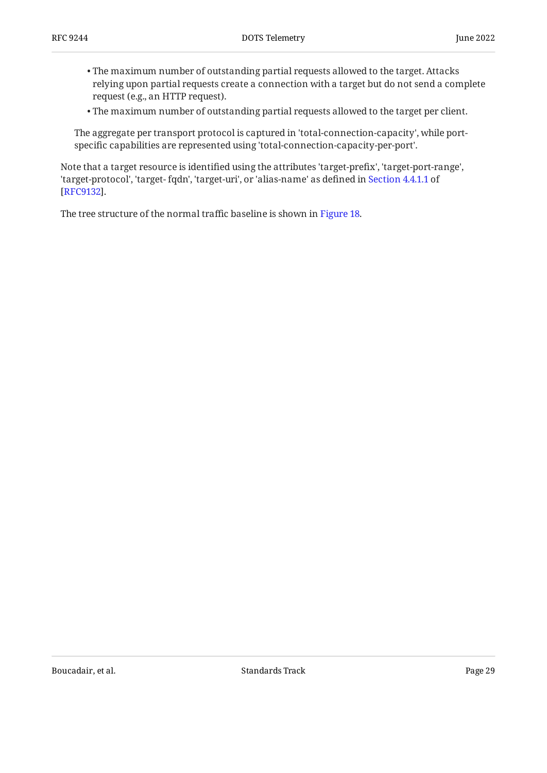- The maximum number of outstanding partial requests allowed to the target. Attacks relying upon partial requests create a connection with a target but do not send a complete request (e.g., an HTTP request).
- The maximum number of outstanding partial requests allowed to the target per client. •

The aggregate per transport protocol is captured in 'total-connection-capacity', while portspecific capabilities are represented using 'total-connection-capacity-per-port'.

Note that a target resource is identified using the attributes 'target-prefix', 'target-port-range', 'target-protocol', 'target- fqdn', 'target-uri', or 'alias-name' as defined in [Section 4.4.1.1](https://www.rfc-editor.org/rfc/rfc9132#section-4.4.1.1) of . [[RFC9132\]](#page-104-1)

<span id="page-28-0"></span>The tree structure of the normal traffic baseline is shown in [Figure 18.](#page-29-0)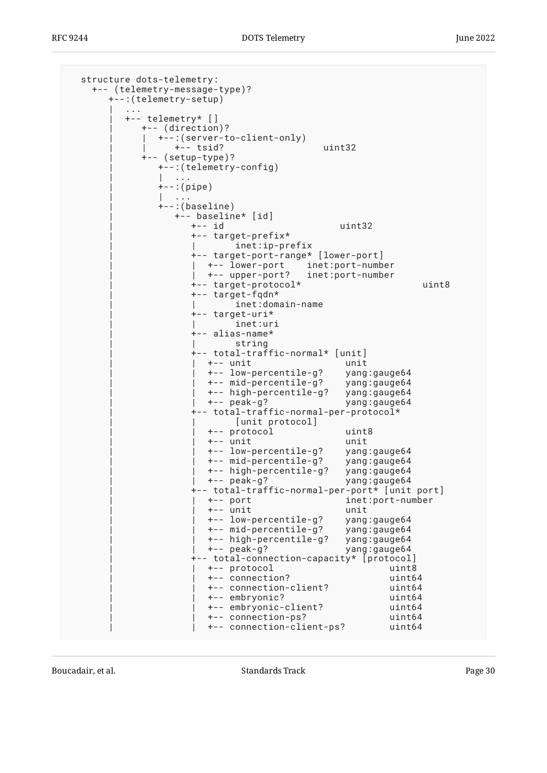```
 structure dots-telemetry:
    +-- (telemetry-message-type)?
       +--:(telemetry-setup)
| .... | ....
          | +-- telemetry* []
             | +-- (direction)?
             | | +--:(server-to-client-only)
                +-- tsid? uint32
             | +-- (setup-type)?
               | +--:(telemetry-config)
                 | | ...
              +--:(pipe)| \cdot | .
              +-:(baseline)
                  | +-- baseline* [id]
                     | +-- id uint32
                     | +-- target-prefix*
                            \texttt{inet:ip-prefix} | +-- target-port-range* [lower-port]
                     | | +-- lower-port inet:port-number
                     | | +-- upper-port? inet:port-number
                     | +-- target-protocol* uint8
                     | +-- target-fqdn*
                             | | inet:domain-name
                     | +-- target-uri*
                            inet:uri
                     | +-- alias-name*
                            string
                     | +-- total-traffic-normal* [unit]
                      | | +-- unit unit
                       | | +-- low-percentile-g? yang:gauge64
                       | | +-- mid-percentile-g? yang:gauge64
                        | | +-- high-percentile-g? yang:gauge64
                       | | +-- peak-g? yang:gauge64
                     | +-- total-traffic-normal-per-protocol*
                            | | [unit protocol]
                        | | +-- protocol uint8
                        | | +-- unit unit
 | | +-- low-percentile-g? yang:gauge64
 | | +-- mid-percentile-g? yang:gauge64
                       | | +-- high-percentile-g? yang:gauge64
                       | | +-- peak-g? yang:gauge64
                     | +-- total-traffic-normal-per-port* [unit port]
                                              inet:port-number
                       | | +-- unit unit
                        | | +-- low-percentile-g? yang:gauge64
                        | | +-- mid-percentile-g? yang:gauge64
                       +-- high-percentile-g?<br>+-- peak-g?
                                              yang:gauge64
                     | +-- total-connection-capacity* [protocol]
                       | | +-- protocol uint8
                        | | +-- connection? uint64
                        | | +-- connection-client? uint64
                        | | +-- embryonic? uint64
                        | | +-- embryonic-client? uint64
                        | | +-- connection-ps? uint64
                        | | +-- connection-client-ps? uint64
```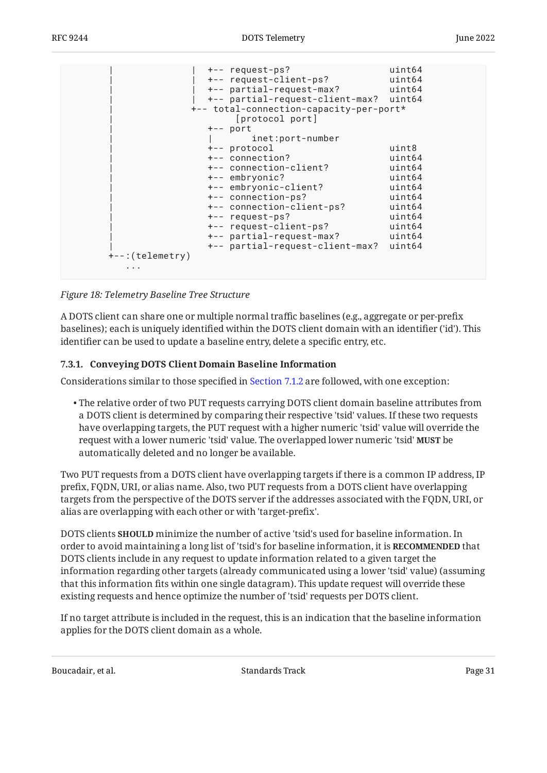| +-- partial-request-max?                                                                                                                  | +-- partial-request-client-max? uint64<br>+-- total-connection-capacity-per-port*                                                                                                                                                                         |  |
|-------------------------------------------------------------------------------------------------------------------------------------------|-----------------------------------------------------------------------------------------------------------------------------------------------------------------------------------------------------------------------------------------------------------|--|
| +-- port                                                                                                                                  | [protocol port]<br>inet:port-number                                                                                                                                                                                                                       |  |
| +-- protocol<br>+-- connection?<br>+-- embryonic?<br>+-- embryonic-client?<br>+-- connection-ps?<br>+-- request-ps?<br>$+-$ : (telemetry) | uint8<br>uint64<br>+-- connection-client?<br>uint64<br>uint64<br>uint64<br>uint64<br>+-- connection-client-ps?<br>uint64<br>uint64<br>+-- request-client-ps?<br>uint64<br>+-- partial-request-max?<br>uint64<br>+-- partial-request-client-max?<br>uint64 |  |

*[Figure 18:](#page-29-0) [Telemetry Baseline Tree Structure](#page-28-0)* 

A DOTS client can share one or multiple normal traffic baselines (e.g., aggregate or per-prefix baselines); each is uniquely identified within the DOTS client domain with an identifier ('id'). This identifier can be used to update a baseline entry, delete a specific entry, etc.

#### <span id="page-30-0"></span>**[7.3.1. Conveying DOTS Client Domain Baseline Information](#page-30-0)**

Considerations similar to those specified in [Section 7.1.2](#page-17-0) are followed, with one exception:

 $\bullet$  The relative order of two PUT requests carrying DOTS client domain baseline attributes from a DOTS client is determined by comparing their respective 'tsid' values. If these two requests have overlapping targets, the PUT request with a higher numeric 'tsid' value will override the request with a lower numeric 'tsid' value. The overlapped lower numeric 'tsid' **MUST** be automatically deleted and no longer be available.

Two PUT requests from a DOTS client have overlapping targets if there is a common IP address, IP prefix, FQDN, URI, or alias name. Also, two PUT requests from a DOTS client have overlapping targets from the perspective of the DOTS server if the addresses associated with the FQDN, URI, or alias are overlapping with each other or with 'target-prefix'.

DOTS clients **SHOULD** minimize the number of active 'tsid's used for baseline information. In order to avoid maintaining a long list of 'tsid's for baseline information, it is **RECOMMENDED** that DOTS clients include in any request to update information related to a given target the information regarding other targets (already communicated using a lower 'tsid' value) (assuming that this information fits within one single datagram). This update request will override these existing requests and hence optimize the number of 'tsid' requests per DOTS client.

If no target attribute is included in the request, this is an indication that the baseline information applies for the DOTS client domain as a whole.

Boucadair, et al. The standards Track Controllering the Standards Track Page 31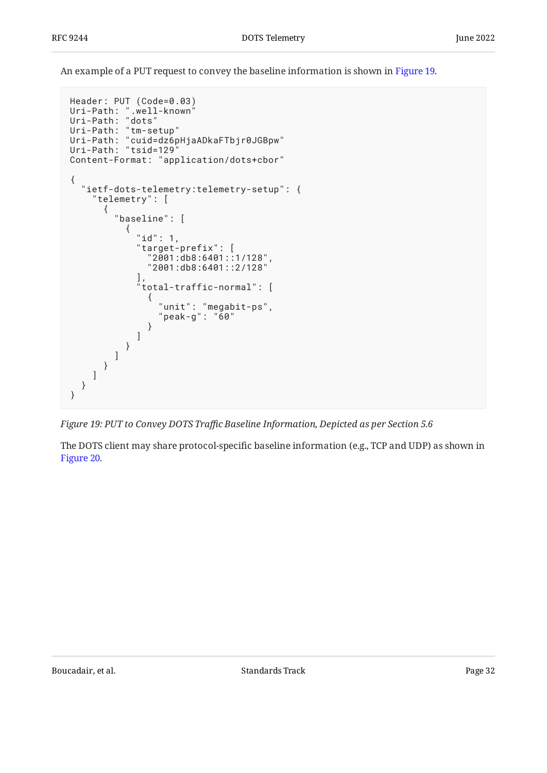An example of a PUT request to convey the baseline information is shown in [Figure 19](#page-31-0).

```
Header: PUT (Code=0.03)
Uri-Path: ".well-known"
Uri-Path: "dots"
Uri-Path: "tm-setup"
Uri-Path: "cuid=dz6pHjaADkaFTbjr0JGBpw"
Uri-Path: "tsid=129"
Content-Format: "application/dots+cbor"
{
   "ietf-dots-telemetry:telemetry-setup": {
     "telemetry": [
       {
         "baseline": [
\{ "id": 1,
             "target-prefix": [
 "2001:db8:6401::1/128",
 "2001:db8:6401::2/128"
, and the same \mathbf{I} ,
 "total-traffic-normal": [
\{ "unit": "megabit-ps",
                "peak-g": "60"
 }
\sim 100 \sim 100 \sim 100 \sim 100 \sim 100 \sim }
 ]
 }
\blacksquare }
}
```
*[Figure 19:](#page-31-0) PUT to Convey DOTS Traf[c Baseline Information, Depicted as per Section 5.6](#page-31-0)* 

<span id="page-31-1"></span>The DOTS client may share protocol-specific baseline information (e.g., TCP and UDP) as shown in [Figure 20.](#page-32-1)

Boucadair, et al. Standards Track Page 32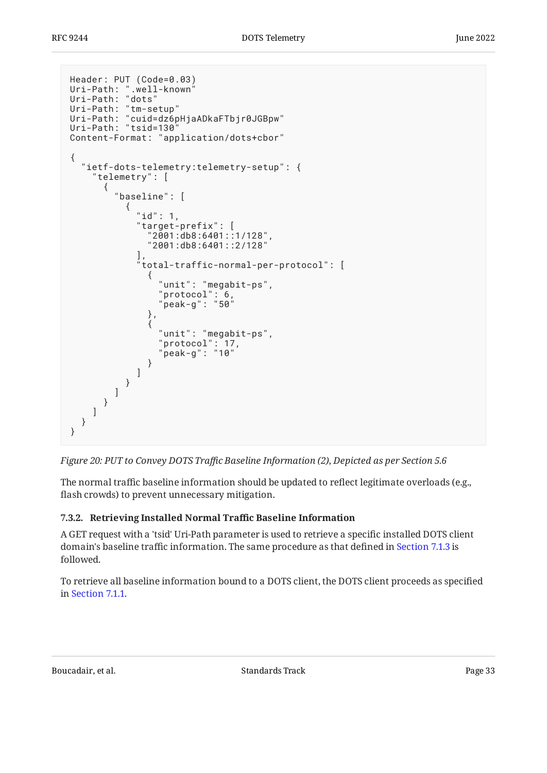```
Header: PUT (Code=0.03)
Uri-Path: ".well-known"
Uri-Path: "dots"
Uri-Path: "tm-setup"
Uri-Path: "cuid=dz6pHjaADkaFTbjr0JGBpw"
Uri-Path: "tsid=130"
Content-Format: "application/dots+cbor"
{
  "ietf-dots-telemetry:telemetry-setup": {
    "telemetry": [
      {
       "baseline": [
\{ "id": 1,
 "target-prefix": [
 "2001:db8:6401::1/128",
            "2001:db8:6401::2/128"
, we have the set of \mathbb{I} ,
 "total-traffic-normal-per-protocol": [
\{ "unit": "megabit-ps",
 "protocol": 6,
 "peak-g": "50"
            },
\{ "unit": "megabit-ps",
 "protocol": 17,
 "peak-g": "10"
 }
 ]
 }
 ]
 }
\blacksquare }
}
```


The normal traffic baseline information should be updated to reflect legitimate overloads (e.g., flash crowds) to prevent unnecessary mitigation.

### <span id="page-32-0"></span>**[7.3.2. Retrieving Installed Normal Tra](#page-32-0)ffic Baseline Information**

A GET request with a 'tsid' Uri-Path parameter is used to retrieve a specific installed DOTS client domain's baseline traffic information. The same procedure as that defined in [Section 7.1.3](#page-20-0) is followed.

To retrieve all baseline information bound to a DOTS client, the DOTS client proceeds as specified in [Section 7.1.1.](#page-15-0)

Boucadair, et al. The contract of the Standards Track Page 33 and the contract of the Page 33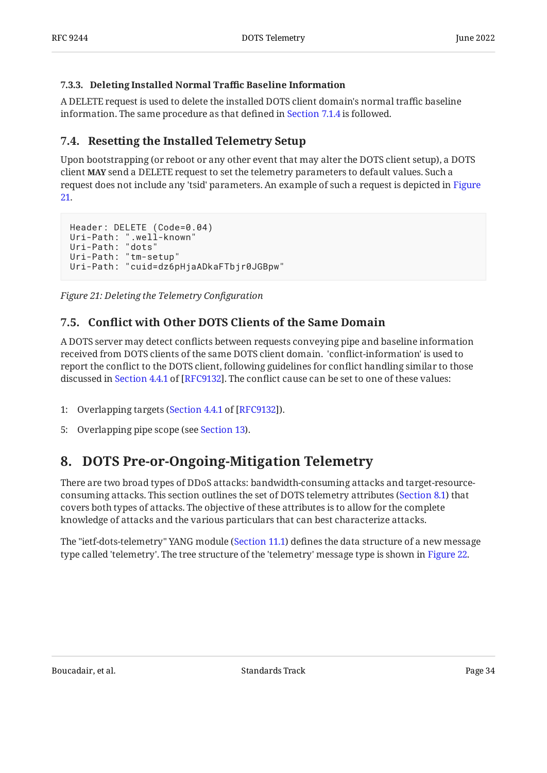#### <span id="page-33-0"></span>**[7.3.3. Deleting Installed Normal Tra](#page-33-0)ffic Baseline Information**

A DELETE request is used to delete the installed DOTS client domain's normal traffic baseline information. The same procedure as that defined in [Section 7.1.4](#page-20-1) is followed.

## <span id="page-33-1"></span>**[7.4. Resetting the Installed Telemetry Setup](#page-33-1)**

Upon bootstrapping (or reboot or any other event that may alter the DOTS client setup), a DOTS client **MAY** send a DELETE request to set the telemetry parameters to default values. Such a request does not include any 'tsid' parameters. An example of such a request is depicted in [Figure](#page-33-4) [21](#page-33-4).

```
Header: DELETE (Code=0.04)
Uri-Path: ".well-known"
Uri-Path: "dots"
Uri-Path: "tm-setup"
Uri-Path: "cuid=dz6pHjaADkaFTbjr0JGBpw"
```
<span id="page-33-2"></span>*[Figure 21: Deleting the Telemetry Con](#page-33-4)figuration* 

## **[7.5. C](#page-33-2)onfl[ict with Other DOTS Clients of the Same Domain](#page-33-2)**

A DOTS server may detect conflicts between requests conveying pipe and baseline information received from DOTS clients of the same DOTS client domain. 'conflict-information' is used to report the conflict to the DOTS client, following guidelines for conflict handling similar to those discussedin Section 4.4.1 of [RFC9132]. The conflict cause can be set to one of these values:

- 1: Overlapping targets ([Section 4.4.1](https://www.rfc-editor.org/rfc/rfc9132#section-4.4.1) of [\[RFC9132](#page-104-1)]).
- <span id="page-33-3"></span>5: Overlapping pipe scope (see [Section 13](#page-97-0)).

## **[8. DOTS Pre-or-Ongoing-Mitigation Telemetry](#page-33-3)**

There are two broad types of DDoS attacks: bandwidth-consuming attacks and target-resourceconsuming attacks. This section outlines the set of DOTS telemetry attributes ([Section 8.1](#page-35-0)) that covers both types of attacks. The objective of these attributes is to allow for the complete knowledge of attacks and the various particulars that can best characterize attacks.

<span id="page-33-5"></span>The "ietf-dots-telemetry" YANG module ([Section 11.1\)](#page-63-2) defines the data structure of a new message type called 'telemetry'. The tree structure of the 'telemetry' message type is shown in [Figure 22.](#page-34-0)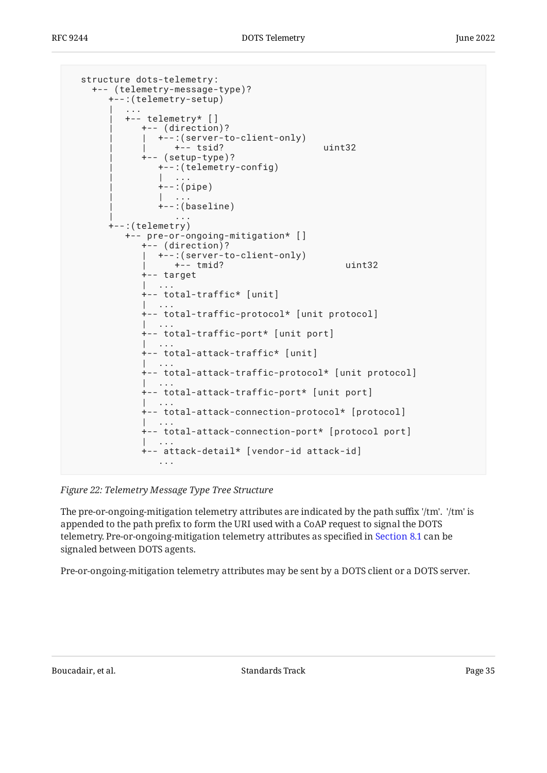```
 structure dots-telemetry:
    +-- (telemetry-message-type)?
      +--:(telemetry-setup)
| .... | ....
         | +-- telemetry* []
            | +-- (direction)?
           | +--:(server-to-client-only)
               +-- tsid? uint32
            | +-- (setup-type)?
              | +--:(telemetry-config)
               | | ...
             +--:(pipe) | | ...
              +-:(baseline)
 | ...
       +--:(telemetry)
         +-- pre-or-ongoing-mitigation* []
            +-- (direction)?
            | +--:(server-to-client-only)
               +-- tmid? uint32
            +-- target
            | ...
            +-- total-traffic* [unit]
              | ...
            +-- total-traffic-protocol* [unit protocol]
 | ...
 +-- total-traffic-port* [unit port]
 | ...
            +-- total-attack-traffic* [unit]
            | ...
            +-- total-attack-traffic-protocol* [unit protocol]
 | ...
            +-- total-attack-traffic-port* [unit port]
 | ...
            +-- total-attack-connection-protocol* [protocol]
 | ...
            +-- total-attack-connection-port* [protocol port]
 | ...
            +-- attack-detail* [vendor-id attack-id]
 ...
```
*[Figure 22:](#page-34-0) [Telemetry Message Type Tree Structure](#page-33-5)* 

The pre-or-ongoing-mitigation telemetry attributes are indicated by the path suffix '/tm'. '/tm' is appended to the path prefix to form the URI used with a CoAP request to signal the DOTS telemetry. Pre-or-ongoing-mitigation telemetry attributes as specified in [Section 8.1](#page-35-0) can be signaled between DOTS agents.

Pre-or-ongoing-mitigation telemetry attributes may be sent by a DOTS client or a DOTS server.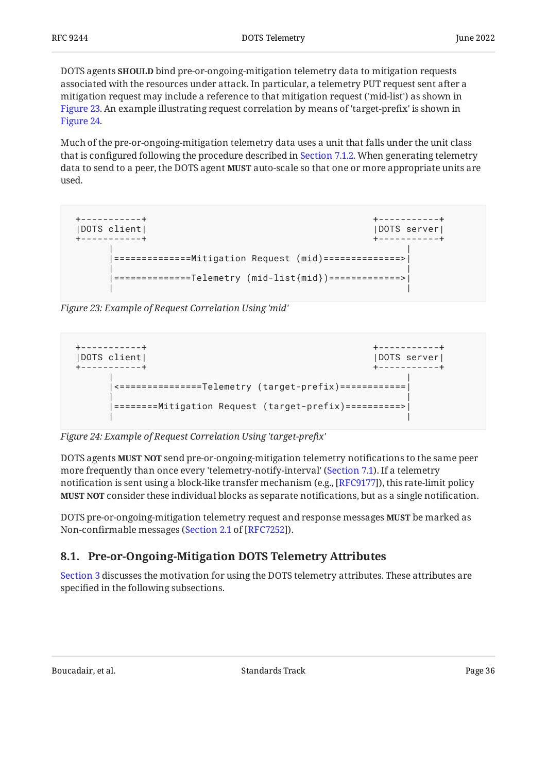DOTS agents **SHOULD** bind pre-or-ongoing-mitigation telemetry data to mitigation requests associated with the resources under attack. In particular, a telemetry PUT request sent after a mitigation request may include a reference to that mitigation request ('mid-list') as shown in [Figure 23.](#page-35-1) An example illustrating request correlation by means of 'target-prefix' is shown in [Figure 24.](#page-35-2)

Much of the pre-or-ongoing-mitigation telemetry data uses a unit that falls under the unit class that is configured following the procedure described in [Section 7.1.2.](#page-17-0) When generating telemetry data to send to a peer, the DOTS agent **MUST** auto-scale so that one or more appropriate units are used.

```
 +-----------+ +-----------+
 |DOTS client| |DOTS server|
 +-----------+ +-----------+
 | |
    |==============Mitigation Request (mid)==============>|
 | |
    |==============Telemetry (mid-list{mid})=============>|
 | |
```
*[Figure 23: Example of Request Correlation Using 'mid'](#page-35-1)* 

<span id="page-35-2"></span>

*[Figure 24: Example of Request Correlation Using 'target-pre](#page-35-2)fix'* 

DOTS agents **MUST NOT** send pre-or-ongoing-mitigation telemetry notifications to the same peer more frequently than once every 'telemetry-notify-interval' ([Section 7.1](#page-14-1)). If a telemetry notification is sent using a block-like transfer mechanism (e.g., [RFC9177]), this rate-limit policy **MUST NOT** consider these individual blocks as separate notifications, but as a single notification.

DOTS pre-or-ongoing-mitigation telemetry request and response messages **MUST** be marked as Non-confirmable messages ([Section 2.1](https://www.rfc-editor.org/rfc/rfc7252#section-2.1) of [[RFC7252\]](#page-103-4)).

## <span id="page-35-0"></span>**[8.1. Pre-or-Ongoing-Mitigation DOTS Telemetry Attributes](#page-35-0)**

[Section 3](#page-6-0) discusses the motivation for using the DOTS telemetry attributes. These attributes are specified in the following subsections.

Boucadair, et al. The standards Track Controller and the Standards Track Page 36 and the standards Track Page 36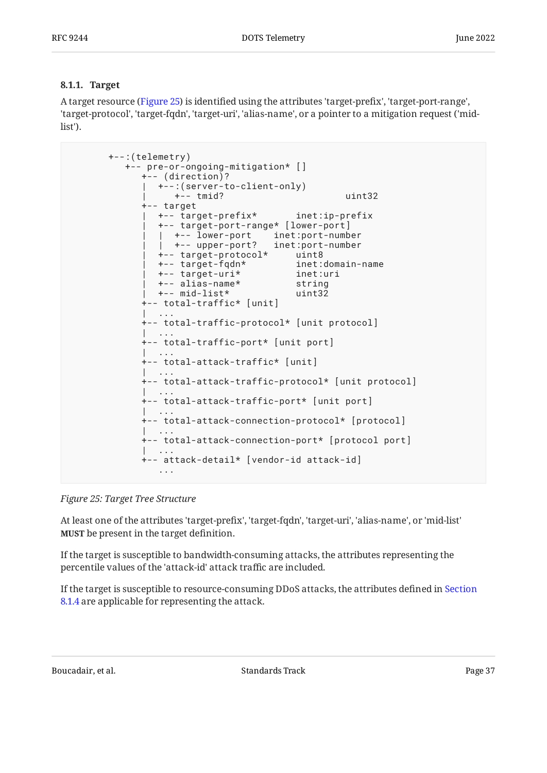#### <span id="page-36-0"></span>**[8.1.1. Target](#page-36-0)**

A target resource ([Figure 25\)](#page-36-1) is identified using the attributes 'target-prefix', 'target-port-range', 'target-protocol', 'target-fqdn', 'target-uri', 'alias-name', or a pointer to a mitigation request ('midlist').

```
 +--:(telemetry)
         +-- pre-or-ongoing-mitigation* []
           +-- (direction)?
             | +--:(server-to-client-only)
                | +-- tmid? uint32
            +-- target
             | +-- target-prefix* inet:ip-prefix
             | +-- target-port-range* [lower-port]
 | | +-- lower-port inet:port-number
 | | +-- upper-port? inet:port-number
 | +-- target-protocol* uint8
             | +-- target-fqdn* inet:domain-name
             +-- target-uri*
              | +-- alias-name* string
             | +-- mid-list* uint32
            +-- total-traffic* [unit]
 | ...
           +-- total-traffic-protocol* [unit protocol]
 | ...
           +-- total-traffic-port* [unit port]
 | ...
           +-- total-attack-traffic* [unit]
             | ...
           +-- total-attack-traffic-protocol* [unit protocol]
 | ...
           +-- total-attack-traffic-port* [unit port]
 | ...
           +-- total-attack-connection-protocol* [protocol]
 | ...
           +-- total-attack-connection-port* [protocol port]
 | ...
            +-- attack-detail* [vendor-id attack-id]
              ...
```
*[Figure 25: Target Tree Structure](#page-36-1)* 

At least one of the attributes 'target-prefix', 'target-fqdn', 'target-uri', 'alias-name', or 'mid-list' be present in the target definition. **MUST**

If the target is susceptible to bandwidth-consuming attacks, the attributes representing the percentile values of the 'attack-id' attack traffic are included.

If the target is susceptible to resource-consuming DDoS attacks, the attributes defined in [Section](#page-40-0) [8.1.4](#page-40-0) are applicable for representing the attack.

Boucadair, et al. Standards Track Page 37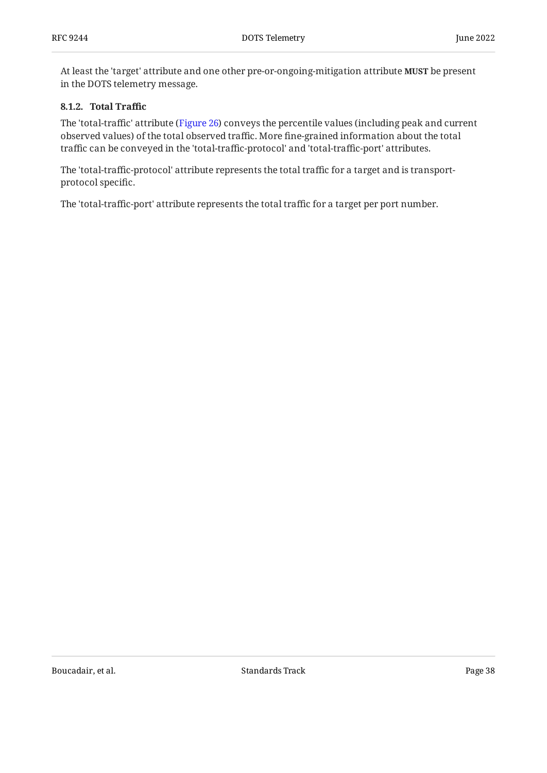At least the 'target' attribute and one other pre-or-ongoing-mitigation attribute **MUST** be present in the DOTS telemetry message.

#### <span id="page-37-0"></span>**[8.1.2. Total Tra](#page-37-0)ffic**

The 'total-traffic' attribute ([Figure 26\)](#page-38-0) conveys the percentile values (including peak and current observed values) of the total observed traffic. More fine-grained information about the total traffic can be conveyed in the 'total-traffic-protocol' and 'total-traffic-port' attributes.

The 'total-traffic-protocol' attribute represents the total traffic for a target and is transportprotocol specific.

<span id="page-37-1"></span>The 'total-traffic-port' attribute represents the total traffic for a target per port number.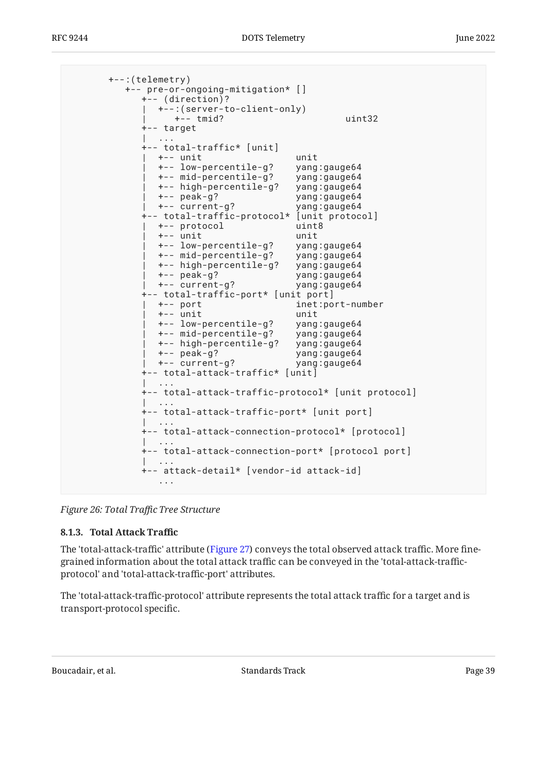```
 +--:(telemetry)
         +-- pre-or-ongoing-mitigation* []
            +-- (direction)?
              | +--:(server-to-client-only)
                 | +-- tmid? uint32
            +-- target
 | ...
            +-- total-traffic* [unit]
             | +-- unit unit
              | +-- low-percentile-g? yang:gauge64
              | +-- mid-percentile-g? yang:gauge64
              | +-- high-percentile-g? yang:gauge64
             | +-- peak-g? yang:gauge64
 | +-- current-g? yang:gauge64
 +-- total-traffic-protocol* [unit protocol]
              | +-- protocol uint8
              | +-- unit unit
             | +-- low-percentile-g? yang:gauge64
              | +-- mid-percentile-g? yang:gauge64
              | +-- high-percentile-g? yang:gauge64
              | +-- peak-g? yang:gauge64
             | +-- current-g? yang:gauge64
            +-- total-traffic-port* [unit port]
                                  inet:port-number
              | +-- unit unit
              | +-- low-percentile-g? yang:gauge64
              | +-- mid-percentile-g? yang:gauge64
              | +-- high-percentile-g? yang:gauge64
                                   yang:gauge64
              | +-- current-g? yang:gauge64
            +-- total-attack-traffic* [unit]
 | ...
            +-- total-attack-traffic-protocol* [unit protocol]
 | ...
            +-- total-attack-traffic-port* [unit port]
 | ...
            +-- total-attack-connection-protocol* [protocol]
 | ...
            +-- total-attack-connection-port* [protocol port]
 | ...
            +-- attack-detail* [vendor-id attack-id]
              ...
```
<span id="page-38-1"></span>*[Figure 26:](#page-38-0) Total Traf[c Tree Structure](#page-37-1)* 

### **[8.1.3. Total Attack Tra](#page-38-1)ffic**

The 'total-attack-traffic' attribute ([Figure 27\)](#page-39-0) conveys the total observed attack traffic. More finegrained information about the total attack traffic can be conveyed in the 'total-attack-trafficprotocol' and 'total-attack-traffic-port' attributes.

The 'total-attack-traffic-protocol' attribute represents the total attack traffic for a target and is transport-protocol specific.

Boucadair, et al. The contract of the Standards Track Page 39 and the contract of the Page 39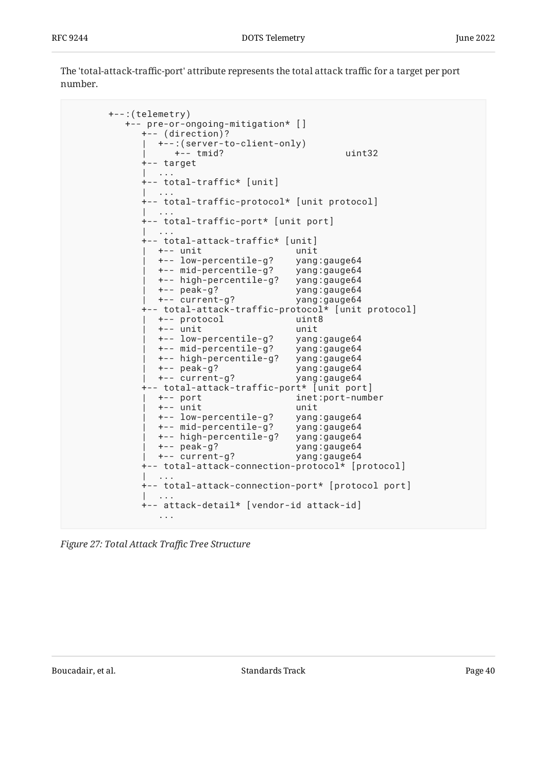The 'total-attack-traffic-port' attribute represents the total attack traffic for a target per port number.

```
 +--:(telemetry)
         +-- pre-or-ongoing-mitigation* []
           +-- (direction)?
           | +--:(server-to-client-only)
               | +-- tmid? uint32
           +-- target
 | ...
           +-- total-traffic* [unit]
           | ...
           +-- total-traffic-protocol* [unit protocol]
 | ...
           +-- total-traffic-port* [unit port]
 | ...
 +-- total-attack-traffic* [unit]
             | +-- unit unit
             | +-- low-percentile-g? yang:gauge64
             | +-- mid-percentile-g? yang:gauge64
             | +-- high-percentile-g? yang:gauge64
             | +-- peak-g? yang:gauge64
             | +-- current-g? yang:gauge64
           +-- total-attack-traffic-protocol* [unit protocol]
 | +-- protocol uint8
 | +-- unit unit
             | +-- low-percentile-g? yang:gauge64
             | +-- mid-percentile-g? yang:gauge64
             | +-- high-percentile-g? yang:gauge64
             | +-- peak-g? yang:gauge64
            | +-- current-g? yang:gauge64
           +-- total-attack-traffic-port* [unit port]
             | +-- port inet:port-number
 | +-- unit unit
 | +-- low-percentile-g? yang:gauge64
             | +-- mid-percentile-g? yang:gauge64
             | +-- high-percentile-g? yang:gauge64
             | +-- peak-g? yang:gauge64
             | +-- current-g? yang:gauge64
           +-- total-attack-connection-protocol* [protocol]
 | ...
           +-- total-attack-connection-port* [protocol port]
             | ...
           +-- attack-detail* [vendor-id attack-id]
 ...
```
*[Figure 27: Total Attack Tra](#page-39-0)fc Tree Structure*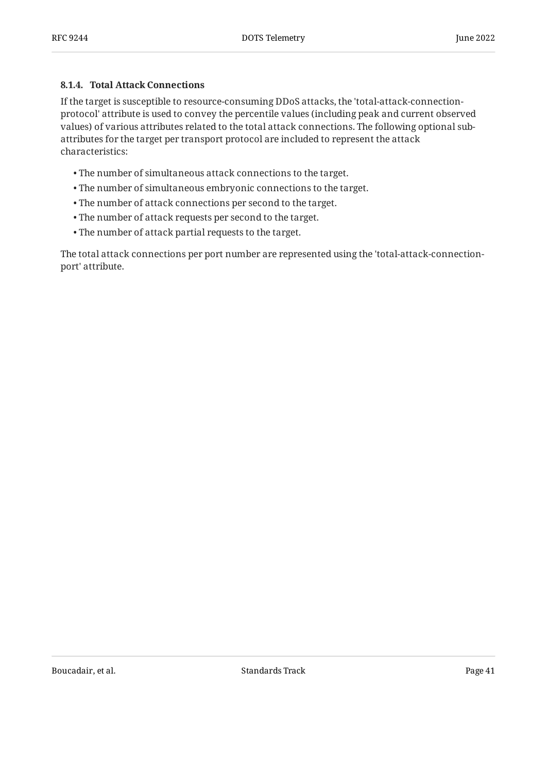#### <span id="page-40-0"></span>**[8.1.4. Total Attack Connections](#page-40-0)**

If the target is susceptible to resource-consuming DDoS attacks, the 'total-attack-connectionprotocol' attribute is used to convey the percentile values (including peak and current observed values) of various attributes related to the total attack connections. The following optional subattributes for the target per transport protocol are included to represent the attack characteristics:

- The number of simultaneous attack connections to the target. •
- The number of simultaneous embryonic connections to the target. •
- The number of attack connections per second to the target. •
- The number of attack requests per second to the target. •
- The number of attack partial requests to the target. •

<span id="page-40-1"></span>The total attack connections per port number are represented using the 'total-attack-connectionport' attribute.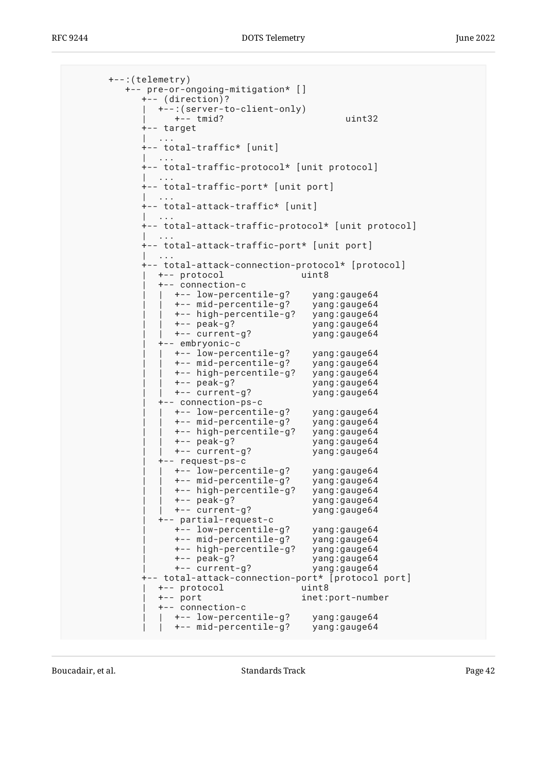```
 +--:(telemetry)
          +-- pre-or-ongoing-mitigation* []
            +-- (direction)?
             | +--:(server-to-client-only)
                 | +-- tmid? uint32
            +-- target
 | ...
             +-- total-traffic* [unit]
 | ...
            +-- total-traffic-protocol* [unit protocol]
 | ...
            +-- total-traffic-port* [unit port]
 | ...
            +-- total-attack-traffic* [unit]
 | ...
            +-- total-attack-traffic-protocol* [unit protocol]
 | ...
            +-- total-attack-traffic-port* [unit port]
 | ...
             +-- total-attack-connection-protocol* [protocol]
              | +-- protocol uint8
               | +-- connection-c
                %t-- low-percentile-g? yang:gauge64<br>+-- mid-percentile-g? yang:gauge64<br>+-- high-percentile-g? yang:gauge64
                 +-- mid-percentile-g?
                  | | +-- high-percentile-g? yang:gauge64
 | | +-- peak-g? yang:gauge64
 | | +-- current-g? yang:gauge64
               | +-- embryonic-c
                 | | +-- low-percentile-g? yang:gauge64
                  | | +-- mid-percentile-g? yang:gauge64
                  | | +-- high-percentile-g? yang:gauge64
                  | | +-- peak-g? yang:gauge64
                 | | +-- current-g? yang:gauge64
               | +-- connection-ps-c
                 | | +-- low-percentile-g? yang:gauge64
                  | | +-- mid-percentile-g? yang:gauge64
                  | | +-- high-percentile-g? yang:gauge64
                                        yang:gauge64
                  | | +-- current-g? yang:gauge64
               | +-- request-ps-c
                 | | +-- low-percentile-g? yang:gauge64
                  | | +-- mid-percentile-g? yang:gauge64
                  | | +-- high-percentile-g? yang:gauge64
 | | +-- peak-g? yang:gauge64
 | | +-- current-g? yang:gauge64
               | +-- partial-request-c
                  | +-- low-percentile-g? yang:gauge64
                  | +-- mid-percentile-g? yang:gauge64
                  | +-- high-percentile-g? yang:gauge64
                  | +-- peak-g? yang:gauge64
                  | +-- current-g? yang:gauge64
             +-- total-attack-connection-port* [protocol port]
               | +-- protocol uint8
               | +-- port inet:port-number
               | +-- connection-c
                 | | +-- low-percentile-g? yang:gauge64
                 | | +-- mid-percentile-g? yang:gauge64
```
Boucadair, et al. The contract of the Standards Track Page 42 and the contract of the Page 42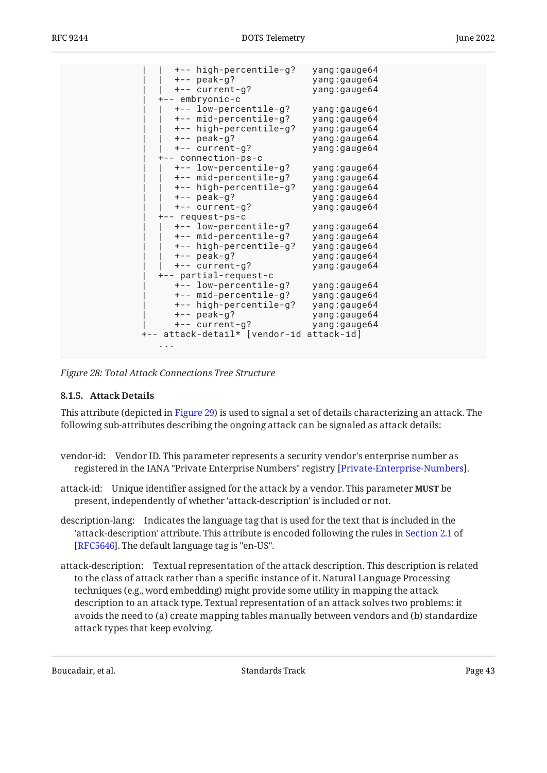| +-- high-percentile-g?<br>$+--$ peak-g?<br>+-- current-g?<br>+-- embryonic-c<br>+-- low-percentile-g?<br>+-- mid-percentile-g?<br>+-- high-percentile-g?<br>$+--$ peak-g?<br>+-- current-g?<br>+-- connection-ps-c<br>+-- low-percentile-g?<br>+-- mid-percentile-g?<br>+-- high-percentile-g?<br>$+--$ peak-g?<br>+-- current-g?<br>+-- request-ps-c<br>+-- low-percentile-g?<br>+-- mid-percentile-g?<br>+-- high-percentile-g?<br>$+--$ peak-g?<br>+-- current-g?<br>+-- partial-request-c<br>+-- low-percentile-g?<br>+-- mid-percentile-g?<br>+-- high-percentile-g? | yang:gauge64<br>yang:gauge64<br>yang:gauge64<br>yang:gauge64<br>yang:gauge64<br>yang:gauge64<br>yang:gauge64<br>yang:gauge64<br>yang:gauge64<br>yang:gauge64<br>yang:gauge64<br>yang:gauge64<br>yang:gauge64<br>yang:gauge64<br>yang:gauge64<br>yang:gauge64<br>yang:gauge64<br>yang:gauge64<br>yang:gauge64<br>yang: gauge64<br>yang:gauge64 |  |
|---------------------------------------------------------------------------------------------------------------------------------------------------------------------------------------------------------------------------------------------------------------------------------------------------------------------------------------------------------------------------------------------------------------------------------------------------------------------------------------------------------------------------------------------------------------------------|-----------------------------------------------------------------------------------------------------------------------------------------------------------------------------------------------------------------------------------------------------------------------------------------------------------------------------------------------|--|
|                                                                                                                                                                                                                                                                                                                                                                                                                                                                                                                                                                           |                                                                                                                                                                                                                                                                                                                                               |  |
| $+--$ peak-g?                                                                                                                                                                                                                                                                                                                                                                                                                                                                                                                                                             | yang:gauge64                                                                                                                                                                                                                                                                                                                                  |  |
| +-- current-g?                                                                                                                                                                                                                                                                                                                                                                                                                                                                                                                                                            | yang:gauge64                                                                                                                                                                                                                                                                                                                                  |  |
| +-- attack-detail* [vendor-id attack-id]                                                                                                                                                                                                                                                                                                                                                                                                                                                                                                                                  |                                                                                                                                                                                                                                                                                                                                               |  |
|                                                                                                                                                                                                                                                                                                                                                                                                                                                                                                                                                                           |                                                                                                                                                                                                                                                                                                                                               |  |
|                                                                                                                                                                                                                                                                                                                                                                                                                                                                                                                                                                           |                                                                                                                                                                                                                                                                                                                                               |  |

<span id="page-42-0"></span>*[Figure 28:](#page-41-0) [Total Attack Connections Tree Structure](#page-40-1)* 

#### **[8.1.5. Attack Details](#page-42-0)**

This attribute (depicted in [Figure 29](#page-44-0)) is used to signal a set of details characterizing an attack. The following sub-attributes describing the ongoing attack can be signaled as attack details:

- vendor-id: Vendor ID. This parameter represents a security vendor's enterprise number as registered in the IANA "Private Enterprise Numbers" registry [Private-Enterprise-Numbers].
- attack-id: Unique identifier assigned for the attack by a vendor. This parameter **MUST** be present, independently of whether 'attack-description' is included or not.
- description-lang: Indicates the language tag that is used for the text that is included in the 'attack-description' attribute. This attribute is encoded following the rules in [Section 2.1](https://www.rfc-editor.org/rfc/rfc5646#section-2.1) of [[RFC5646\]](#page-103-1). The default language tag is "en-US".
- attack-description: Textual representation of the attack description. This description is related to the class of attack rather than a specific instance of it. Natural Language Processing techniques (e.g., word embedding) might provide some utility in mapping the attack description to an attack type. Textual representation of an attack solves two problems: it avoids the need to (a) create mapping tables manually between vendors and (b) standardize attack types that keep evolving.

Boucadair, et al. The contract of the Standards Track Contract Page 43 and the contract Page 43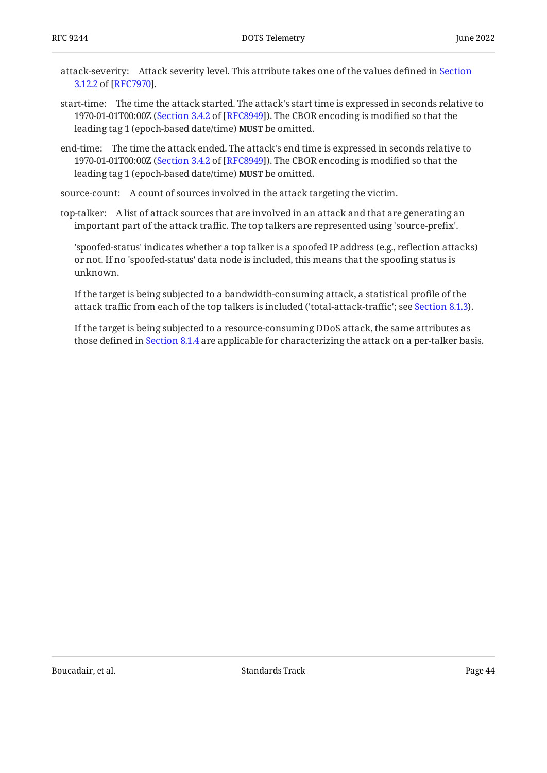- attack-severity: Attack severity level. This attribute takes one of the values defined in [Section](https://www.rfc-editor.org/rfc/rfc7970#section-3.12.2) . [3.12.2](https://www.rfc-editor.org/rfc/rfc7970#section-3.12.2) of [\[RFC7970](#page-104-0)]
- start-time: The time the attack started. The attack's start time is expressed in seconds relative to 1970-01-01T00:00Z ([Section 3.4.2](https://www.rfc-editor.org/rfc/rfc8949#section-3.4.2) of [[RFC8949\]](#page-104-1)). The CBOR encoding is modified so that the leading tag 1 (epoch-based date/time) **MUST** be omitted.
- end-time: The time the attack ended. The attack's end time is expressed in seconds relative to 1970-01-01T00:00Z ([Section 3.4.2](https://www.rfc-editor.org/rfc/rfc8949#section-3.4.2) of [[RFC8949\]](#page-104-1)). The CBOR encoding is modified so that the leading tag 1 (epoch-based date/time) **MUST** be omitted.

source-count: A count of sources involved in the attack targeting the victim.

top-talker: A list of attack sources that are involved in an attack and that are generating an important part of the attack traffic. The top talkers are represented using 'source-prefix'.

'spoofed-status' indicates whether a top talker is a spoofed IP address (e.g., reflection attacks) or not. If no 'spoofed-status' data node is included, this means that the spoofing status is unknown.

If the target is being subjected to a bandwidth-consuming attack, a statistical profile of the attack traffic from each of the top talkers is included ('total-attack-traffic'; see [Section 8.1.3](#page-38-1)).

<span id="page-43-0"></span>If the target is being subjected to a resource-consuming DDoS attack, the same attributes as those defined in [Section 8.1.4](#page-40-0) are applicable for characterizing the attack on a per-talker basis.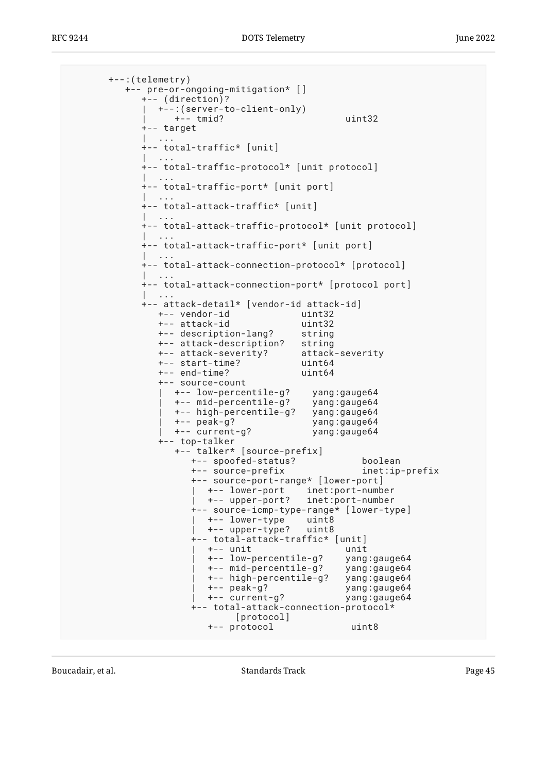```
 +--:(telemetry)
         +-- pre-or-ongoing-mitigation* []
           +-- (direction)?
           | +--:(server-to-client-only)
               | +-- tmid? uint32
           +-- target
 | ...
           +-- total-traffic* [unit]
 | ...
           +-- total-traffic-protocol* [unit protocol]
           | ...
           +-- total-traffic-port* [unit port]
 | ...
           +-- total-attack-traffic* [unit]
 | ...
           +-- total-attack-traffic-protocol* [unit protocol]
 | ...
           +-- total-attack-traffic-port* [unit port]
 | ...
           +-- total-attack-connection-protocol* [protocol]
 | ...
           +-- total-attack-connection-port* [protocol port]
 | ...
           +-- attack-detail* [vendor-id attack-id]
              +-- vendor-id uint32
              +-- attack-id uint32
              +-- description-lang? string
              +-- attack-description? string
              +-- attack-severity? attack-severity
              +-- start-time? uint64
              +-- end-time? uint64
              +-- source-count
                | +-- low-percentile-g? yang:gauge64
 | +-- mid-percentile-g? yang:gauge64
 | +-- high-percentile-g? yang:gauge64
 | +-- peak-g? yang:gauge64
                | +-- current-g? yang:gauge64
              +-- top-talker
                +-- talker* [source-prefix]
                  +-- spoofed-status? boolean
                   +-- source-prefix inet:ip-prefix
                   +-- source-port-range* [lower-port]
 | +-- lower-port inet:port-number
 | +-- upper-port? inet:port-number
                   +-- source-icmp-type-range* [lower-type]
                     | +-- lower-type uint8
                     | +-- upper-type? uint8
                   +-- total-attack-traffic* [unit]
                     | +-- unit unit
                     | +-- low-percentile-g? yang:gauge64
                     | +-- mid-percentile-g? yang:gauge64
                     | +-- high-percentile-g? yang:gauge64
                     | +-- peak-g? yang:gauge64
                    +-- current-g?
                   +-- total-attack-connection-protocol*
                          [protocol]
                     +-- protocol uint8
```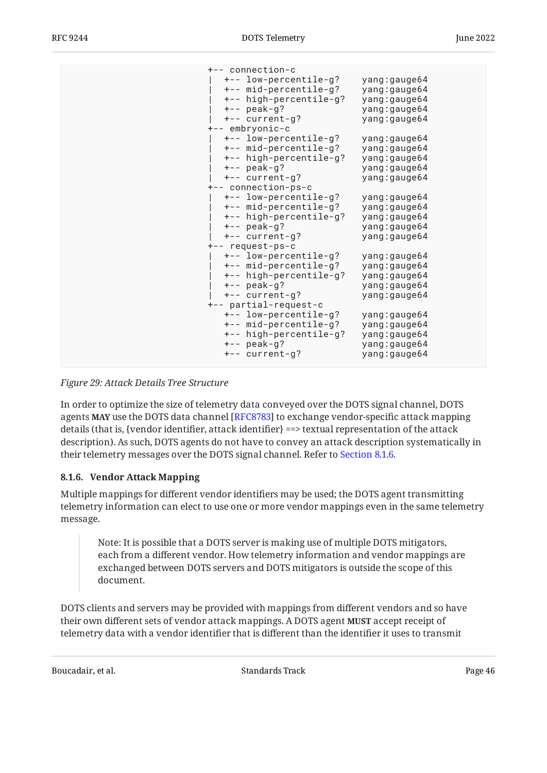| +-- connection-c |                        |              |
|------------------|------------------------|--------------|
|                  | +-- low-percentile-g?  | yang:gauge64 |
|                  | +-- mid-percentile-g?  | yang:gauge64 |
|                  | +-- high-percentile-g? | yang:gauge64 |
| $+--$ peak-g?    |                        | yang:gauge64 |
|                  | +-- current-g?         | yang:gauge64 |
| +-- embryonic-c  |                        |              |
|                  | +-- low-percentile-g?  | yang:gauge64 |
|                  | +-- mid-percentile-g?  | yang:gauge64 |
|                  | +-- high-percentile-g? | yang:gauge64 |
| $+--$ peak-g?    |                        | yang:gauge64 |
|                  | +-- current-g?         | yang:gauge64 |
|                  | +-- connection-ps-c    |              |
|                  | +-- low-percentile-g?  | yang:gauge64 |
|                  | +-- mid-percentile-g?  | yang:gauge64 |
|                  | +-- high-percentile-g? | yang:gauge64 |
| $+--$ peak-g?    |                        | yang:gauge64 |
|                  | +-- current-g?         | yang:gauge64 |
| +-- request-ps-c |                        |              |
|                  | +-- low-percentile-g?  | yang:gauge64 |
|                  | +-- mid-percentile-g?  | yang:gauge64 |
|                  | +-- high-percentile-g? | yang:gauge64 |
| $+--$ peak-g?    |                        | yang:gauge64 |
|                  | +-- current-g?         | yang:gauge64 |
|                  | +-- partial-request-c  |              |
|                  | +-- low-percentile-g?  | yang:gauge64 |
|                  | +-- mid-percentile-g?  | yang:gauge64 |
|                  | +-- high-percentile-g? | yang:gauge64 |
| $+--$ peak-g?    |                        | yang:gauge64 |
|                  | +-- current-g?         | yang:gauge64 |
|                  |                        |              |

*[Figure 29:](#page-44-0) [Attack Details Tree Structure](#page-43-0)* 

In order to optimize the size of telemetry data conveyed over the DOTS signal channel, DOTS agents MAY use the DOTS data channel [RFC8783] to exchange vendor-specific attack mapping details (that is, {vendor identifier, attack identifier} ==> textual representation of the attack description). As such, DOTS agents do not have to convey an attack description systematically in their telemetry messages over the DOTS signal channel. Refer to [Section 8.1.6](#page-45-0).

#### <span id="page-45-0"></span>**[8.1.6. Vendor Attack Mapping](#page-45-0)**

Multiple mappings for different vendor identifiers may be used; the DOTS agent transmitting telemetry information can elect to use one or more vendor mappings even in the same telemetry message.

Note: It is possible that a DOTS server is making use of multiple DOTS mitigators, each from a different vendor. How telemetry information and vendor mappings are exchanged between DOTS servers and DOTS mitigators is outside the scope of this document.

DOTS clients and servers may be provided with mappings from different vendors and so have their own different sets of vendor attack mappings. A DOTS agent **MUST** accept receipt of telemetry data with a vendor identifier that is different than the identifier it uses to transmit

Boucadair, et al. The contract of the Standards Track Contract Page 46 and 2011 11: 12: 13: 14: 14: 15: 16: 16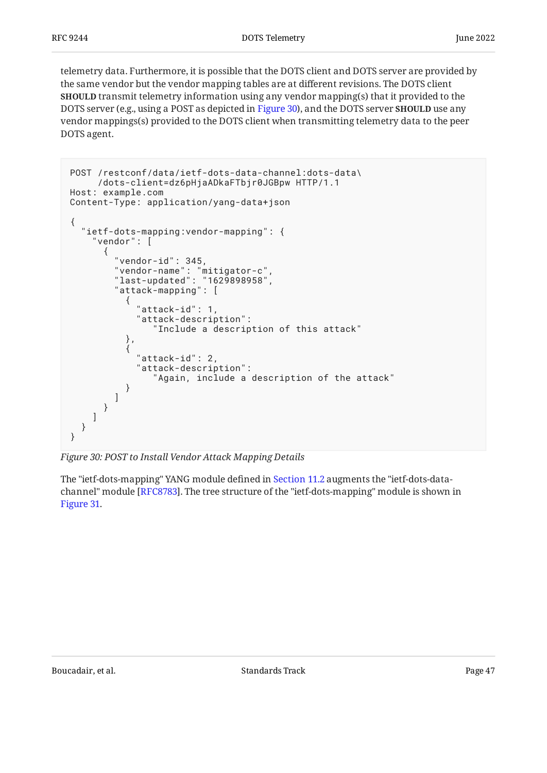telemetry data. Furthermore, it is possible that the DOTS client and DOTS server are provided by the same vendor but the vendor mapping tables are at different revisions. The DOTS client **SHOULD** transmit telemetry information using any vendor mapping(s) that it provided to the DOTS server (e.g., using a POST as depicted in [Figure 30](#page-46-0)), and the DOTS server **SHOULD** use any vendor mappings(s) provided to the DOTS client when transmitting telemetry data to the peer DOTS agent.

```
POST /restconf/data/ietf-dots-data-channel:dots-data\
     /dots-client=dz6pHjaADkaFTbjr0JGBpw HTTP/1.1
Host: example.com
Content-Type: application/yang-data+json
{
   "ietf-dots-mapping:vendor-mapping": {
     "vendor": [
       {
         "vendor-id": 345,
 "vendor-name": "mitigator-c",
 "last-updated": "1629898958",
         "attack-mapping": [
\{ "attack-id": 1,
             "attack-description":
                "Include a description of this attack"
           },
\{ "attack-id": 2,
             "attack-description":
                "Again, include a description of the attack"
 }
        ]
      }
    ]
  }
}
```
*[Figure 30: POST to Install Vendor Attack Mapping Details](#page-46-0)* 

<span id="page-46-1"></span>The "ietf-dots-mapping" YANG module defined in [Section 11.2](#page-89-0) augments the "ietf-dots-datachannel" module [RFC8783]. The tree structure of the "ietf-dots-mapping" module is shown in [Figure 31.](#page-47-0)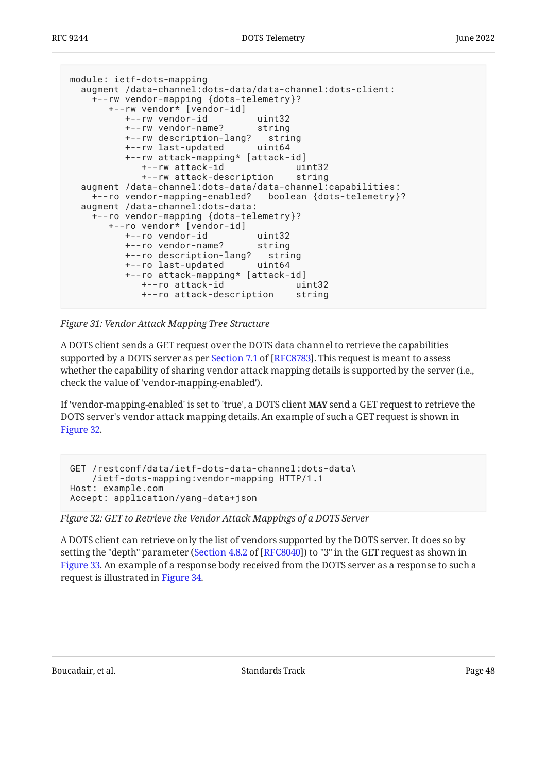```
module: ietf-dots-mapping
  augment /data-channel:dots-data/data-channel:dots-client:
    +--rw vendor-mapping {dots-telemetry}?
       +--rw vendor* [vendor-id]
 +--rw vendor-id uint32
 +--rw vendor-name? string
 +--rw description-lang? string
 +--rw last-updated uint64
          +--rw attack-mapping* [attack-id]
            +--rw attack-id uint32
            +--rw attack-description string
  augment /data-channel:dots-data/data-channel:capabilities:
    +--ro vendor-mapping-enabled? boolean {dots-telemetry}?
  augment /data-channel:dots-data:
    +--ro vendor-mapping {dots-telemetry}?
       +--ro vendor* [vendor-id]
         +--ro vendor-id uint32
         +--ro vendor-name? string
         +--ro description-lang? string
         +--ro last-updated uint64
          +--ro attack-mapping* [attack-id]
           +--ro attack-id
            +--ro attack-description string
```
*[Figure 31:](#page-47-0) [Vendor Attack Mapping Tree Structure](#page-46-1)* 

A DOTS client sends a GET request over the DOTS data channel to retrieve the capabilities supportedby a DOTS server as per Section 7.1 of [RFC8783]. This request is meant to assess whether the capability of sharing vendor attack mapping details is supported by the server (i.e., check the value of 'vendor-mapping-enabled').

If 'vendor-mapping-enabled' is set to 'true', a DOTS client **MAY** send a GET request to retrieve the DOTS server's vendor attack mapping details. An example of such a GET request is shown in [Figure 32.](#page-47-1)

```
GET /restconf/data/ietf-dots-data-channel:dots-data\
     /ietf-dots-mapping:vendor-mapping HTTP/1.1
Host: example.com
Accept: application/yang-data+json
```
*[Figure 32: GET to Retrieve the Vendor Attack Mappings of a DOTS Server](#page-47-1)* 

<span id="page-47-2"></span>A DOTS client can retrieve only the list of vendors supported by the DOTS server. It does so by setting the "depth" parameter ([Section 4.8.2](https://www.rfc-editor.org/rfc/rfc8040#section-4.8.2) of [\[RFC8040\]](#page-104-3)) to "3" in the GET request as shown in [Figure 33.](#page-48-0) An example of a response body received from the DOTS server as a response to such a request is illustrated in [Figure 34.](#page-48-1)

Boucadair, et al. The contract of the Standards Track Contract Page 48 and 2011 11: 12: 13: 14: 14: 15: 16: 16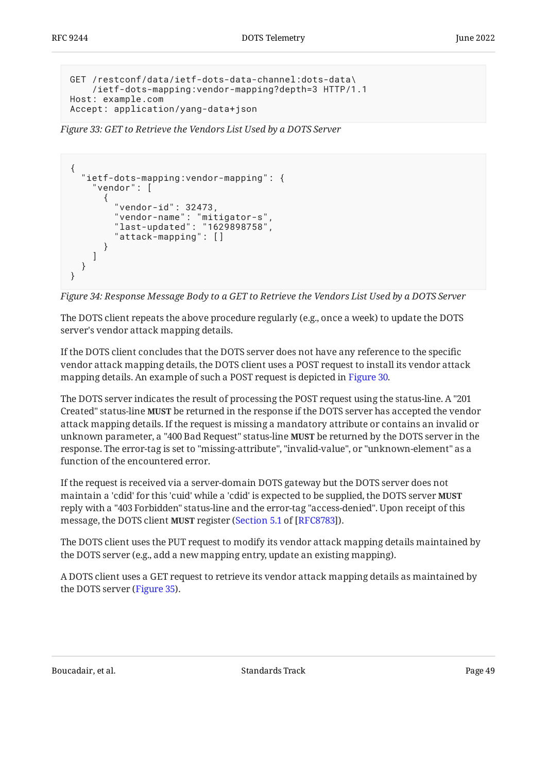```
GET /restconf/data/ietf-dots-data-channel:dots-data\
    /ietf-dots-mapping:vendor-mapping?depth=3 HTTP/1.1
Host: example.com
Accept: application/yang-data+json
```
<span id="page-48-1"></span>*[Figure 33:](#page-48-0) [GET to Retrieve the Vendors List Used by a DOTS Server](#page-47-2)* 

```
{
   "ietf-dots-mapping:vendor-mapping": {
     "vendor": [
       {
         "vendor-id": 32473,
 "vendor-name": "mitigator-s",
 "last-updated": "1629898758",
 "attack-mapping": []
      }
    ]
  }
}
```
*[Figure 34: Response Message Body to a GET to Retrieve the Vendors List Used by a DOTS Server](#page-48-1)* 

The DOTS client repeats the above procedure regularly (e.g., once a week) to update the DOTS server's vendor attack mapping details.

If the DOTS client concludes that the DOTS server does not have any reference to the specific vendor attack mapping details, the DOTS client uses a POST request to install its vendor attack mapping details. An example of such a POST request is depicted in [Figure 30](#page-46-0).

The DOTS server indicates the result of processing the POST request using the status-line. A "201 Created" status-line **MUST** be returned in the response if the DOTS server has accepted the vendor attack mapping details. If the request is missing a mandatory attribute or contains an invalid or unknown parameter, a "400 Bad Request" status-line **MUST** be returned by the DOTS server in the response. The error-tag is set to "missing-attribute", "invalid-value", or "unknown-element" as a function of the encountered error.

If the request is received via a server-domain DOTS gateway but the DOTS server does not maintain a 'cdid' for this 'cuid' while a 'cdid' is expected to be supplied, the DOTS server **MUST** reply with a "403 Forbidden" status-line and the error-tag "access-denied". Upon receipt of this message, the DOTS client **MUST** register ([Section 5.1](https://www.rfc-editor.org/rfc/rfc8783#section-5.1) of [[RFC8783\]](#page-104-2)).

The DOTS client uses the PUT request to modify its vendor attack mapping details maintained by the DOTS server (e.g., add a new mapping entry, update an existing mapping).

<span id="page-48-2"></span>A DOTS client uses a GET request to retrieve its vendor attack mapping details as maintained by the DOTS server ([Figure 35\)](#page-49-0).

Boucadair, et al. The contract of the Standards Track Page 49 and the contract of the Page 49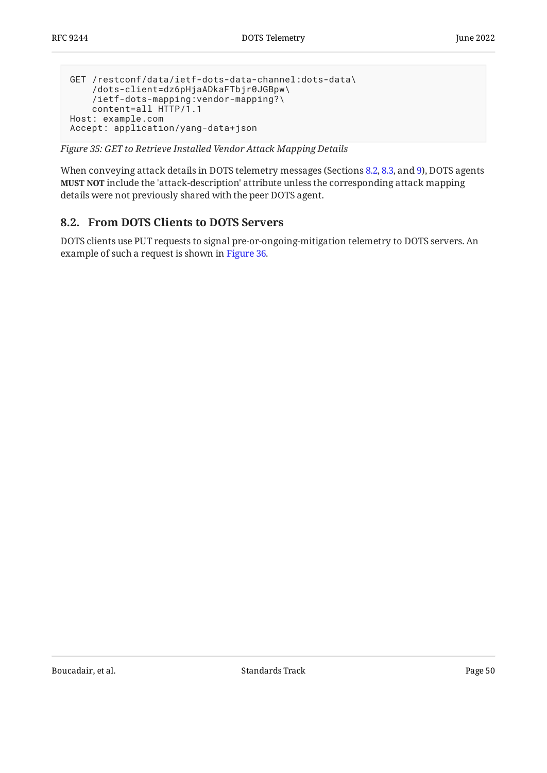```
GET /restconf/data/ietf-dots-data-channel:dots-data\
     /dots-client=dz6pHjaADkaFTbjr0JGBpw\
     /ietf-dots-mapping:vendor-mapping?\
    content=all HTTP/1.1
Host: example.com
Accept: application/yang-data+json
```
*[Figure 35:](#page-49-0) [GET to Retrieve Installed Vendor Attack Mapping Details](#page-48-2)* 

When conveying attack details in DOTS telemetry messages (Sections [8.2,](#page-49-1) [8.3](#page-52-0), and [9\)](#page-56-0), DOTS agents **MUST NOT** include the 'attack-description' attribute unless the corresponding attack mapping details were not previously shared with the peer DOTS agent.

## <span id="page-49-1"></span>**[8.2. From DOTS Clients to DOTS Servers](#page-49-1)**

<span id="page-49-2"></span>DOTS clients use PUT requests to signal pre-or-ongoing-mitigation telemetry to DOTS servers. An example of such a request is shown in [Figure 36.](#page-50-0)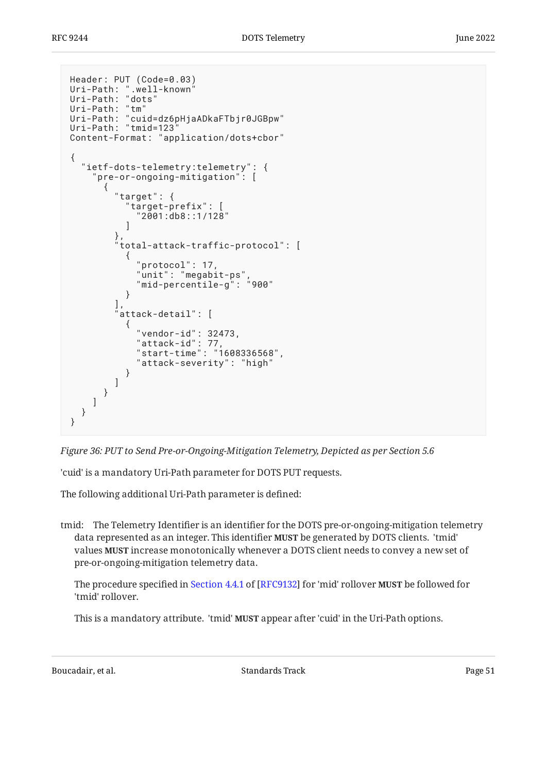```
Header: PUT (Code=0.03)
Uri-Path: ".well-known"
Uri-Path: "dots"
Uri-Path: "tm"
Uri-Path: "cuid=dz6pHjaADkaFTbjr0JGBpw"
Uri-Path: "tmid=123"
Content-Format: "application/dots+cbor"
{
   "ietf-dots-telemetry:telemetry": {
     '\mathsf{pre}\text{-}\mathsf{or}\text{-}\mathsf{ongoing}\text{-}\mathsf{mitigation": [
       {
         "target": {
           "target-prefix": [
           "2001:db8::1/128"
 ]
\},
 "total-attack-traffic-protocol": [
\{ "protocol": 17,
            "unit": "megabit-ps"
           "mid-percentile-g": "900"
 }
         ],
         attack-detail": [
\{ "vendor-id": 32473,
 "attack-id": 77,
 "start-time": "1608336568",
             "attack-severity": "high"
           }
        ]
      }
     ]
   }
}
```
*[Figure 36:](#page-50-0) [PUT to Send Pre-or-Ongoing-Mitigation Telemetry, Depicted as per Section 5.6](#page-49-2)* 

'cuid' is a mandatory Uri-Path parameter for DOTS PUT requests.

The following additional Uri-Path parameter is defined:

tmid: The Telemetry Identifier is an identifier for the DOTS pre-or-ongoing-mitigation telemetry data represented as an integer. This identifier **MUST** be generated by DOTS clients. 'tmid' values **MUST** increase monotonically whenever a DOTS client needs to convey a new set of pre-or-ongoing-mitigation telemetry data.

Theprocedure specified in Section 4.4.1 of [RFC9132] for 'mid' rollover **MUST** be followed for 'tmid' rollover.

This is a mandatory attribute. 'tmid' **MUST** appear after 'cuid' in the Uri-Path options.

Boucadair, et al. The standards Track Controllering the Standards Track Page 51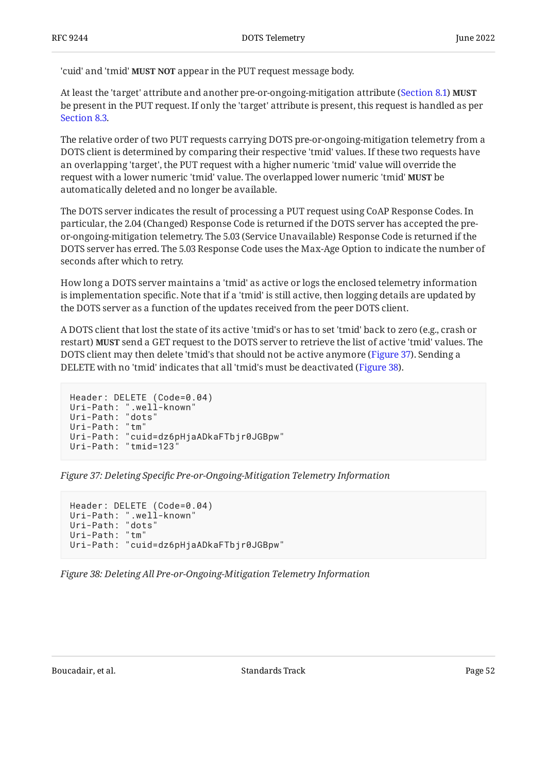'cuid' and 'tmid' **MUST NOT** appear in the PUT request message body.

At least the 'target' attribute and another pre-or-ongoing-mitigation attribute [\(Section 8.1](#page-35-0)) **MUST** be present in the PUT request. If only the 'target' attribute is present, this request is handled as per [Section 8.3](#page-52-0).

The relative order of two PUT requests carrying DOTS pre-or-ongoing-mitigation telemetry from a DOTS client is determined by comparing their respective 'tmid' values. If these two requests have an overlapping 'target', the PUT request with a higher numeric 'tmid' value will override the request with a lower numeric 'tmid' value. The overlapped lower numeric 'tmid' **MUST** be automatically deleted and no longer be available.

The DOTS server indicates the result of processing a PUT request using CoAP Response Codes. In particular, the 2.04 (Changed) Response Code is returned if the DOTS server has accepted the preor-ongoing-mitigation telemetry. The 5.03 (Service Unavailable) Response Code is returned if the DOTS server has erred. The 5.03 Response Code uses the Max-Age Option to indicate the number of seconds after which to retry.

How long a DOTS server maintains a 'tmid' as active or logs the enclosed telemetry information is implementation specific. Note that if a 'tmid' is still active, then logging details are updated by the DOTS server as a function of the updates received from the peer DOTS client.

A DOTS client that lost the state of its active 'tmid's or has to set 'tmid' back to zero (e.g., crash or restart) **MUST** send a GET request to the DOTS server to retrieve the list of active 'tmid' values. The DOTS client may then delete 'tmid's that should not be active anymore ([Figure 37\)](#page-51-0). Sending a DELETE with no 'tmid' indicates that all 'tmid's must be deactivated ([Figure 38\)](#page-51-1).

```
Header: DELETE (Code=0.04)
Uri-Path: ".well-known"
Uri-Path: "dots"
Uri-Path: "tm"
Uri-Path: "cuid=dz6pHjaADkaFTbjr0JGBpw"
Uri-Path: "tmid=123"
```
*[Figure 37:](#page-51-0) Deleting Specifi[c Pre-or-Ongoing-Mitigation Telemetry Information](#page-51-0)* 

```
Header: DELETE (Code=0.04)
Uri-Path: ".well-known"
Uri-Path: "dots"
Uri-Path: "tm"
Uri-Path: "cuid=dz6pHjaADkaFTbjr0JGBpw"
```
*[Figure 38: Deleting All Pre-or-Ongoing-Mitigation Telemetry Information](#page-51-1)* 

Boucadair, et al. The standards Track Page 52 and a standards Track Page 52 and a standards Track Page 52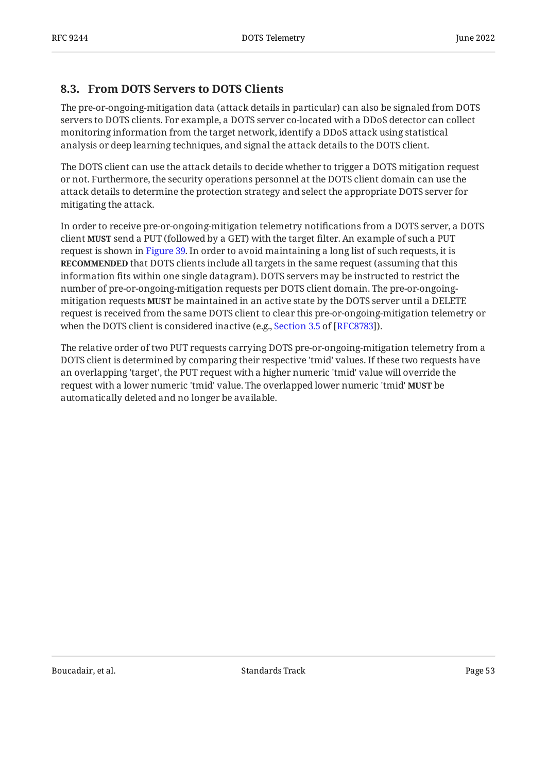## <span id="page-52-0"></span>**[8.3. From DOTS Servers to DOTS Clients](#page-52-0)**

The pre-or-ongoing-mitigation data (attack details in particular) can also be signaled from DOTS servers to DOTS clients. For example, a DOTS server co-located with a DDoS detector can collect monitoring information from the target network, identify a DDoS attack using statistical analysis or deep learning techniques, and signal the attack details to the DOTS client.

The DOTS client can use the attack details to decide whether to trigger a DOTS mitigation request or not. Furthermore, the security operations personnel at the DOTS client domain can use the attack details to determine the protection strategy and select the appropriate DOTS server for mitigating the attack.

In order to receive pre-or-ongoing-mitigation telemetry notifications from a DOTS server, a DOTS client **MUST** send a PUT (followed by a GET) with the target filter. An example of such a PUT request is shown in [Figure 39.](#page-53-0) In order to avoid maintaining a long list of such requests, it is **RECOMMENDED** that DOTS clients include all targets in the same request (assuming that this information fits within one single datagram). DOTS servers may be instructed to restrict the number of pre-or-ongoing-mitigation requests per DOTS client domain. The pre-or-ongoingmitigation requests **MUST** be maintained in an active state by the DOTS server until a DELETE request is received from the same DOTS client to clear this pre-or-ongoing-mitigation telemetry or whenthe DOTS client is considered inactive (e.g., Section 3.5 of [RFC8783]).

<span id="page-52-1"></span>The relative order of two PUT requests carrying DOTS pre-or-ongoing-mitigation telemetry from a DOTS client is determined by comparing their respective 'tmid' values. If these two requests have an overlapping 'target', the PUT request with a higher numeric 'tmid' value will override the request with a lower numeric 'tmid' value. The overlapped lower numeric 'tmid' **MUST** be automatically deleted and no longer be available.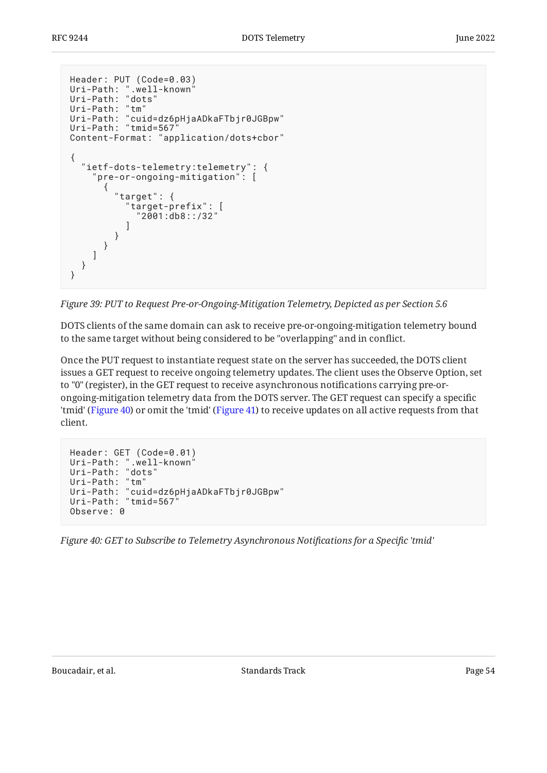```
Header: PUT (Code=0.03)
Uri-Path: ".well-known"
Uri-Path: "dots"
Uri-Path: "tm"
Uri-Path: "cuid=dz6pHjaADkaFTbjr0JGBpw"
Uri-Path: "tmid=567"
Content-Format: "application/dots+cbor"
{
   "ietf-dots-telemetry:telemetry": {
      '\mathsf{pre}\text{-}\mathsf{or}\text{-}\mathsf{ongoing}\text{-}\mathsf{mitigation": [
        {
           "target": {
              "target-prefix": [
                "2001:db8::/32"
 ]
          }
       }
     ]
   }
}
```
*[Figure 39:](#page-53-0) [PUT to Request Pre-or-Ongoing-Mitigation Telemetry, Depicted as per Section 5.6](#page-52-1)* 

DOTS clients of the same domain can ask to receive pre-or-ongoing-mitigation telemetry bound to the same target without being considered to be "overlapping" and in conflict.

Once the PUT request to instantiate request state on the server has succeeded, the DOTS client issues a GET request to receive ongoing telemetry updates. The client uses the Observe Option, set to "0" (register), in the GET request to receive asynchronous notifications carrying pre-orongoing-mitigation telemetry data from the DOTS server. The GET request can specify a specific 'tmid' ([Figure 40\)](#page-53-1) or omit the 'tmid' [\(Figure 41](#page-54-0)) to receive updates on all active requests from that client.

```
Header: GET (Code=0.01)
Uri-Path: ".well-known"
Uri-Path: "dots"
Uri-Path: "tm"
Uri-Path: "cuid=dz6pHjaADkaFTbjr0JGBpw"
Uri-Path: "tmid=567"
Observe: 0
```
<span id="page-53-2"></span>*[Figure 40: GET to Subscribe to Telemetry Asynchronous Noti](#page-53-1)fications for a Specific 'tmid'*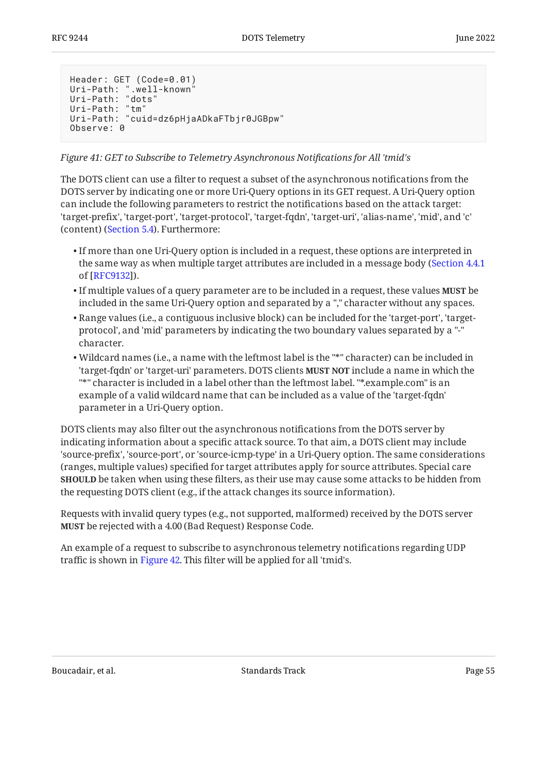```
Header: GET (Code=0.01)
Uri-Path: ".well-known"
Uri-Path: "dots"
Uri-Path: "tm"
Uri-Path: "cuid=dz6pHjaADkaFTbjr0JGBpw"
Observe: 0
```
*[Figure 41:](#page-54-0) [GET to Subscribe to Telemetry Asynchronous Noti](#page-53-2)fications for All 'tmid's* 

The DOTS client can use a filter to request a subset of the asynchronous notifications from the DOTS server by indicating one or more Uri-Query options in its GET request. A Uri-Query option can include the following parameters to restrict the notifications based on the attack target: 'target-prefix', 'target-port', 'target-protocol', 'target-fqdn', 'target-uri', 'alias-name', 'mid', and 'c' (content) ([Section 5.4](#page-12-0)). Furthermore:

- $\bullet$  If more than one Uri-Query option is included in a request, these options are interpreted in the same way as when multiple target attributes are included in a message body ( [Section 4.4.1](https://www.rfc-editor.org/rfc/rfc9132#section-4.4.1) of [[RFC9132\]](#page-104-4)).
- $\bullet$  If multiple values of a query parameter are to be included in a request, these values **MUST** be included in the same Uri-Query option and separated by a "," character without any spaces.
- $\bullet$  Range values (i.e., a contiguous inclusive block) can be included for the 'target-port', 'targetprotocol', and 'mid' parameters by indicating the two boundary values separated by a "-" character.
- Wildcard names (i.e., a name with the leftmost label is the "\*" character) can be included in 'target-fqdn' or 'target-uri' parameters. DOTS clients **MUST NOT** include a name in which the "\*" character is included in a label other than the leftmost label. "\*.example.com" is an example of a valid wildcard name that can be included as a value of the 'target-fqdn' parameter in a Uri-Query option.

DOTS clients may also filter out the asynchronous notifications from the DOTS server by indicating information about a specific attack source. To that aim, a DOTS client may include 'source-prefix', 'source-port', or 'source-icmp-type' in a Uri-Query option. The same considerations (ranges, multiple values) specified for target attributes apply for source attributes. Special care be taken when using these filters, as their use may cause some attacks to be hidden from **SHOULD** the requesting DOTS client (e.g., if the attack changes its source information).

Requests with invalid query types (e.g., not supported, malformed) received by the DOTS server be rejected with a 4.00 (Bad Request) Response Code. **MUST**

<span id="page-54-1"></span>An example of a request to subscribe to asynchronous telemetry notifications regarding UDP traffic is shown in [Figure 42.](#page-55-0) This filter will be applied for all 'tmid's.

Boucadair, et al. Standards Track Page 55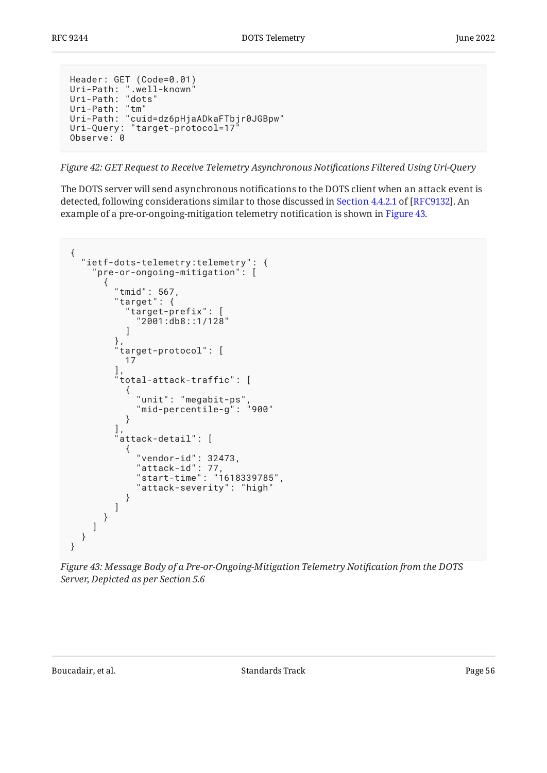```
Header: GET (Code=0.01)
Uri-Path: ".well-known"
Uri-Path: "dots"
Uri-Path: "tm"
Uri-Path: "cuid=dz6pHjaADkaFTbjr0JGBpw"
Uri-Query: "target-protocol=17"
Observe: 0
```
*[Figure 42:](#page-55-0) [GET Request to Receive Telemetry Asynchronous Noti](#page-54-1)fications Filtered Using Uri-Query* 

The DOTS server will send asynchronous notifications to the DOTS client when an attack event is detected,following considerations similar to those discussed in Section 4.4.2.1 of [RFC9132]. An example of a pre-or-ongoing-mitigation telemetry notification is shown in [Figure 43.](#page-55-1)

```
{
   "ietf-dots-telemetry:telemetry": {
    'pre-or-ongoing-mitigation": \overline{)} {
        "tmid": 567,
         "target": {
          "target-prefix": [
          "2001:db8::1/128"
 ]
         },
         "target-protocol": [
          17
 ],
 "total-attack-traffic": [
\{ "unit": "megabit-ps",
 "mid-percentile-g": "900"
 }
\qquad \qquad "attack-detail": [
\{ "vendor-id": 32473,
 "attack-id": 77,
 "start-time": "1618339785",
            "attack-severity": "high"
      \begin{array}{c} \downarrow \\ \downarrow \end{array} ]
 }
\blacksquare }
}
```
*[Figure 43: Message Body of a Pre-or-Ongoing-Mitigation Telemetry Noti](#page-55-1)fication from the DOTS [Server, Depicted as per Section 5.6](#page-55-1)*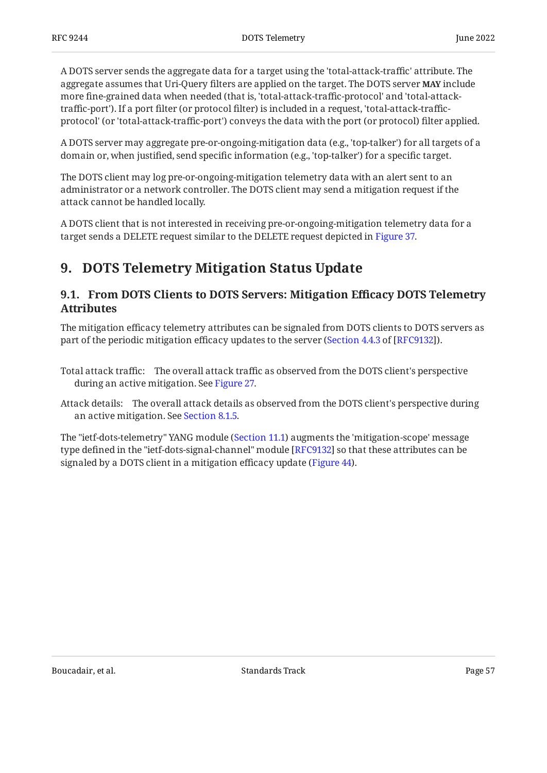A DOTS server sends the aggregate data for a target using the 'total-attack-traffic' attribute. The aggregate assumes that Uri-Query filters are applied on the target. The DOTS server **MAY** include more fine-grained data when needed (that is, 'total-attack-traffic-protocol' and 'total-attacktraffic-port'). If a port filter (or protocol filter) is included in a request, 'total-attack-trafficprotocol' (or 'total-attack-traffic-port') conveys the data with the port (or protocol) filter applied.

A DOTS server may aggregate pre-or-ongoing-mitigation data (e.g., 'top-talker') for all targets of a domain or, when justified, send specific information (e.g., 'top-talker') for a specific target.

The DOTS client may log pre-or-ongoing-mitigation telemetry data with an alert sent to an administrator or a network controller. The DOTS client may send a mitigation request if the attack cannot be handled locally.

<span id="page-56-0"></span>A DOTS client that is not interested in receiving pre-or-ongoing-mitigation telemetry data for a target sends a DELETE request similar to the DELETE request depicted in [Figure 37.](#page-51-0)

# <span id="page-56-1"></span>**[9. DOTS Telemetry Mitigation Status Update](#page-56-0)**

## **[9.1. From DOTS Clients to DOTS Servers: Mitigation E](#page-56-1)fficacy DOTS Telemetry [Attributes](#page-56-1)**

The mitigation efficacy telemetry attributes can be signaled from DOTS clients to DOTS servers as part of the periodic mitigation efficacy updates to the server ([Section 4.4.3](https://www.rfc-editor.org/rfc/rfc9132#section-4.4.3) of [[RFC9132\]](#page-104-4)).

- Total attack traffic: The overall attack traffic as observed from the DOTS client's perspective during an active mitigation. See [Figure 27.](#page-39-0)
- Attack details: The overall attack details as observed from the DOTS client's perspective during an active mitigation. See [Section 8.1.5.](#page-42-0)

<span id="page-56-2"></span>The "ietf-dots-telemetry" YANG module ([Section 11.1\)](#page-63-0) augments the 'mitigation-scope' message type defined in the "ietf-dots-signal-channel" module [RFC9132] so that these attributes can be signaled by a DOTS client in a mitigation efficacy update ([Figure 44\)](#page-57-0).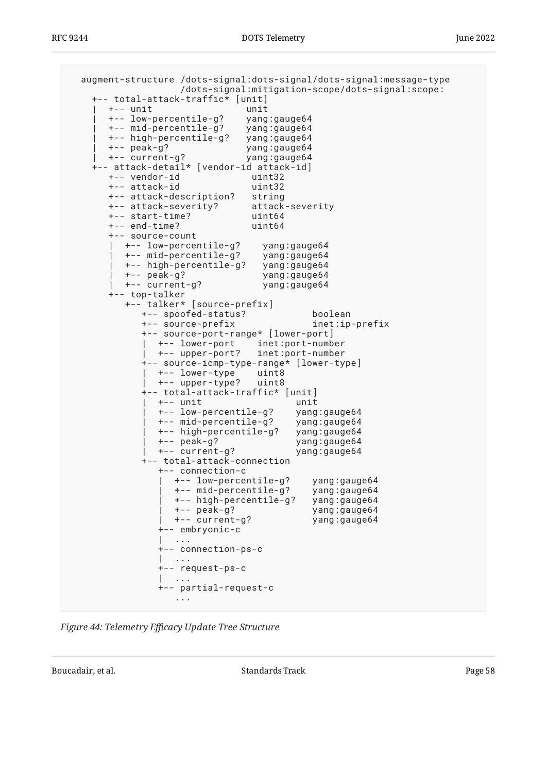```
 augment-structure /dots-signal:dots-signal/dots-signal:message-type
                    /dots-signal:mitigation-scope/dots-signal:scope:
    +-- total-attack-traffic* [unit]
      | +-- unit unit
       | +-- low-percentile-g? yang:gauge64
       | +-- mid-percentile-g? yang:gauge64
       | +-- high-percentile-g? yang:gauge64
       | +-- peak-g? yang:gauge64
       | +-- current-g? yang:gauge64
    +-- attack-detail* [vendor-id attack-id]
       +-- vendor-id uint32
       +-- attack-id uint32
      +-- attack-description?
       +-- attack-severity? attack-severity
       +-- start-time? uint64
       +-- end-time? uint64
       +-- source-count
         | +-- low-percentile-g? yang:gauge64
         | +-- mid-percentile-g? yang:gauge64
         | +-- high-percentile-g? yang:gauge64
         | +-- peak-g? yang:gauge64
         | +-- current-g? yang:gauge64
       +-- top-talker
          +-- talker* [source-prefix]
             +-- spoofed-status? boolean
             +-- source-prefix inet:ip-prefix
             +-- source-port-range* [lower-port]
             | +-- lower-port inet:port-number
               | +-- upper-port? inet:port-number
             +-- source-icmp-type-range* [lower-type]
              | +-- lower-type uint8
               | +-- upper-type? uint8
             +-- total-attack-traffic* [unit]
               | +-- unit unit
               | +-- low-percentile-g? yang:gauge64
               | +-- mid-percentile-g? yang:gauge64
               | +-- high-percentile-g? yang:gauge64
                                       yang:gauge64
               | +-- current-g? yang:gauge64
             +-- total-attack-connection
                +-- connection-c
                 +-- low-percentile-g? yang:gauge64<br>+-- mid-percentile-g? yang:gauge64<br>+-- high-percentile-g? yang:gauge64
                 +-- mid-percentile-g?
                 +-- high-percentile-g?
 | +-- peak-g? yang:gauge64
 | +-- current-g? yang:gauge64
                +-- embryonic-c
                   | ...
                +-- connection-ps-c
                | ...
                +-- request-ps-c
                 | ...
                +-- partial-request-c
                   ...
```
*[Figure 44:](#page-57-0) Telemetry Ef[cacy Update Tree Structure](#page-56-2)* 

Boucadair, et al. The contract of the Standards Track Page 58 and the contract of the Page 58 and the Page 58 and the contract of the Page 58 and the contract of the Page 58 and the contract of the contract of the contract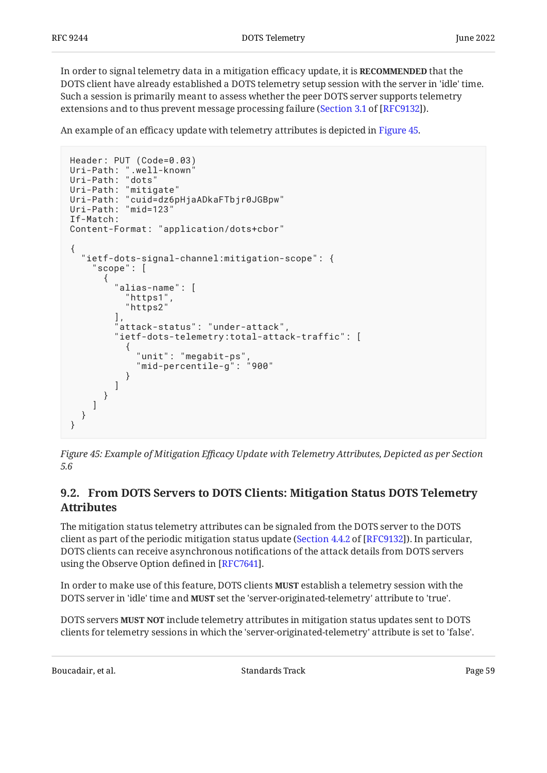In order to signal telemetry data in a mitigation efficacy update, it is **RECOMMENDED** that the DOTS client have already established a DOTS telemetry setup session with the server in 'idle' time. Such a session is primarily meant to assess whether the peer DOTS server supports telemetry extensions and to thus prevent message processing failure ([Section 3.1](https://www.rfc-editor.org/rfc/rfc9132#section-3.1) of [[RFC9132\]](#page-104-4)).

An example of an efficacy update with telemetry attributes is depicted in [Figure 45](#page-58-0).

```
Header: PUT (Code=0.03)
Uri-Path: ".well-known"
Uri-Path: "dots"
Uri-Path: "mitigate"
Uri-Path: "cuid=dz6pHjaADkaFTbjr0JGBpw"
Uri-Path: "mid=123"
If-Match:
Content-Format: "application/dots+cbor"
{
   "ietf-dots-signal-channel:mitigation-scope": {
      "scope": [
       {
         "alias-name": [
          "https1"
           "https2"
\qquad \qquad "attack-status": "under-attack",
         "ietf-dots-telemetry:total-attack-traffic": [
\{ "unit": "megabit-ps",
             "mid-percentile-g": "900"
 }
         ]
      }
    ]
  }
}
```
*[Figure 45:](#page-58-0) Example of Mitigation Ef[cacy Update with Telemetry Attributes, Depicted as per Section](#page-58-0) [5.6](#page-58-0)* 

## <span id="page-58-1"></span>**[9.2. From DOTS Servers to DOTS Clients: Mitigation Status DOTS Telemetry](#page-58-1) [Attributes](#page-58-1)**

The mitigation status telemetry attributes can be signaled from the DOTS server to the DOTS client as part of the periodic mitigation status update ([Section 4.4.2](https://www.rfc-editor.org/rfc/rfc9132#section-4.4.2) of [[RFC9132\]](#page-104-4)). In particular, DOTS clients can receive asynchronous notifications of the attack details from DOTS servers using the Observe Option defined in [\[RFC7641](#page-104-5)].

In order to make use of this feature, DOTS clients **MUST** establish a telemetry session with the DOTS server in 'idle' time and **MUST** set the 'server-originated-telemetry' attribute to 'true'.

DOTS servers **MUST NOT** include telemetry attributes in mitigation status updates sent to DOTS clients for telemetry sessions in which the 'server-originated-telemetry' attribute is set to 'false'.

Boucadair, et al. The contract of the Standards Track Page 59 (1991) 1992 1994 (1993) 1998 (1994) 1998 (1998) 1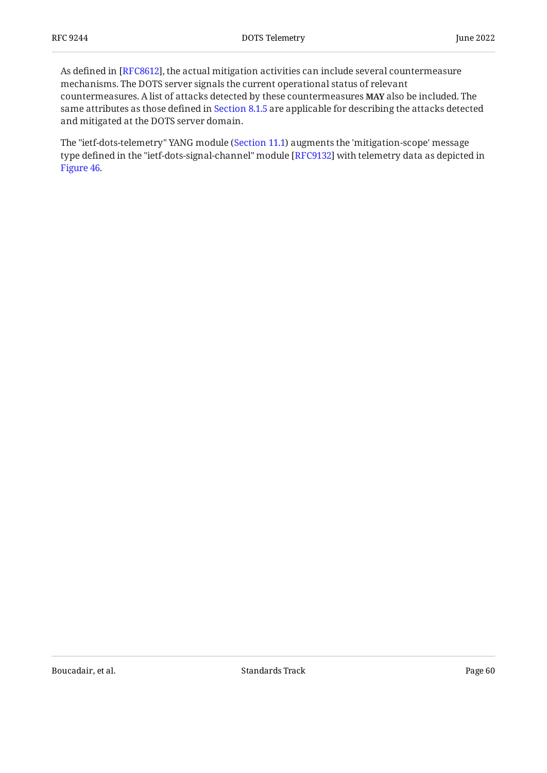As defined in [RFC8612], the actual mitigation activities can include several countermeasure mechanisms. The DOTS server signals the current operational status of relevant countermeasures. A list of attacks detected by these countermeasures **MAY** also be included. The same attributes as those defined in [Section 8.1.5](#page-42-0) are applicable for describing the attacks detected and mitigated at the DOTS server domain.

<span id="page-59-0"></span>The "ietf-dots-telemetry" YANG module ([Section 11.1\)](#page-63-0) augments the 'mitigation-scope' message type defined in the "ietf-dots-signal-channel" module [RFC9132] with telemetry data as depicted in [Figure 46.](#page-60-0)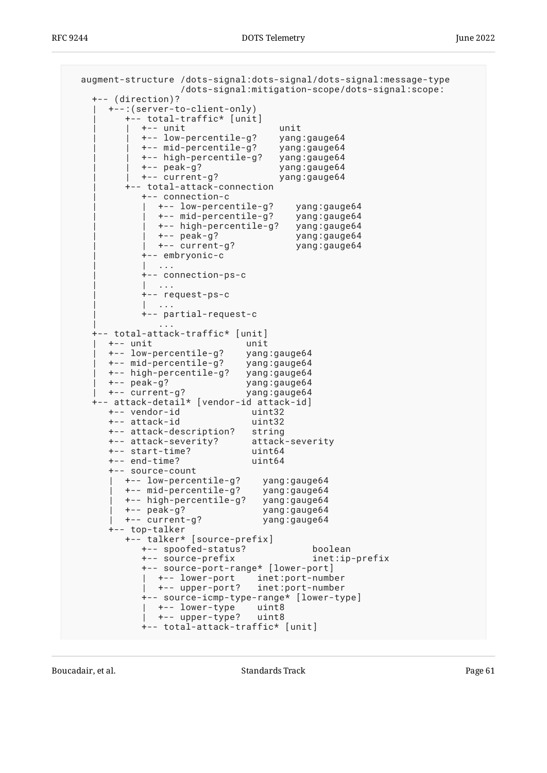```
 augment-structure /dots-signal:dots-signal/dots-signal:message-type
                    /dots-signal:mitigation-scope/dots-signal:scope:
    +-- (direction)?
       | +--:(server-to-client-only)
          | +-- total-traffic* [unit]
 | | +-- unit unit
 | | +-- low-percentile-g? yang:gauge64
             | | +-- mid-percentile-g? yang:gauge64
             | | +-- high-percentile-g? yang:gauge64
             | | +-- peak-g? yang:gauge64
             | | +-- current-g? yang:gauge64
          | +-- total-attack-connection
             | +-- connection-c
               | | +-- low-percentile-g? yang:gauge64
                | | +-- mid-percentile-g? yang:gauge64
                | | +-- high-percentile-g? yang:gauge64
                | | +-- peak-g? yang:gauge64
               | | +-- current-g? yang:gauge64
             | +-- embryonic-c
             | | ...
             | +-- connection-ps-c
              \cdots | +-- request-ps-c
               | | ...
             | +-- partial-request-c
 | ...
    +-- total-attack-traffic* [unit]
      | +-- unit unit
       | +-- low-percentile-g? yang:gauge64
       | +-- mid-percentile-g? yang:gauge64
       | +-- high-percentile-g? yang:gauge64
       | +-- peak-g? yang:gauge64
      | +-- current-g? yang:gauge64
    +-- attack-detail* [vendor-id attack-id]
       +-- vendor-id uint32
       +-- attack-id uint32
       +-- attack-description? string
      +-- attack-severity?
       +-- start-time? uint64
       +-- end-time? uint64
       +-- source-count
        +-- low-percentile-g? yang:gauge64<br>+-- mid-percentile-g? yang:gauge64<br>+-- hjgh-percentils of
         | +-- mid-percentile-g? yang:gauge64
         +-- high-percentile-g?
 | +-- peak-g? yang:gauge64
 | +-- current-g? yang:gauge64
       +-- top-talker
          +-- talker* [source-prefix]
             +-- spoofed-status? boolean
             +-- source-prefix inet:ip-prefix
             +-- source-port-range* [lower-port]
              +-- lower-port    inet:port-number<br>+-- upper-port?   inet:port-number
                                inet:port-number
             +-- source-icmp-type-range* [lower-type]
               | +-- lower-type uint8
               | +-- upper-type? uint8
             +-- total-attack-traffic* [unit]
```
Boucadair, et al. The contract of the Standards Track Page 61 and the contract of the Page 61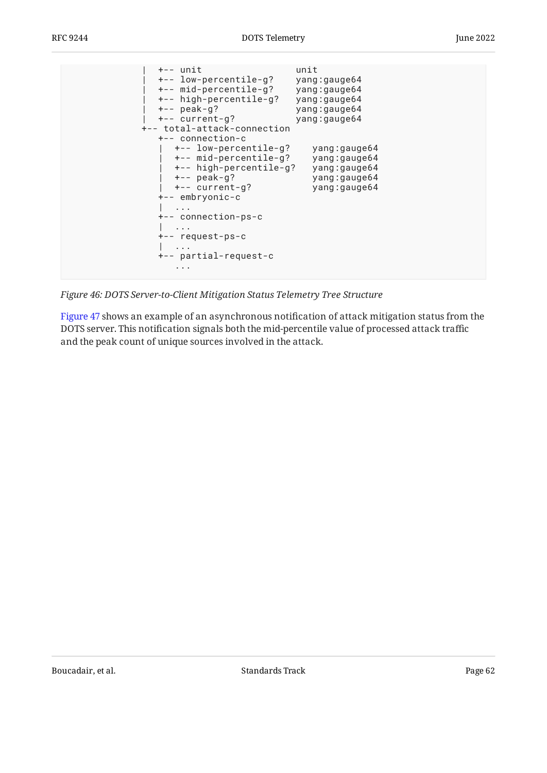

*[Figure 46:](#page-60-0) [DOTS Server-to-Client Mitigation Status Telemetry Tree Structure](#page-59-0)* 

<span id="page-61-0"></span>[Figure 47](#page-62-0) shows an example of an asynchronous notification of attack mitigation status from the DOTS server. This notification signals both the mid-percentile value of processed attack traffic and the peak count of unique sources involved in the attack.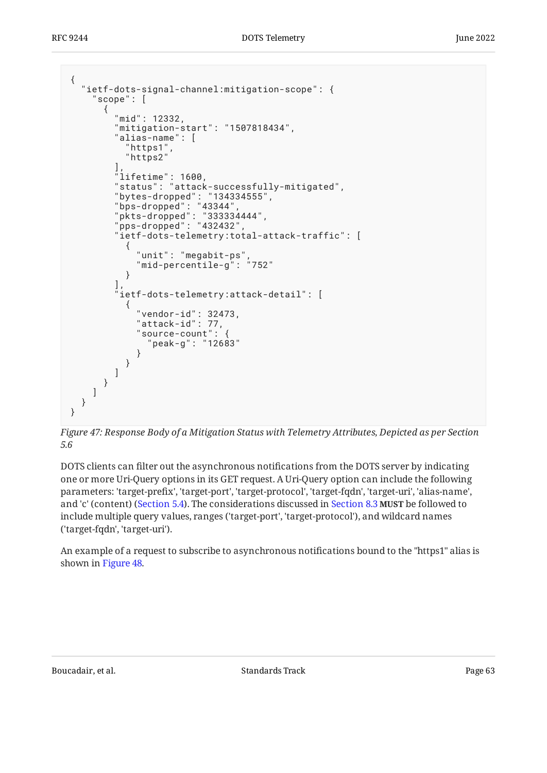```
{
   "ietf-dots-signal-channel:mitigation-scope": {
     "scope": [
      {
        "mid": 12332,
        "mitigation-start": "1507818434",
        "alias-name": [
 "https1",
 "https2"
 ],
 "lifetime": 1600,
 "status": "attack-successfully-mitigated",
 "bytes-dropped": "134334555",
 "bps-dropped": "43344",
 "pkts-dropped": "333334444",
 "pps-dropped": "432432",
        "ietf-dots-telemetry:total-attack-traffic": [
\{ "unit": "megabit-ps",
            "mid-percentile-g": "752"
 }
\qquad \qquad "ietf-dots-telemetry:attack-detail": [
\{ "vendor-id": 32473,
            "attack-id": 77,
            "source-count": {
              "peak-g": "12683"
 }
         }
       ]
     }
    ]
  }
}
```
*[Figure 47:](#page-62-0) [Response Body of a Mitigation Status with Telemetry Attributes, Depicted as per Section](#page-61-0) [5.6](#page-61-0)* 

DOTS clients can filter out the asynchronous notifications from the DOTS server by indicating one or more Uri-Query options in its GET request. A Uri-Query option can include the following parameters: 'target-prefix', 'target-port', 'target-protocol', 'target-fqdn', 'target-uri', 'alias-name', and 'c' (content) ([Section 5.4](#page-12-0)). The considerations discussed in [Section 8.3](#page-52-0) **MUST** be followed to include multiple query values, ranges ('target-port', 'target-protocol'), and wildcard names ('target-fqdn', 'target-uri').

<span id="page-62-1"></span>An example of a request to subscribe to asynchronous notifications bound to the "https1" alias is shown in [Figure 48.](#page-63-1)

Boucadair, et al. The contract of the Standards Track Page 63 and the contract of the Page 63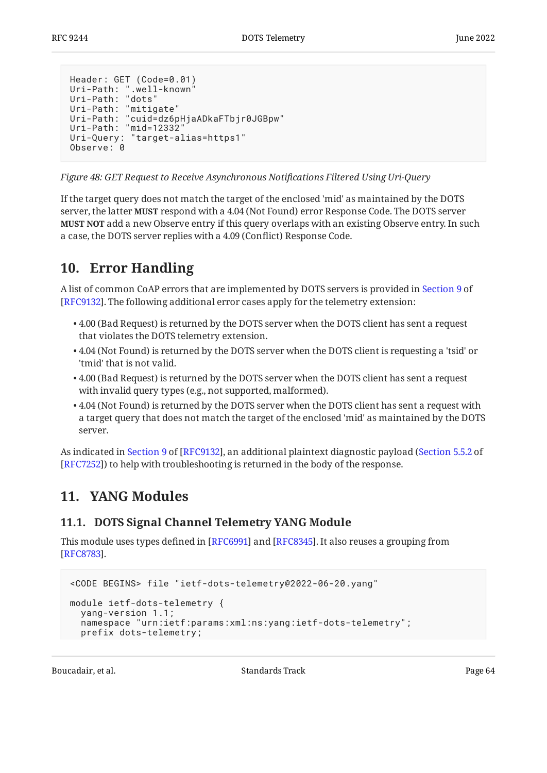```
Header: GET (Code=0.01)
Uri-Path: ".well-known"
Uri-Path: "dots"
Uri-Path: "mitigate"
Uri-Path: "cuid=dz6pHjaADkaFTbjr0JGBpw"
Uri-Path: "mid=12332"
Uri-Query: "target-alias=https1"
Observe: 0
```
*[Figure 48:](#page-63-1) [GET Request to Receive Asynchronous Noti](#page-62-1)fications Filtered Using Uri-Query* 

If the target query does not match the target of the enclosed 'mid' as maintained by the DOTS server, the latter MUST respond with a 4.04 (Not Found) error Response Code. The DOTS server **MUST NOT** add a new Observe entry if this query overlaps with an existing Observe entry. In such a case, the DOTS server replies with a 4.09 (Conflict) Response Code.

## <span id="page-63-2"></span>**[10. Error Handling](#page-63-2)**

A list of common CoAP errors that are implemented by DOTS servers is provided in [Section 9](https://www.rfc-editor.org/rfc/rfc9132#section-9) of . The following additional error cases apply for the telemetry extension: [[RFC9132\]](#page-104-4)

- $\bullet$  4.00 (Bad Request) is returned by the DOTS server when the DOTS client has sent a request that violates the DOTS telemetry extension.
- $\bullet$  4.04 (Not Found) is returned by the DOTS server when the DOTS client is requesting a 'tsid' or 'tmid' that is not valid.
- $\bullet$  4.00 (Bad Request) is returned by the DOTS server when the DOTS client has sent a request with invalid query types (e.g., not supported, malformed).
- $\bullet$  4.04 (Not Found) is returned by the DOTS server when the DOTS client has sent a request with a target query that does not match the target of the enclosed 'mid' as maintained by the DOTS server.

<span id="page-63-3"></span>Asindicated in Section 9 of [RFC9132], an additional plaintext diagnostic payload ([Section 5.5.2](https://www.rfc-editor.org/rfc/rfc7252#section-5.5.2) of [[RFC7252\]](#page-103-2)) to help with troubleshooting is returned in the body of the response.

## <span id="page-63-0"></span>**[11. YANG Modules](#page-63-3)**

## **[11.1. DOTS Signal Channel Telemetry YANG Module](#page-63-0)**

This module uses types defined in [RFC6991] and [RFC8345]. It also reuses a grouping from . [[RFC8783\]](#page-104-2)

```
<CODE BEGINS> file "ietf-dots-telemetry@2022-06-20.yang"
module ietf-dots-telemetry {
   yang-version 1.1;
   namespace "urn:ietf:params:xml:ns:yang:ietf-dots-telemetry";
   prefix dots-telemetry;
```
Boucadair, et al. The standards Track Controllering the Standards Track Page 64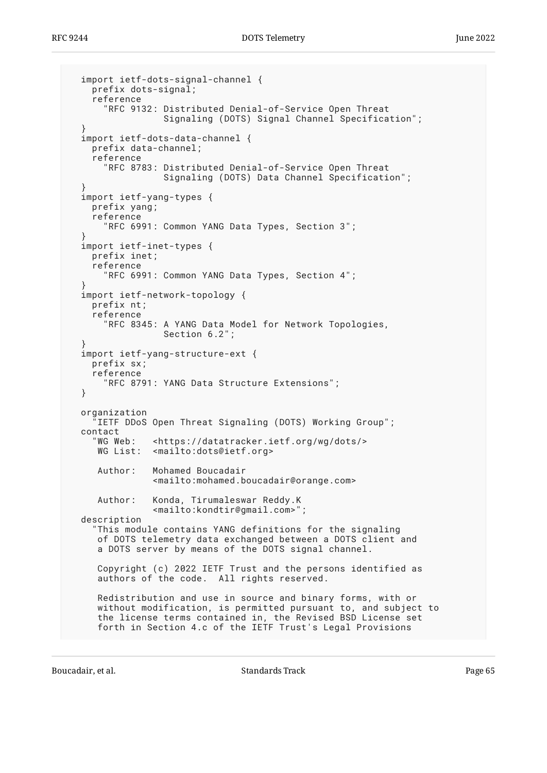```
 import ietf-dots-signal-channel {
    prefix dots-signal;
    reference
      RFC 9132: Distributed Denial-of-Service Open Threat
                 Signaling (DOTS) Signal Channel Specification";
 }
  import ietf-dots-data-channel {
    prefix data-channel;
    reference
       "RFC 8783: Distributed Denial-of-Service Open Threat
                  Signaling (DOTS) Data Channel Specification";
 }
  import ietf-yang-types {
    prefix yang;
    reference
       "RFC 6991: Common YANG Data Types, Section 3";
 }
  import ietf-inet-types {
    prefix inet;
    reference
       "RFC 6991: Common YANG Data Types, Section 4";
 }
  import ietf-network-topology {
    prefix nt;
    reference
       "RFC 8345: A YANG Data Model for Network Topologies,
                  Section 6.2";
 }
  import ietf-yang-structure-ext {
    prefix sx;
    reference
       "RFC 8791: YANG Data Structure Extensions";
  }
  organization
    IETF DDoS Open Threat Signaling (DOTS) Working Group";
 contact<br>"WG Web:
               <https://datatracker.ietf.org/wg/dots/>
    WG List: <mailto:dots@ietf.org>
     Author: Mohamed Boucadair
                <mailto:mohamed.boucadair@orange.com>
     Author: Konda, Tirumaleswar Reddy.K
                <mailto:kondtir@gmail.com>";
  description
     "This module contains YANG definitions for the signaling
     of DOTS telemetry data exchanged between a DOTS client and
     a DOTS server by means of the DOTS signal channel.
     Copyright (c) 2022 IETF Trust and the persons identified as
     authors of the code. All rights reserved.
     Redistribution and use in source and binary forms, with or
     without modification, is permitted pursuant to, and subject to
     the license terms contained in, the Revised BSD License set
     forth in Section 4.c of the IETF Trust's Legal Provisions
```
Boucadair, et al. The contract of the Standards Track Page 65 and the contract of the Page 65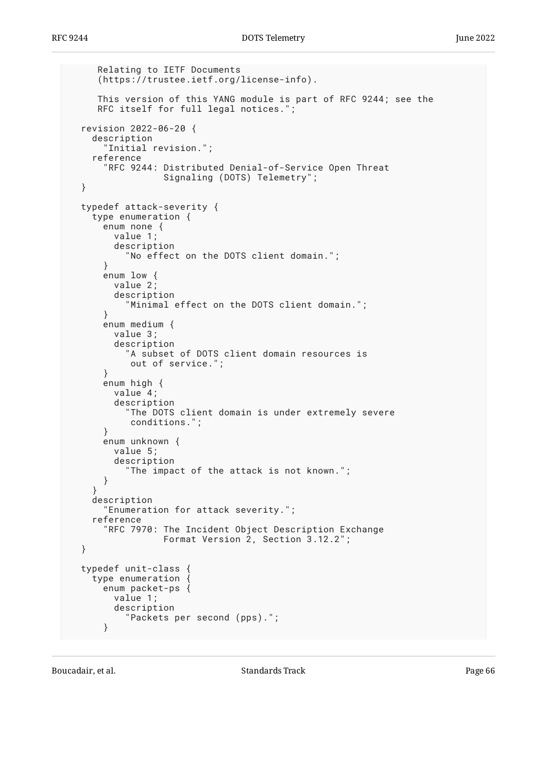```
 Relating to IETF Documents
    (https://trustee.ietf.org/license-info).
    This version of this YANG module is part of RFC 9244; see the
    RFC itself for full legal notices.";
 revision 2022-06-20 {
   description
     "Initial revision.";
   reference
     "RFC 9244: Distributed Denial-of-Service Open Threat
                Signaling (DOTS) Telemetry";
 }
 typedef attack-severity {
   type enumeration {
     enum none {
       value 1;
       description
          "No effect on the DOTS client domain.";
     }
     enum low {
       value 2;
       description
          "Minimal effect on the DOTS client domain.";
     }
     enum medium {
       value 3;
       description
         "A subset of DOTS client domain resources is
          out of service.";
     }
     enum high {
       value 4;
       description
          "The DOTS client domain is under extremely severe
          conditions.";
     }
     enum unknown {
       value 5;
       description
         "The impact of the attack is not known.";
     }
   }
   description
     "Enumeration for attack severity.";
   reference
     "RFC 7970: The Incident Object Description Exchange
                 Format Version 2, Section 3.12.2";
 }
 typedef unit-class {
   type enumeration {
     enum packet-ps {
       value 1;
       description
          "Packets per second (pps).";
     }
```
Boucadair, et al. The contract of the Standards Track Page 66 and the contract of the Page 66 and the Page 66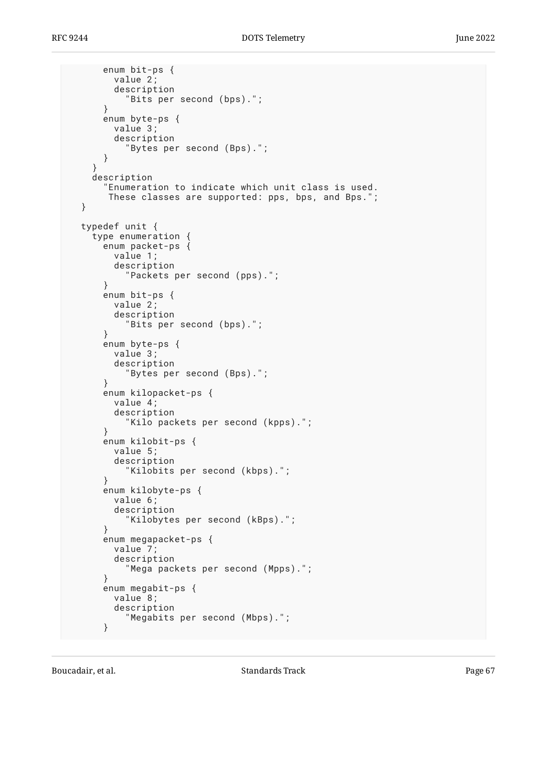```
 enum bit-ps {
       value 2;
       description
          "Bits per second (bps).";
     }
     enum byte-ps {
       value 3;
       description
          "Bytes per second (Bps).";
     }
   }
   description
     "Enumeration to indicate which unit class is used.
      These classes are supported: pps, bps, and Bps.";
 }
 typedef unit {
   type enumeration {
     enum packet-ps {
       value 1;
       description
          "Packets per second (pps).";
     }
     enum bit-ps {
       value 2;
       description
          "Bits per second (bps).";
     }
     enum byte-ps {
       value 3;
       description
          "Bytes per second (Bps).";
     }
     enum kilopacket-ps {
       value 4;
       description
          "Kilo packets per second (kpps).";
     }
     enum kilobit-ps {
       value 5;
       description
          "Kilobits per second (kbps).";
     }
     enum kilobyte-ps {
       value 6;
       description
          "Kilobytes per second (kBps).";
     }
     enum megapacket-ps {
       value 7;
       description
          "Mega packets per second (Mpps).";
     }
     enum megabit-ps {
       value 8;
       description
          "Megabits per second (Mbps).";
     }
```
Boucadair, et al. The contract of the Standards Track Page 67 and the contract of the Page 67 and 2011 and 2012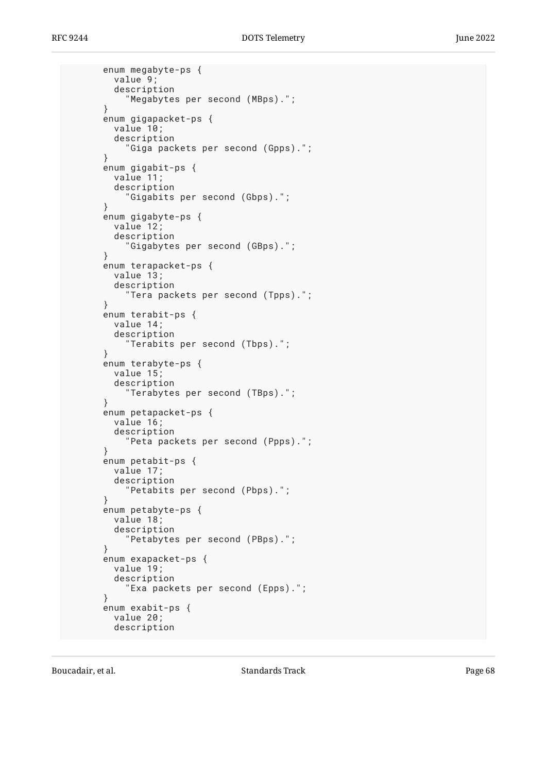```
 enum megabyte-ps {
   value 9;
   description
     "Megabytes per second (MBps).";
 }
 enum gigapacket-ps {
   value 10;
   description
     "Giga packets per second (Gpps).";
 }
 enum gigabit-ps {
   value 11;
   description
     "Gigabits per second (Gbps).";
 }
 enum gigabyte-ps {
   value 12;
   description
     "Gigabytes per second (GBps).";
 }
 enum terapacket-ps {
   value 13;
   description
     "Tera packets per second (Tpps).";
 }
 enum terabit-ps {
   value 14;
   description
     "Terabits per second (Tbps).";
 }
 enum terabyte-ps {
   value 15;
   description
     "Terabytes per second (TBps).";
 }
 enum petapacket-ps {
   value 16;
   description
     "Peta packets per second (Ppps).";
 }
 enum petabit-ps {
   value 17;
   description
      "Petabits per second (Pbps).";
 }
 enum petabyte-ps {
   value 18;
   description
     "Petabytes per second (PBps).";
 }
 enum exapacket-ps {
   value 19;
   description
     "Exa packets per second (Epps).";
 }
 enum exabit-ps {
   value 20;
   description
```
Boucadair, et al. The contract of the Standards Track Page 68 and the contract of the Page 68 and the Page 68 and the contract of the Page 68 and the contract of the Page 68 and the contract of the contract of the contract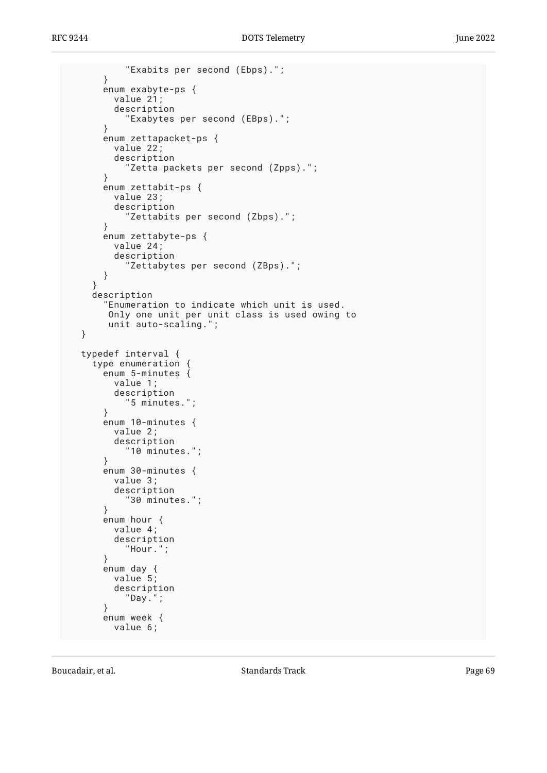```
 "Exabits per second (Ebps).";
     }
     enum exabyte-ps {
       value 21;
       description
          "Exabytes per second (EBps).";
     }
     enum zettapacket-ps {
       value 22;
       description
          "Zetta packets per second (Zpps).";
     }
     enum zettabit-ps {
       value 23;
       description
          "Zettabits per second (Zbps).";
     }
     enum zettabyte-ps {
       value 24;
       description
          "Zettabytes per second (ZBps).";
     }
   }
   description
     "Enumeration to indicate which unit is used.
      Only one unit per unit class is used owing to
      unit auto-scaling.";
 }
 typedef interval {
   type enumeration {
     enum 5-minutes {
       value 1;
       description
          "5 minutes.";
     }
     enum 10-minutes {
       value 2;
       description
         "10 minutes.";
     }
     enum 30-minutes {
       value 3;
       description
          "30 minutes.";
     }
     enum hour {
       value 4;
       description
          "Hour.";
     }
     enum day {
       value 5;
       description
         "Day.";
     }
     enum week {
       value 6;
```
Boucadair, et al. The contract of the Standards Track Page 69 and the contract of the Page 69 and the Page 69 and the contract of the Page 69 and the contract of the Page 69 and the contract of the contract of the contract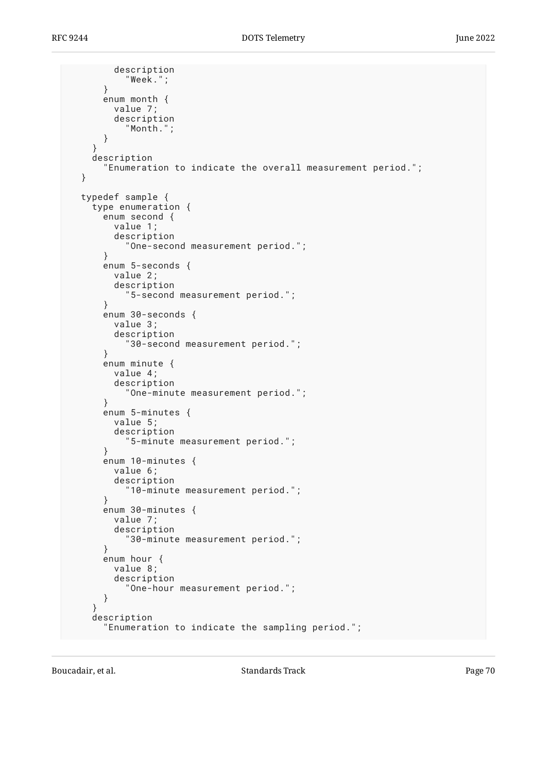```
 description
          "Week.";
     }
     enum month {
       value 7;
       description
          "Month.";
     }
   }
   description
     "Enumeration to indicate the overall measurement period.";
 }
 typedef sample {
   type enumeration {
     enum second {
       value 1;
       description
          "One-second measurement period.";
     }
     enum 5-seconds {
       value 2;
       description
          "5-second measurement period.";
     }
     enum 30-seconds {
       value 3;
       description
          "30-second measurement period.";
     }
     enum minute {
       value 4;
       description
          "One-minute measurement period.";
     }
     enum 5-minutes {
       value 5;
       description
          "5-minute measurement period.";
     }
     enum 10-minutes {
       value 6;
       description
          "10-minute measurement period.";
     }
     enum 30-minutes {
       value 7;
       description
          "30-minute measurement period.";
     }
     enum hour {
       value 8;
       description
          "One-hour measurement period.";
     }
   }
   description
     "Enumeration to indicate the sampling period.";
```
Boucadair, et al. The contract of the Standards Track Page 70 and the Page 70 and the Page 70 and the Page 70 and the Page 70 and the Page 70 and the Page 70 and the Page 70 and the Page 70 and the Page 70 and the Page 70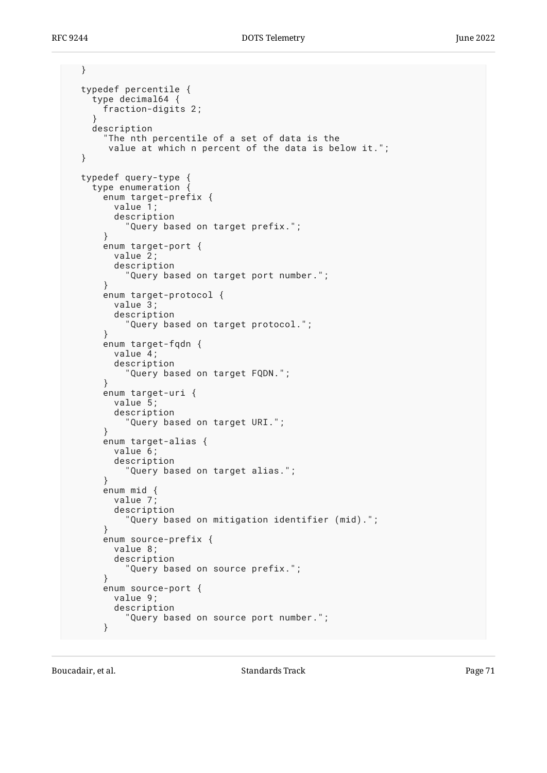```
 }
  typedef percentile {
     type decimal64 {
       fraction-digits 2;
 }
     description
      "The nth percentile of a set of data is the
       value at which n percent of the data is below it.";
  }
  typedef query-type {
     type enumeration {
       enum target-prefix {
         value 1;
         description
            "Query based on target prefix.";
       }
       enum target-port {
         value 2;
         description
            "Query based on target port number.";
       }
       enum target-protocol {
         value 3;
         description
            "Query based on target protocol.";
       }
       enum target-fqdn {
         value 4;
         description
            "Query based on target FQDN.";
       }
       enum target-uri {
         value 5;
         description
            "Query based on target URI.";
       }
       enum target-alias {
         value 6;
         description
            "Query based on target alias.";
       }
       enum mid {
         value 7;
         description
            "Query based on mitigation identifier (mid).";
       }
       enum source-prefix {
         value 8;
         description
            "Query based on source prefix.";
       }
       enum source-port {
         value 9;
         description
            "Query based on source port number.";
       }
```
Boucadair, et al. The standards Track Controller and the Standards Track Page 71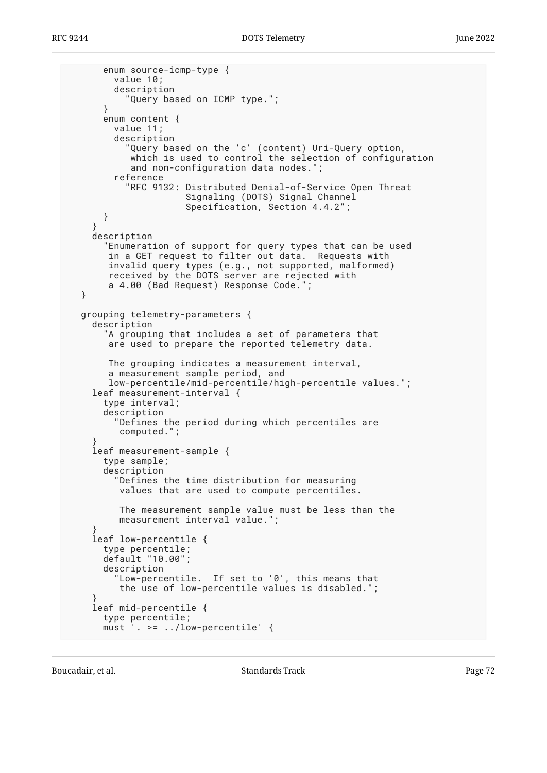```
 enum source-icmp-type {
         value 10;
         description
           "Query based on ICMP type.";
       }
       enum content {
         value 11;
         description
           "Query based on the 'c' (content) Uri-Query option,
            which is used to control the selection of configuration
            and non-configuration data nodes.";
         reference
           "RFC 9132: Distributed Denial-of-Service Open Threat
                       Signaling (DOTS) Signal Channel
                       Specification, Section 4.4.2";
       }
 }
     description
       "Enumeration of support for query types that can be used
        in a GET request to filter out data. Requests with
        invalid query types (e.g., not supported, malformed)
        received by the DOTS server are rejected with
        a 4.00 (Bad Request) Response Code.";
  }
  grouping telemetry-parameters {
     description
        "A grouping that includes a set of parameters that
        are used to prepare the reported telemetry data.
        The grouping indicates a measurement interval,
        a measurement sample period, and
        low-percentile/mid-percentile/high-percentile values.";
    leaf measurement-interval {
       type interval;
       description
         "Defines the period during which percentiles are
          computed.";
     }
     leaf measurement-sample {
       type sample;
       description
         "Defines the time distribution for measuring
          values that are used to compute percentiles.
          The measurement sample value must be less than the
         measurement interval value."
 }
     leaf low-percentile {
       type percentile;
       default "10.00";
       description
         "Low-percentile. If set to '0', this means that
          the use of low-percentile values is disabled.";
 }
     leaf mid-percentile {
      type percentile;<br>must '. >= ../lo
            \cdot >= \cdot./low-percentile' {
```
Boucadair, et al. The standards Track Controller and Standards Track Page 72 and 2011 11:30 Page 72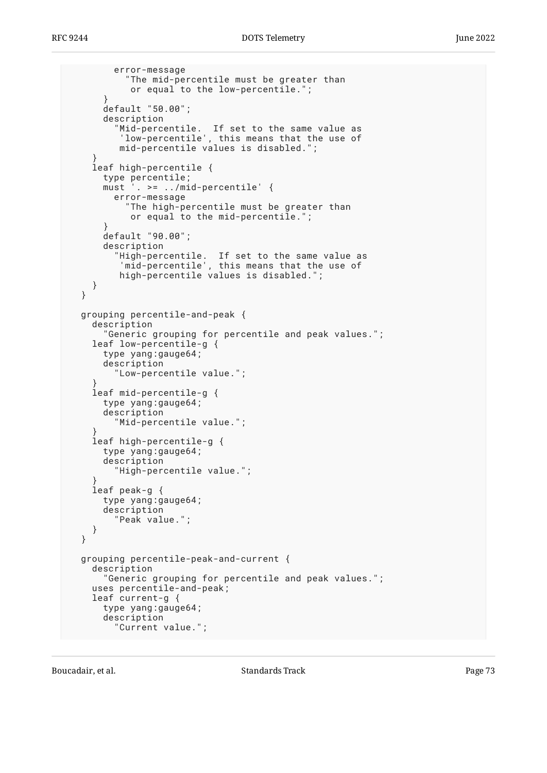```
 error-message
           "The mid-percentile must be greater than
            or equal to the low-percentile.";
       }
      default "50.00";
      description
 "Mid-percentile. If set to the same value as
 'low-percentile', this means that the use of
         mid-percentile values is disabled.";
 }
    leaf high-percentile {
      type percentile;
      must '. >= ../mid-percentile' {
        error-message
           "The high-percentile must be greater than
            or equal to the mid-percentile.";
 }
      default "90.00";
      description
 "High-percentile. If set to the same value as
 'mid-percentile', this means that the use of
          high-percentile values is disabled.";
    }
  }
  grouping percentile-and-peak {
    description
       "Generic grouping for percentile and peak values.";
    leaf low-percentile-g {
      type yang:gauge64;
      description
         "Low-percentile value.";
 }
    leaf mid-percentile-g {
      type yang:gauge64;
      description
         "Mid-percentile value.";
 }
    leaf high-percentile-g {
      type yang:gauge64;
      description
         "High-percentile value.";
 }
    leaf peak-g {
      type yang:gauge64;
      description
         "Peak value.";
    }
  }
  grouping percentile-peak-and-current {
    description
       "Generic grouping for percentile and peak values.";
    uses percentile-and-peak;
    leaf current-g {
      type yang:gauge64;
      description
         "Current value.";
```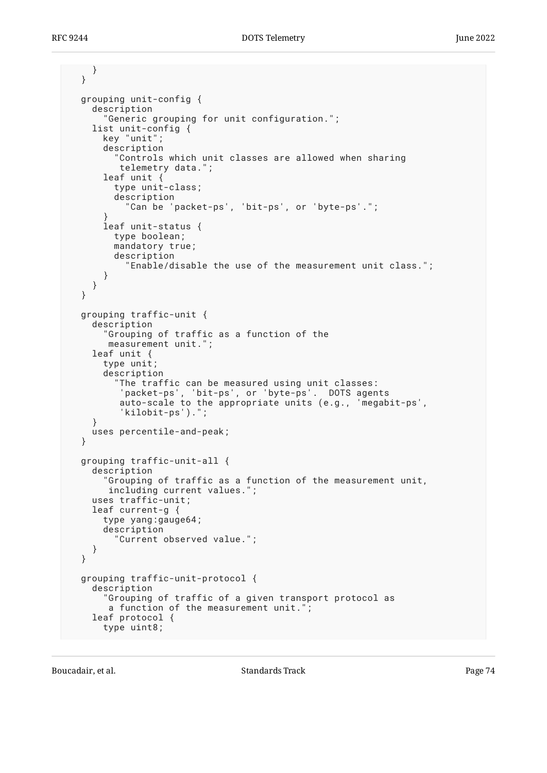```
 }
  }
  grouping unit-config {
    description
        "Generic grouping for unit configuration.";
     list unit-config {
       key "unit";
       description
         "Controls which unit classes are allowed when sharing
          telemetry data.";
       leaf unit {
         type unit-class;
         description
           "Can be 'packet-ps', 'bit-ps', or 'byte-ps'.";
 }
       leaf unit-status {
         type boolean;
         mandatory true;
         description
           "Enable/disable the use of the measurement unit class.";
       }
    }
  }
  grouping traffic-unit {
     description
       "Grouping of traffic as a function of the
        measurement unit.";
    leaf unit {
       type unit;
       description
         "The traffic can be measured using unit classes:
          'packet-ps', 'bit-ps', or 'byte-ps'. DOTS agents
          auto-scale to the appropriate units (e.g., 'megabit-ps',
          'kilobit-ps').";
 }
    uses percentile-and-peak;
  }
  grouping traffic-unit-all {
     description
       "Grouping of traffic as a function of the measurement unit,
        including current values.";
    uses traffic-unit;
     leaf current-g {
       type yang:gauge64;
       description
         "Current observed value.";
    }
  }
  grouping traffic-unit-protocol {
    description
       "Grouping of traffic of a given transport protocol as
        a function of the measurement unit.";
    leaf protocol {
       type uint8;
```
Boucadair, et al. The contract of the Standards Track Page 74 and 2012 12:30 Fage 74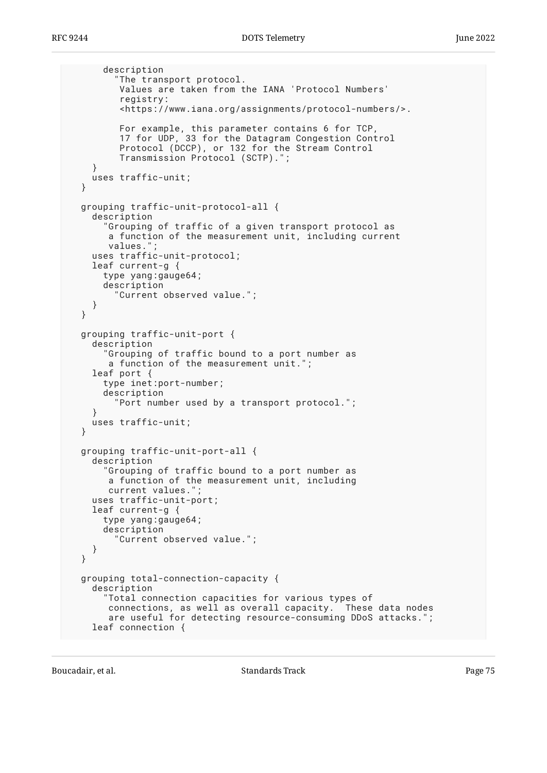```
 description
         "The transport protocol.
          Values are taken from the IANA 'Protocol Numbers'
          registry:
          <https://www.iana.org/assignments/protocol-numbers/>.
 For example, this parameter contains 6 for TCP,
 17 for UDP, 33 for the Datagram Congestion Control
          Protocol (DCCP), or 132 for the Stream Control
          Transmission Protocol (SCTP).";
 }
    uses traffic-unit;
   }
  grouping traffic-unit-protocol-all {
    description
       "Grouping of traffic of a given transport protocol as
       a function of the measurement unit, including current
       values.";
    uses traffic-unit-protocol;
    leaf current-g {
      type yang:gauge64;
       description
         "Current observed value.";
    }
  }
  grouping traffic-unit-port {
    description
       "Grouping of traffic bound to a port number as
       a function of the measurement unit.";
    leaf port {
       type inet:port-number;
      description
         "Port number used by a transport protocol.";
 }
    uses traffic-unit;
  }
  grouping traffic-unit-port-all {
    description
       "Grouping of traffic bound to a port number as
       a function of the measurement unit, including
      current values."
    uses traffic-unit-port;
    leaf current-g {
       type yang:gauge64;
      description
         "Current observed value.";
    }
  }
  grouping total-connection-capacity {
    description
       "Total connection capacities for various types of
       connections, as well as overall capacity. These data nodes
        are useful for detecting resource-consuming DDoS attacks.";
    leaf connection {
```
Boucadair, et al. The contract of the Standards Track Page 75 and the contract of the Page 75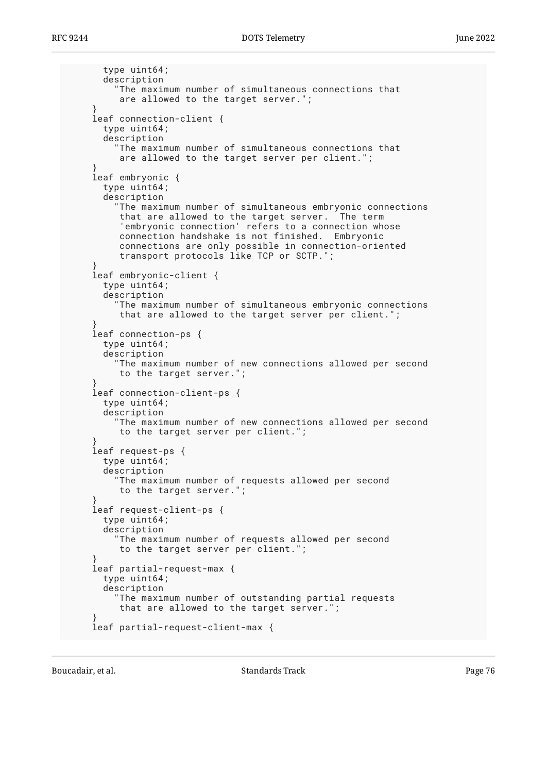```
 type uint64;
       description
         "The maximum number of simultaneous connections that
          are allowed to the target server.";
 }
    leaf connection-client {
      type uint64;
      description
         "The maximum number of simultaneous connections that
          are allowed to the target server per client.";
 }
    leaf embryonic {
       type uint64;
      description
         "The maximum number of simultaneous embryonic connections
          that are allowed to the target server. The term
          'embryonic connection' refers to a connection whose
          connection handshake is not finished. Embryonic
          connections are only possible in connection-oriented
          transport protocols like TCP or SCTP.";
 }
    leaf embryonic-client {
      type uint64;
      description
         "The maximum number of simultaneous embryonic connections
          that are allowed to the target server per client.";
 }
    leaf connection-ps {
      type uint64;
      description
         "The maximum number of new connections allowed per second
          to the target server.";
 }
    leaf connection-client-ps {
      type uint64;
       description
         "The maximum number of new connections allowed per second
         to the target server per client.";
 }
    leaf request-ps {
      type uint64;
       description
        "The maximum number of requests allowed per second
         to the target server.";
 }
    leaf request-client-ps {
       type uint64;
      description
         "The maximum number of requests allowed per second
          to the target server per client.";
 }
    leaf partial-request-max {
      type uint64;
      description
         "The maximum number of outstanding partial requests
          that are allowed to the target server.";
 }
    leaf partial-request-client-max {
```
Boucadair, et al. The standards Track Controller and Standards Track Page 76 and 2011 11: 12:30 Page 76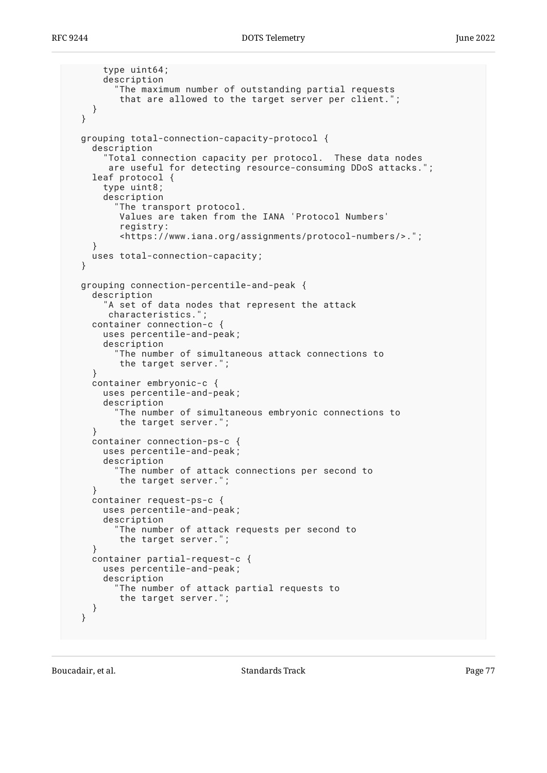```
 type uint64;
       description
         "The maximum number of outstanding partial requests
          that are allowed to the target server per client.";
    }
   }
  grouping total-connection-capacity-protocol {
     description
       "Total connection capacity per protocol. These data nodes
        are useful for detecting resource-consuming DDoS attacks.";
     leaf protocol {
       type uint8;
       description
         "The transport protocol.
          Values are taken from the IANA 'Protocol Numbers'
          registry:
          <https://www.iana.org/assignments/protocol-numbers/>.";
 }
    uses total-connection-capacity;
   }
  grouping connection-percentile-and-peak {
    description
       "A set of data nodes that represent the attack
        characteristics.";
     container connection-c {
       uses percentile-and-peak;
       description
         "The number of simultaneous attack connections to
          the target server.";
 }
    container embryonic-c {
      uses percentile-and-peak;
       description
          "The number of simultaneous embryonic connections to
          the target server.";
     }
    container connection-ps-c {
       uses percentile-and-peak;
       description
         "The number of attack connections per second to
          the target server.";
     }
    container request-ps-c {
       uses percentile-and-peak;
       description
         "The number of attack requests per second to
          the target server.";
     }
    container partial-request-c {
       uses percentile-and-peak;
       description
         "The number of attack partial requests to
          the target server.";
    }
  }
```
Boucadair, et al. The standards Track Controllering the Standards Track Page 77 and  $P$  Page 77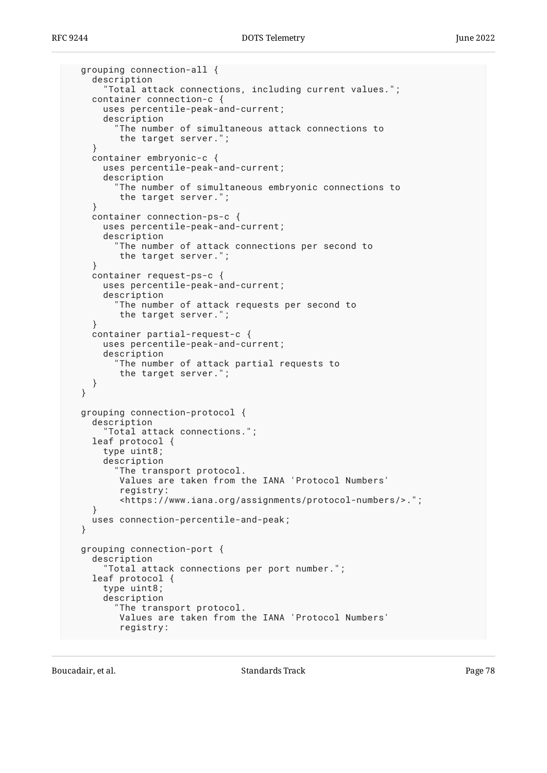```
 grouping connection-all {
     description
       "Total attack connections, including current values.";
    container connection-c {
       uses percentile-peak-and-current;
       description
         The number of simultaneous attack connections to
          the target server.";
 }
    container embryonic-c {
       uses percentile-peak-and-current;
       description
         "The number of simultaneous embryonic connections to
          the target server.";
 }
    container connection-ps-c {
       uses percentile-peak-and-current;
       description
         "The number of attack connections per second to
          the target server.";
     }
    container request-ps-c {
       uses percentile-peak-and-current;
       description
          "The number of attack requests per second to
          the target server.";
 }
    container partial-request-c {
       uses percentile-peak-and-current;
       description
         "The number of attack partial requests to
          the target server.";
     }
  }
  grouping connection-protocol {
     description
       "Total attack connections.";
     leaf protocol {
       type uint8;
       description
         "The transport protocol.
          Values are taken from the IANA 'Protocol Numbers'
          registry:
          <https://www.iana.org/assignments/protocol-numbers/>.";
 }
     uses connection-percentile-and-peak;
   }
  grouping connection-port {
    description
       "Total attack connections per port number.";
     leaf protocol {
       type uint8;
       description
         The transport protocol.
          Values are taken from the IANA 'Protocol Numbers'
          registry:
```
Boucadair, et al. The contract of the Standards Track Contract Page 78 and 2011 11: 12: 13: 14: 15: 16: 16: 16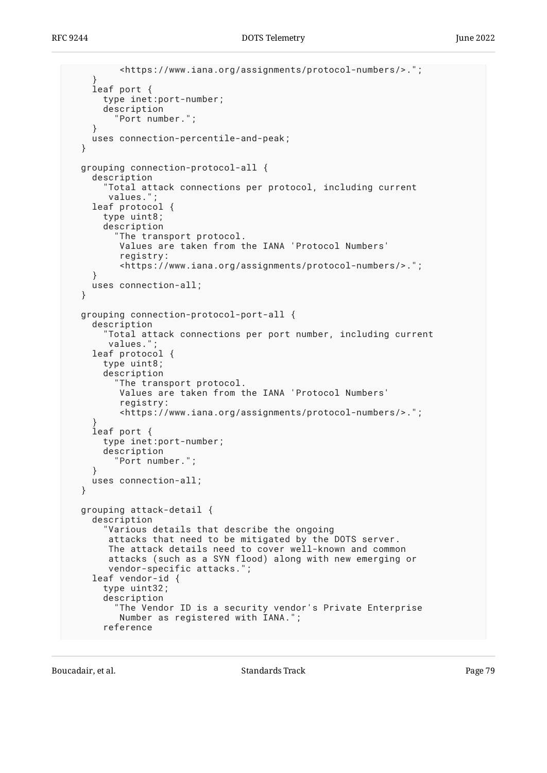```
 <https://www.iana.org/assignments/protocol-numbers/>.";
 }
     leaf port {
      type inet:port-number;
       description
         "Port number.";
 }
    uses connection-percentile-and-peak;
   }
  grouping connection-protocol-all {
     description
       "Total attack connections per protocol, including current
       values.";
    leaf protocol {
       type uint8;
       description
         "The transport protocol.
          Values are taken from the IANA 'Protocol Numbers'
          registry:
          <https://www.iana.org/assignments/protocol-numbers/>.";
     }
    uses connection-all;
  }
  grouping connection-protocol-port-all {
     description
       "Total attack connections per port number, including current
        values.";
    leaf protocol {
       type uint8;
       description
         "The transport protocol.
          Values are taken from the IANA 'Protocol Numbers'
          registry:
          <https://www.iana.org/assignments/protocol-numbers/>.";
 }
     leaf port {
       type inet:port-number;
       description
         "Port number.";
 }
    uses connection-all;
   }
  grouping attack-detail {
     description
       "Various details that describe the ongoing
        attacks that need to be mitigated by the DOTS server.
       The attack details need to cover well-known and common
        attacks (such as a SYN flood) along with new emerging or
        vendor-specific attacks.";
    leaf vendor-id {
       type uint32;
       description
         The Vendor ID is a security vendor's Private Enterprise
          Number as registered with IANA.";
       reference
```
Boucadair, et al. The contract of the Standards Track Page 79 (1992) 2014 12:38:49 (1993) 2014 12:38:49 (1994) 2015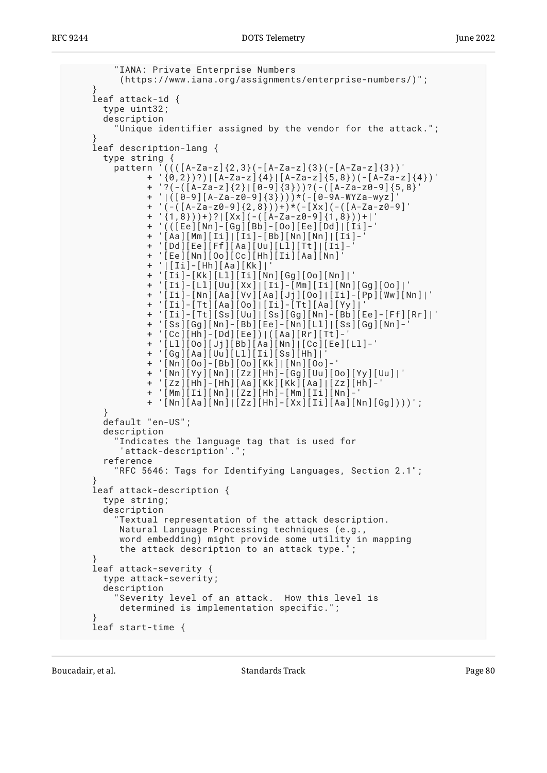```
 "IANA: Private Enterprise Numbers
         (https://www.iana.org/assignments/enterprise-numbers/)";
 }
    leaf attack-id {
      type uint32;
      description
         "Unique identifier assigned by the vendor for the attack.";
 }
    leaf description-lang {
      type string {
 pattern '((([A-Za-z]{2,3}(-[A-Za-z]{3}(-[A-Za-z]{3})'
 + '{0,2})?)|[A-Za-z]{4}|[A-Za-z]{5,8})(-[A-Za-z]{4})'
              + '?(-([A-Za-z]{2}|[0-9]{3}))?(-([A-Za-z0-9]{5,8}'
              + '|([0-9][A-Za-z0-9]{3})))*(-[0-9A-WYZa-wyz]'
 + '(-([A-Za-z0-9]{2,8}))+)*(-[Xx](-([A-Za-z0-9]'
 + '{1,8}))+)?|[Xx](-([A-Za-z0-9]{1,8}))+|'
 + '(([Ee][Nn]-[Gg][Bb]-[Oo][Ee][Dd]|[Ii]-'
              + '[Aa][Mm][Ii]|[Ii]-[Bb][Nn][Nn]|[Ii]-'
              + '[Dd][Ee][Ff][Aa][Uu][Ll][Tt]|[Ii]-'
              + '[Ee][Nn][Oo][Cc][Hh][Ii][Aa][Nn]'
              + '|[Ii]-[Hh][Aa][Kk]|'
             + '[1i]-[kk][L1][1i][Nn][Gg][Oo][Nn]|'
              + '[Ii]-[Ll][Uu][Xx]|[Ii]-[Mm][Ii][Nn][Gg][Oo]|'
 + '[Ii]-[Nn][Aa][Vv][Aa][Jj][Oo]|[Ii]-[Pp][Ww][Nn]|'
 + '[Ii]-[Tt][Aa][Oo]|[Ii]-[Tt][Aa][Yy]|'
 + '[Ii]-[Tt][Ss][Uu]|[Ss][Gg][Nn]-[Bb][Ee]-[Ff][Rr]|'
 + '[Ss][Gg][Nn]-[Bb][Ee]-[Nn][Ll]|[Ss][Gg][Nn]-'
 + '[Cc][Hh]-[Dd][Ee])|([Aa][Rr][Tt]-'
              + '[Ll][Oo][Jj][Bb][Aa][Nn]|[Cc][Ee][Ll]-'
              + '[Gg][Aa][Uu][Ll][Ii][Ss][Hh]|'
              + '[Nn][Oo]-[Bb][Oo][Kk]|[Nn][Oo]-'
              + '[Nn][Yy][Nn]|[Zz][Hh]-[Gg][Uu][Oo][Yy][Uu]|'
              + '[Zz][Hh]-[Hh][Aa][Kk][Kk][Aa]|[Zz][Hh]-'
              + '[Mm][Ii][Nn]|[Zz][Hh]-[Mm][Ii][Nn]-'
              + '[Nn][Aa][Nn]|[Zz][Hh]-[Xx][Ii][Aa][Nn][Gg])))';
 }
      default "en-US";
      description
        "Indicates the language tag that is used for
         'attack-description'.";
      reference
         "RFC 5646: Tags for Identifying Languages, Section 2.1";
 }
    leaf attack-description {
      type string;
      description
         "Textual representation of the attack description.
         Natural Language Processing techniques (e.g.,
         word embedding) might provide some utility in mapping
         the attack description to an attack type.";
 }
    leaf attack-severity {
      type attack-severity;
      description
        "Severity level of an attack. How this level is
        determined is implementation specific."
 }
    leaf start-time {
```
Boucadair, et al. The contract of the Standards Track Page 80 and the contract of the Page 80 and the Page 80 and the Page 80 and the Page 80 and the Page 80 and the Page 80 and the Page 80 and the Page 80 and the Page 80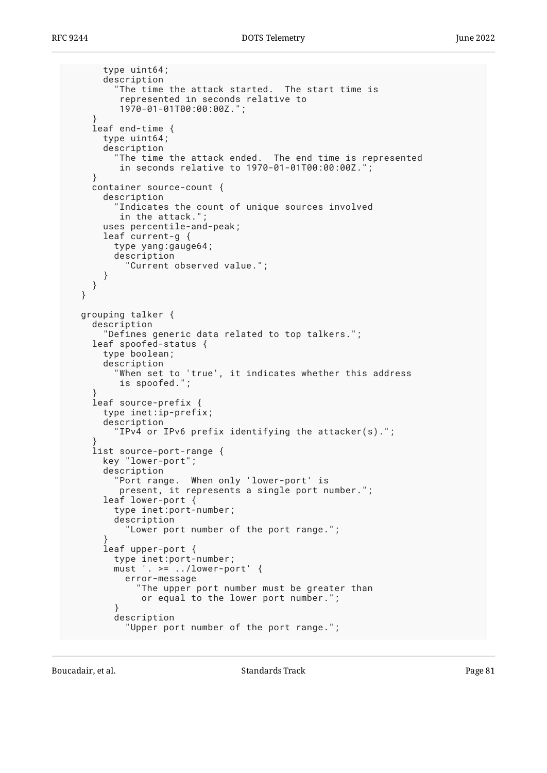```
 type uint64;
       description
         "The time the attack started. The start time is
          represented in seconds relative to
          1970-01-01T00:00:00Z.";
 }
    leaf end-time {
      type uint64;
      description
         "The time the attack ended. The end time is represented
          in seconds relative to 1970-01-01T00:00:00Z.";
 }
    container source-count {
      description
         "Indicates the count of unique sources involved
        in the attack."
 uses percentile-and-peak;
 leaf current-g {
         type yang:gauge64;
         description
           "Current observed value.";
       }
    }
  }
  grouping talker {
    description
       "Defines generic data related to top talkers.";
    leaf spoofed-status {
       type boolean;
       description
         "When set to 'true', it indicates whether this address
         is spoofed.";
 }
    leaf source-prefix {
      type inet:ip-prefix;
       description
         "IPv4 or IPv6 prefix identifying the attacker(s).";
 }
    list source-port-range {
      key "lower-port";
       description
         "Port range. When only 'lower-port' is
        present, it represents a single port number.";
      leaf lower-port {
         type inet:port-number;
         description
           "Lower port number of the port range.";
 }
       leaf upper-port {
         type inet:port-number;
         must '. >= ../lower-port' {
           error-message
             "The upper port number must be greater than
              or equal to the lower port number.";
 }
         description
           "Upper port number of the port range.";
```
Boucadair, et al. The contract of the Standards Track Page 81 and the contract of the Page 81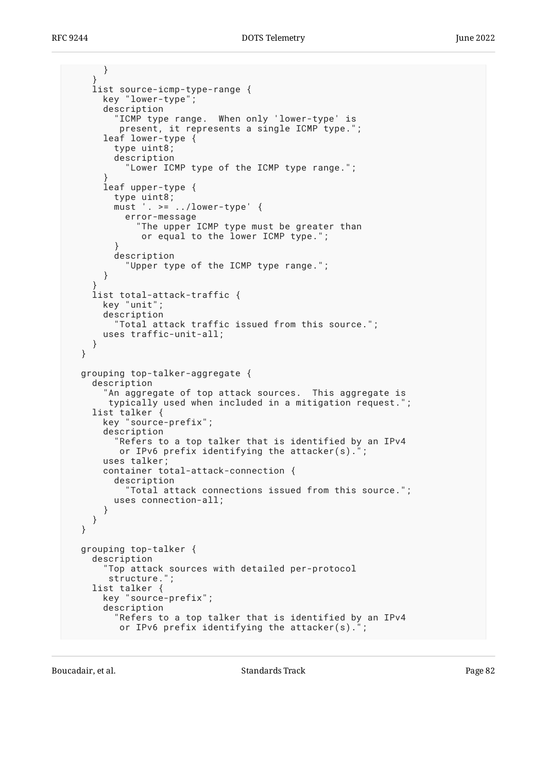```
 }
 }
    list source-icmp-type-range {
      key "lower-type";
      description
         "ICMP type range. When only 'lower-type' is
 present, it represents a single ICMP type.";
 leaf lower-type {
         type uint8;
         description
           "Lower ICMP type of the ICMP type range.";
 }
       leaf upper-type {
         type uint8;
        must '. >= ../lower-type' {
           error-message
             "The upper ICMP type must be greater than
             or equal to the lower ICMP type.";
 }
        description
           "Upper type of the ICMP type range.";
       }
 }
    list total-attack-traffic {
      key "unit";
      description
         "Total attack traffic issued from this source.";
      uses traffic-unit-all;
    }
  }
  grouping top-talker-aggregate {
    description
       "An aggregate of top attack sources. This aggregate is
       typically used when included in a mitigation request.";
    list talker {
      key "source-prefix";
       description
         "Refers to a top talker that is identified by an IPv4
         or IPv6 prefix identifying the attacker(s).";
      uses talker;
       container total-attack-connection {
         description
           "Total attack connections issued from this source.";
        uses connection-all;
      }
    }
  }
  grouping top-talker {
    description
       "Top attack sources with detailed per-protocol
       structure.";
    list talker {
      key "source-prefix";
       description
         "Refers to a top talker that is identified by an IPv4
        or IPv6 prefix identifying the attacker(s).
```
Boucadair, et al. The contract of the Standards Track Page 82 and the contract of the Page 82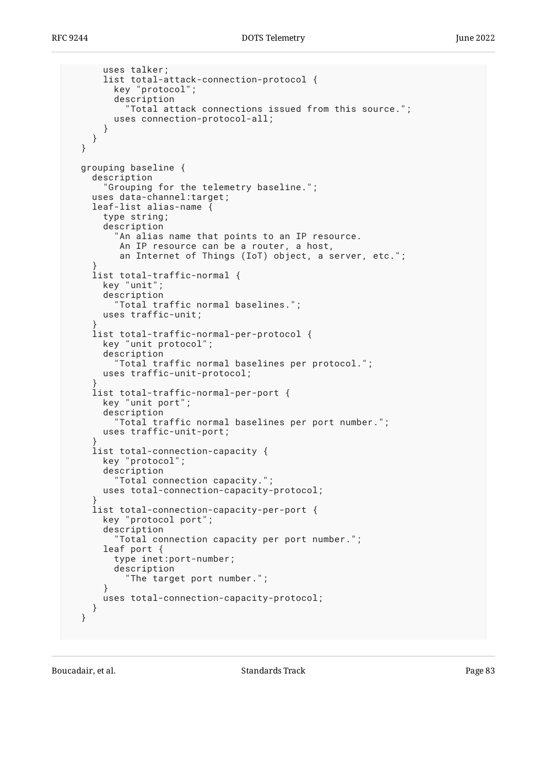```
 uses talker;
       list total-attack-connection-protocol {
         key "protocol";
         description
            "Total attack connections issued from this source.";
         uses connection-protocol-all;
       }
     }
  }
  grouping baseline {
     description
       "Grouping for the telemetry baseline.";
    uses data-channel:target;
    leaf-list alias-name {
       type string;
       description
         "An alias name that points to an IP resource.
          An IP resource can be a router, a host,
          an Internet of Things (IoT) object, a server, etc.";
 }
    list total-traffic-normal {
      key "unit";
       description
         "Total traffic normal baselines.";
       uses traffic-unit;
 }
    list total-traffic-normal-per-protocol {
       key "unit protocol";
       description
         "Total traffic normal baselines per protocol.";
       uses traffic-unit-protocol;
 }
    list total-traffic-normal-per-port {
       key "unit port";
       description
         "Total traffic normal baselines per port number.";
       uses traffic-unit-port;
 }
    list total-connection-capacity {
       key "protocol";
       description
         "Total connection capacity.";
       uses total-connection-capacity-protocol;
 }
     list total-connection-capacity-per-port {
       key "protocol port";
       description
         "Total connection capacity per port number.";
       leaf port {
         type inet:port-number;
         description
           "The target port number.";
 }
       uses total-connection-capacity-protocol;
    }
  }
```
Boucadair, et al. The contract of the Standards Track Contract Page 83 and 2011 11:30 Page 83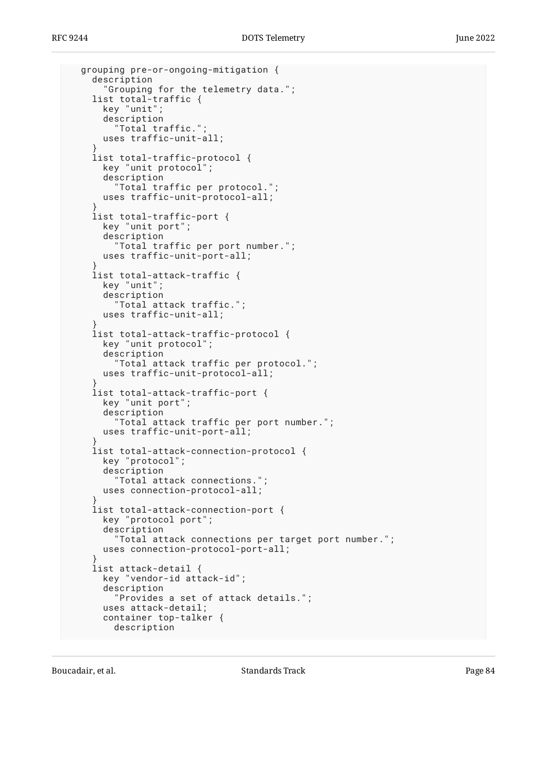```
 grouping pre-or-ongoing-mitigation {
     description
       "Grouping for the telemetry data.";
    list total-traffic {
       key "unit";
       description
         "Total traffic.";
       uses traffic-unit-all;
 }
    list total-traffic-protocol {
       key "unit protocol";
       description
         "Total traffic per protocol.";
       uses traffic-unit-protocol-all;
 }
     list total-traffic-port {
       key "unit port";
       description
         "Total traffic per port number.";
       uses traffic-unit-port-all;
 }
     list total-attack-traffic {
       key "unit";
       description
         "Total attack traffic.";
       uses traffic-unit-all;
 }
     list total-attack-traffic-protocol {
       key "unit protocol";
       description
         "Total attack traffic per protocol.";
       uses traffic-unit-protocol-all;
 }
    list total-attack-traffic-port {
       key "unit port";
       description
         "Total attack traffic per port number.";
       uses traffic-unit-port-all;
 }
    list total-attack-connection-protocol {
       key "protocol";
       description
         "Total attack connections.";
       uses connection-protocol-all;
 }
     list total-attack-connection-port {
       key "protocol port";
       description
         "Total attack connections per target port number.";
       uses connection-protocol-port-all;
 }
     list attack-detail {
       key "vendor-id attack-id";
       description
         "Provides a set of attack details.";
       uses attack-detail;
       container top-talker {
         description
```
Boucadair, et al. The standards Track Controller and Standards Track Page 84 and a standards Track Page 84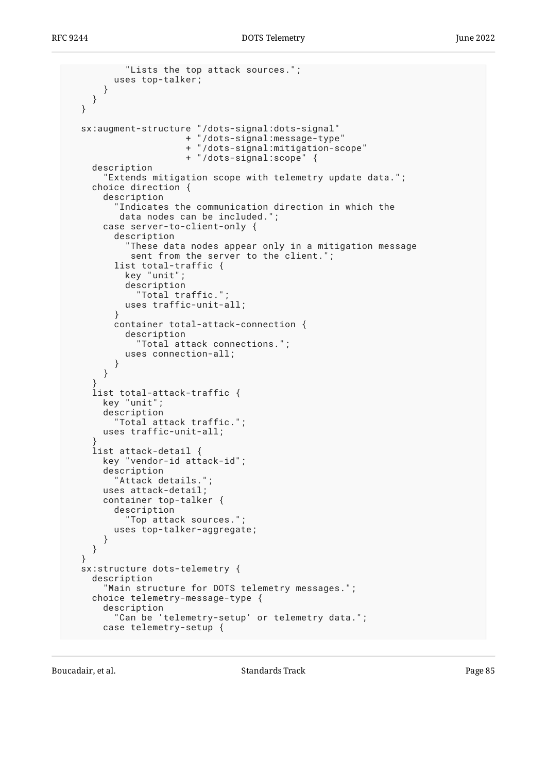```
 "Lists the top attack sources.";
         uses top-talker;
       }
    }
  }
 sx:augment-structure "/dots-signal:dots-signal"
 + "/dots-signal:message-type"
                      + "/dots-signal:mitigation-scope"
                      + "/dots-signal:scope" {
    description
       "Extends mitigation scope with telemetry update data.";
    choice direction {
       description
          "Indicates the communication direction in which the
          data nodes can be included.";
      case server-to-client-only {
         description
           "These data nodes appear only in a mitigation message
            sent from the server to the client.";
         list total-traffic {
           key "unit";
           description
             "Total traffic.";
           uses traffic-unit-all;
 }
         container total-attack-connection {
           description
             "Total attack connections.";
           uses connection-all;
         }
      }
     }
     list total-attack-traffic {
      key "unit";
       description
         "Total attack traffic.";
      uses traffic-unit-all;
 }
    list attack-detail {
      key "vendor-id attack-id";
       description
         "Attack details.";
      uses attack-detail;
      container top-talker {
         description
           "Top attack sources.";
         uses top-talker-aggregate;
      }
    }
   }
  sx:structure dots-telemetry {
    description
       "Main structure for DOTS telemetry messages.";
    choice telemetry-message-type {
      description
         "Can be 'telemetry-setup' or telemetry data.";
      case telemetry-setup {
```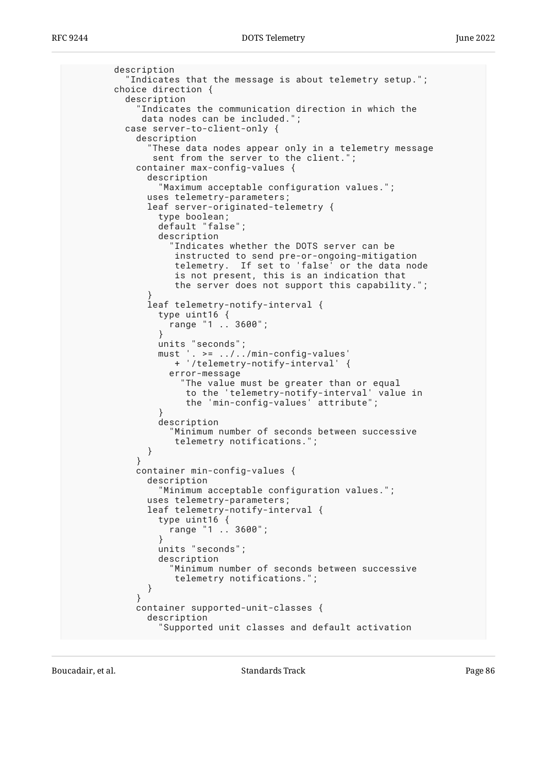```
 description
          "Indicates that the message is about telemetry setup.";
        choice direction {
          description
            Indicates the communication direction in which the
             data nodes can be included.";
          case server-to-client-only {
            description
              "These data nodes appear only in a telemetry message
               sent from the server to the client.";
            container max-config-values {
              description
                "Maximum acceptable configuration values.";
              uses telemetry-parameters;
              leaf server-originated-telemetry {
               type boolean;
               default "false";
               description
                  "Indicates whether the DOTS server can be
 instructed to send pre-or-ongoing-mitigation
 telemetry. If set to 'false' or the data node
                  is not present, this is an indication that
                  the server does not support this capability.";
 }
              leaf telemetry-notify-interval {
               type uint16 {
                 range "1 .. 3600";
 }
 units "seconds";
 must '. >= ../../min-config-values'
                  + '/telemetry-notify-interval' {
                 error-message
                    "The value must be greater than or equal
                    to the 'telemetry-notify-interval' value in
                    the 'min-config-values' attribute";
 }
               description
                  "Minimum number of seconds between successive
             telemetry notifications.";<br>}
 }
 }
            container min-config-values {
             description
                "Minimum acceptable configuration values.";
             uses telemetry-parameters;
              leaf telemetry-notify-interval {
               type uint16 {
              range "1 .. 3600";
 }
               units "seconds";
               description
                  "Minimum number of seconds between successive
                  telemetry notifications.";
 }
 }
            container supported-unit-classes {
              description
                "Supported unit classes and default activation
```
Boucadair, et al. The contract of the Standards Track Page 26 and 2012 12:30 Fage 26 and 2012 12:30 Fage 26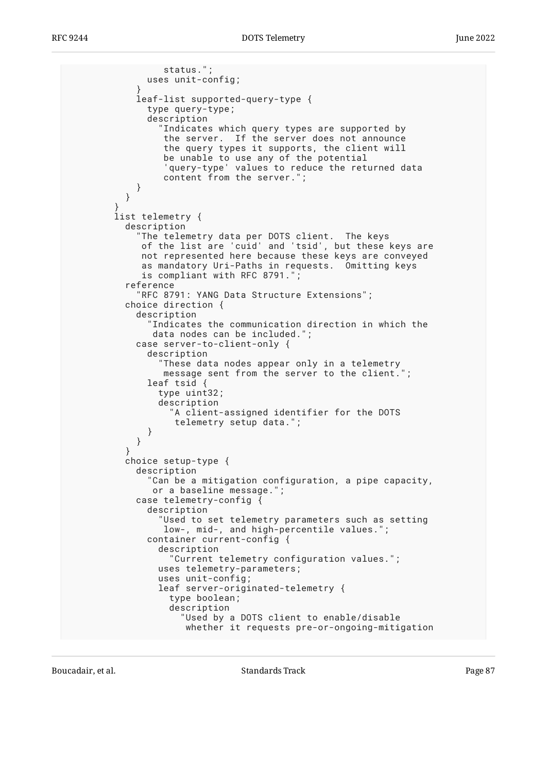```
 status.";
              uses unit-config;
 }
             leaf-list supported-query-type {
              type query-type;
               description
                Indicates which query types are supported by
                the server. If the server does not announce
                 the query types it supports, the client will
                 be unable to use any of the potential
                  'query-type' values to reduce the returned data
                 content from the server.";
 }
 }
 }
         list telemetry {
          description
             "The telemetry data per DOTS client. The keys
             of the list are 'cuid' and 'tsid', but these keys are
             not represented here because these keys are conveyed
             as mandatory Uri-Paths in requests. Omitting keys
             is compliant with RFC 8791.";
           reference
             "RFC 8791: YANG Data Structure Extensions";
          choice direction {
             description
              Indicates the communication direction in which the
               data nodes can be included.";
            case server-to-client-only {
               description
                 "These data nodes appear only in a telemetry
                 message sent from the server to the client.";
              leaf tsid {
                type uint32;
                description
                   "A client-assigned identifier for the DOTS
                    telemetry setup data.";
 }
 }
 }
          choice setup-type {
            description
               "Can be a mitigation configuration, a pipe capacity,
               or a baseline message.";
            case telemetry-config {
               description
                 "Used to set telemetry parameters such as setting
                low-, mid-, and high-percentile values."
              container current-config {
                description
                   "Current telemetry configuration values.";
                uses telemetry-parameters;
                uses unit-config;
                leaf server-originated-telemetry {
                   type boolean;
                   description
                     "Used by a DOTS client to enable/disable
                     whether it requests pre-or-ongoing-mitigation
```
Boucadair, et al. The contract of the Standards Track Page 87 and the contract of the Page 87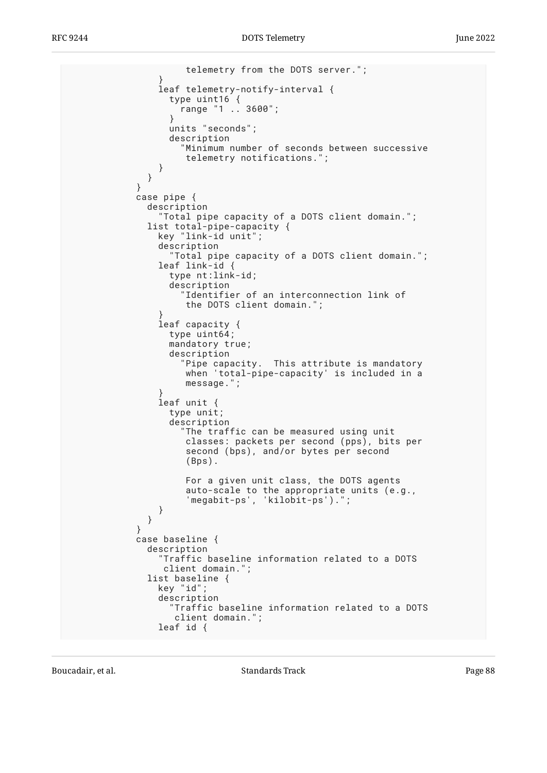```
 telemetry from the DOTS server.";
 }
                leaf telemetry-notify-interval {
                  type uint16 {
                   range "1 .. 3600";
 }
                 units "seconds";
                  description
                    "Minimum number of seconds between successive
                    telemetry notifications.";
 }
 }
 }
            case pipe {
              description
                "Total pipe capacity of a DOTS client domain.";
              list total-pipe-capacity {
                key "link-id unit";
                description
                  "Total pipe capacity of a DOTS client domain.";
                leaf link-id {
                  type nt:link-id;
                  description
                    "Identifier of an interconnection link of
                    the DOTS client domain.";
 }
                leaf capacity {
                  type uint64;
                 mandatory true;
                  description
                    "Pipe capacity. This attribute is mandatory
                    when 'total-pipe-capacity' is included in a
                    message.";
 }
                leaf unit {
                  type unit;
                  description
                   "The traffic can be measured using unit
                    classes: packets per second (pps), bits per
                    second (bps), and/or bytes per second
                     (Bps).
                    For a given unit class, the DOTS agents
                    auto-scale to the appropriate units (e.g.,
                     'megabit-ps', 'kilobit-ps').";
 }
 }
 }
            case baseline {
              description
                "Traffic baseline information related to a DOTS
                client domain.";
              list baseline {
                key "id";
                description
                  "Traffic baseline information related to a DOTS
                   client domain.";
                leaf id {
```
Boucadair, et al. The contract of the Standards Track Contract Page 88 and 2011 11: 12: 13: 14: 14: 15: 16: 16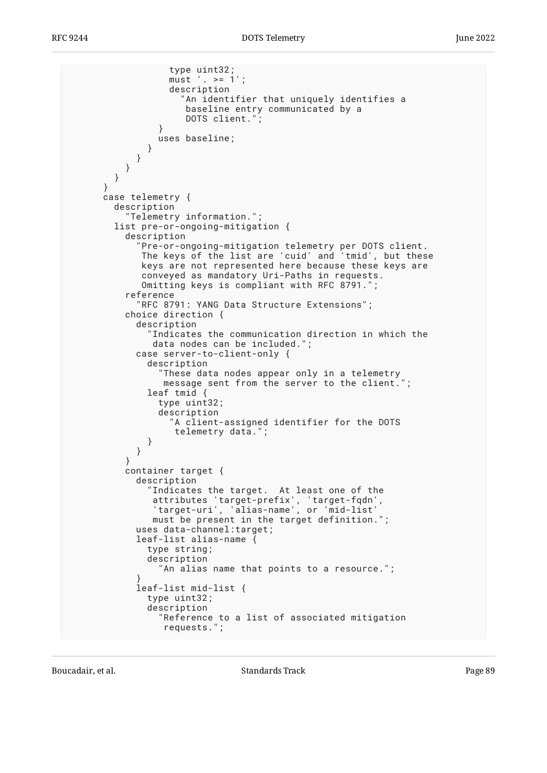```
 type uint32;
                 must '. >= 1';
                  description
                    "An identifier that uniquely identifies a
                     baseline entry communicated by a
                     DOTS client.";
 }
                uses baseline;
              }
            }
         }
        }
      }
      case telemetry {
        description
           "Telemetry information.";
        list pre-or-ongoing-mitigation {
          description
 "Pre-or-ongoing-mitigation telemetry per DOTS client.
 The keys of the list are 'cuid' and 'tmid', but these
             keys are not represented here because these keys are
             conveyed as mandatory Uri-Paths in requests.
             Omitting keys is compliant with RFC 8791.";
          reference
             "RFC 8791: YANG Data Structure Extensions";
          choice direction {
            description
              Indicates the communication direction in which the
               data nodes can be included.";
            case server-to-client-only {
              description
                "These data nodes appear only in a telemetry
                 message sent from the server to the client.";
              leaf tmid {
                type uint32;
                description
                   "A client-assigned identifier for the DOTS
                   telemetry data.";
 }
 }
 }
          container target {
            description
               "Indicates the target. At least one of the
 attributes 'target-prefix', 'target-fqdn',
 'target-uri', 'alias-name', or 'mid-list'
               must be present in the target definition.";
            uses data-channel:target;
            leaf-list alias-name {
              type string;
              description
                "An alias name that points to a resource.";
 }
            leaf-list mid-list {
              type uint32;
              description
                "Reference to a list of associated mitigation
                 requests.";
```
Boucadair, et al. The contract of the Standards Track Page 89 (1992) and the contract of the Page 89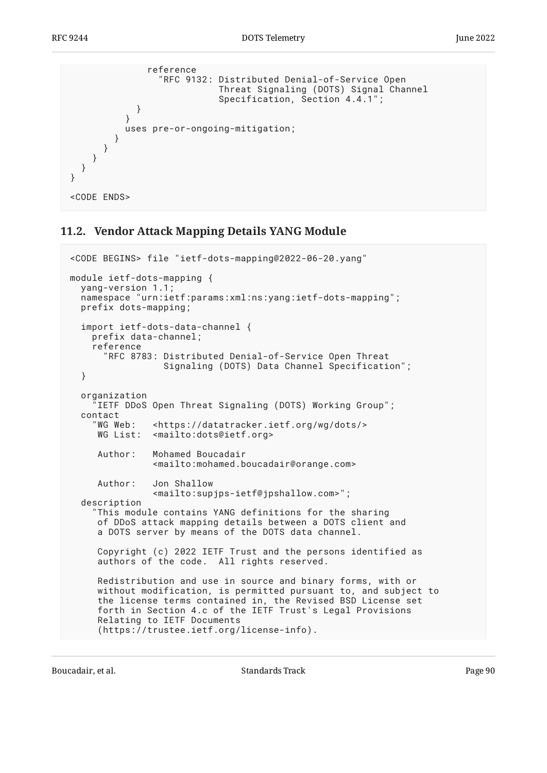```
 reference
                "RFC 9132: Distributed Denial-of-Service Open
                          Threat Signaling (DOTS) Signal Channel
           Specification, Section 4.4.1";<br>}
 }
 }
          uses pre-or-ongoing-mitigation;
        }
      }
    }
  }
}
<CODE ENDS>
```
### <span id="page-89-0"></span>**[11.2. Vendor Attack Mapping Details YANG Module](#page-89-0)**

```
<CODE BEGINS> file "ietf-dots-mapping@2022-06-20.yang"
module ietf-dots-mapping {
   yang-version 1.1;
   namespace "urn:ietf:params:xml:ns:yang:ietf-dots-mapping";
   prefix dots-mapping;
   import ietf-dots-data-channel {
     prefix data-channel;
     reference
       "RFC 8783: Distributed Denial-of-Service Open Threat
                  Signaling (DOTS) Data Channel Specification";
   }
   organization
     "IETF DDoS Open Threat Signaling (DOTS) Working Group";
   contact
     "WG Web: <https://datatracker.ietf.org/wg/dots/>
     WG List: <mailto:dots@ietf.org>
      Author: Mohamed Boucadair
                <mailto:mohamed.boucadair@orange.com>
      Author: Jon Shallow
                <mailto:supjps-ietf@jpshallow.com>";
   description
     "This module contains YANG definitions for the sharing
      of DDoS attack mapping details between a DOTS client and
      a DOTS server by means of the DOTS data channel.
      Copyright (c) 2022 IETF Trust and the persons identified as
      authors of the code. All rights reserved.
      Redistribution and use in source and binary forms, with or
      without modification, is permitted pursuant to, and subject to
      the license terms contained in, the Revised BSD License set
      forth in Section 4.c of the IETF Trust's Legal Provisions
      Relating to IETF Documents
      (https://trustee.ietf.org/license-info).
```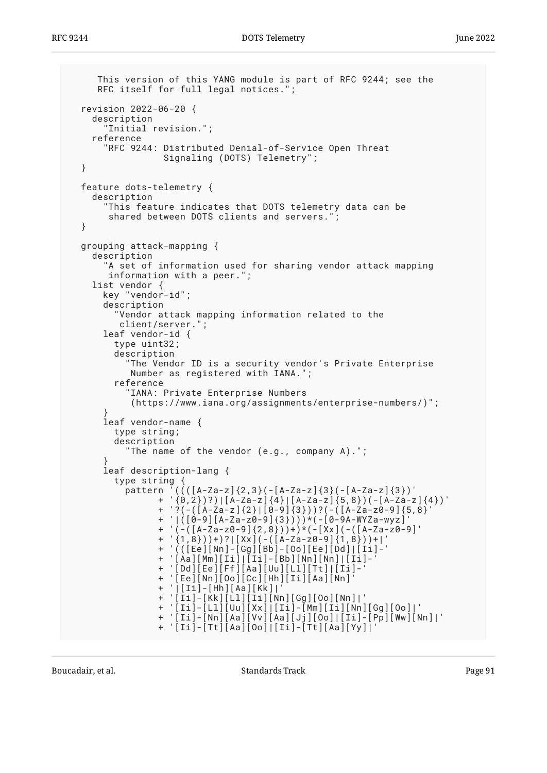```
 This version of this YANG module is part of RFC 9244; see the
     RFC itself for full legal notices.";
  revision 2022-06-20 {
    description
       "Initial revision.";
    reference
      "RFC 9244: Distributed Denial-of-Service Open Threat
                 Signaling (DOTS) Telemetry";
  }
  feature dots-telemetry {
    description
       "This feature indicates that DOTS telemetry data can be
      shared between DOTS clients and servers."
  }
  grouping attack-mapping {
    description
       "A set of information used for sharing vendor attack mapping
       information with a peer.";
    list vendor {
      key "vendor-id";
      description
        Vendor attack mapping information related to the
         client/server.";
      leaf vendor-id {
        type uint32;
        description
           "The Vendor ID is a security vendor's Private Enterprise
           Number as registered with IANA.";
        reference
          "IANA: Private Enterprise Numbers
           (https://www.iana.org/assignments/enterprise-numbers/)";
 }
      leaf vendor-name {
        type string;
        description
          "The name of the vendor (e.g., company A).";
 }
      leaf description-lang {
        type string {
         pattern ((((A-Za-z)\{2,3\}(-[A-Za-z]\{3\}(-[A-Za-z]\{3\})') + '{0,2})?)|[A-Za-z]{4}|[A-Za-z]{5,8})(-[A-Za-z]{4})'
 + '?(-([A-Za-z]{2}|[0-9]{3}))?(-([A-Za-z0-9]{5,8}'
 + '|([0-9][A-Za-z0-9]{3})))*(-[0-9A-WYZa-wyz]'
 + '(-([A-Za-z0-9]{2,8}))+)*(-[Xx](-([A-Za-z0-9]'
                + '{1,8}))+)?|[Xx](-([A-Za-z0-9]{1,8}))+|'
                + '(([Ee][Nn]-[Gg][Bb]-[Oo][Ee][Dd]|[Ii]-'
                + '[Aa][Mm][Ii]|[Ii]-[Bb][Nn][Nn]|[Ii]-'
                + '[Dd][Ee][Ff][Aa][Uu][Ll][Tt]|[Ii]-'
                + '[Ee][Nn][Oo][Cc][Hh][Ii][Aa][Nn]'
                + '|[Ii]-[Hh][Aa][Kk]|'
 + '[Ii]-[Kk][Ll][Ii][Nn][Gg][Oo][Nn]|'
 + '[Ii]-[Ll][Uu][Xx]|[Ii]-[Mm][Ii][Nn][Gg][Oo]|'
 + '[Ii]-[Nn][Aa][Vv][Aa][Jj][Oo]|[Ii]-[Pp][Ww][Nn]|'
                + '[Ii]-[Tt][Aa][Oo]|[Ii]-[Tt][Aa][Yy]|'
```
Boucadair, et al. The contract of the Standards Track Page 91 and the Page 91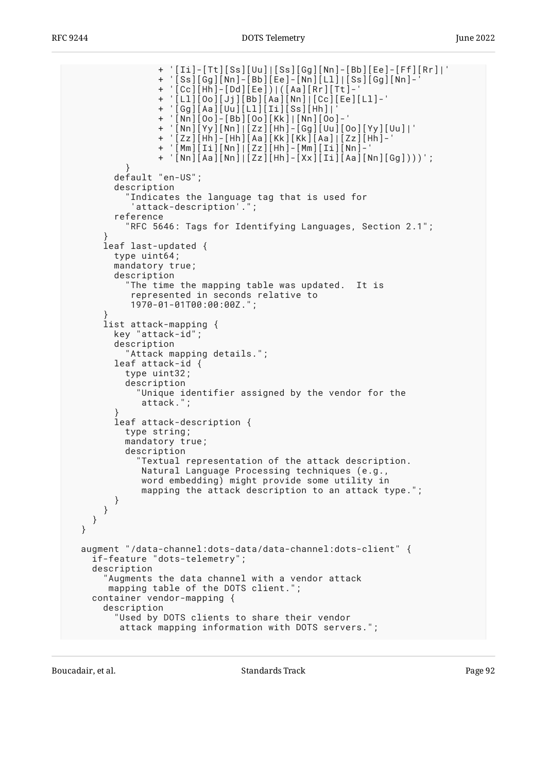+ '[Ii]-[Tt][Ss][Uu]|[Ss][Gg][Nn]-[Bb][Ee]-[Ff][Rr]|' + '[Ss][Gg][Nn]-[Bb][Ee]-[Nn][Ll]|[Ss][Gg][Nn]-' + '[Cc][Hh]-[Dd][Ee])|([Aa][Rr][Tt]-' + '[Ll][Oo][Jj][Bb][Aa][Nn]|[Cc][Ee][Ll]-' + '[Gg][Aa][Uu][Ll][Ii][Ss][Hh]|' + '[Nn][Oo]-[Bb][Oo][Kk]|[Nn][Oo]-' + '[Nn][Yy][Nn]|[Zz][Hh]-[Gg][Uu][Oo][Yy][Uu]|' + '[Zz][Hh]-[Hh][Aa][Kk][Kk][Aa]|[Zz][Hh]-' + '[Mm][Ii][Nn]|[Zz][Hh]-[Mm][Ii][Nn]-' + '[Nn][Aa][Nn]|[Zz][Hh]-[Xx][Ii][Aa][Nn][Gg])))'; } default "en-US"; description "Indicates the language tag that is used for 'attack-description'."; reference "RFC 5646: Tags for Identifying Languages, Section 2.1"; } leaf last-updated { type uint64; mandatory true; description "The time the mapping table was updated. It is represented in seconds relative to 1970-01-01T00:00:00Z."; } list attack-mapping { key "attack-id"; description "Attack mapping details."; leaf attack-id { type uint32; description "Unique identifier assigned by the vendor for the attack."; } leaf attack-description { type string; mandatory true; description "Textual representation of the attack description. Natural Language Processing techniques (e.g., word embedding) might provide some utility in mapping the attack description to an attack type."; } } } } augment "/data-channel:dots-data/data-channel:dots-client" { if-feature "dots-telemetry"; description "Augments the data channel with a vendor attack mapping table of the DOTS client."; container vendor-mapping { description "Used by DOTS clients to share their vendor attack mapping information with DOTS servers.";

Boucadair, et al. The contract of the Standards Track Page 92 and the contract of the Page 92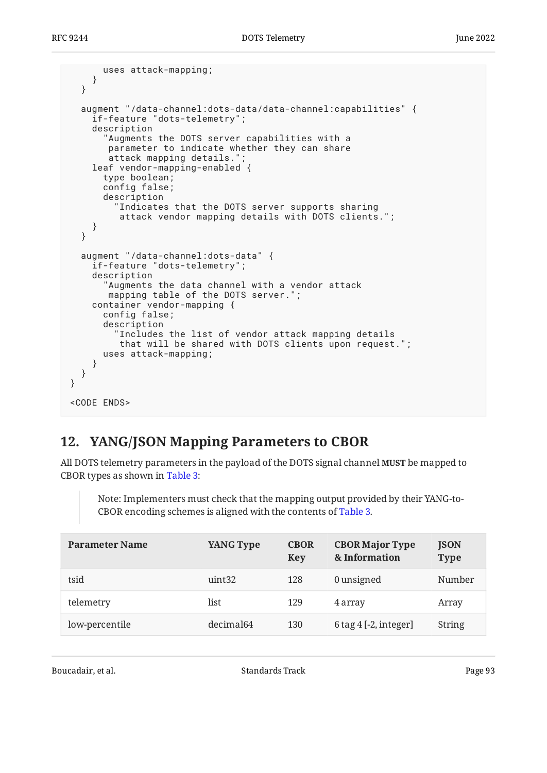```
 uses attack-mapping;
     }
   }
   augment "/data-channel:dots-data/data-channel:capabilities" {
     if-feature "dots-telemetry";
     description
        "Augments the DOTS server capabilities with a
        parameter to indicate whether they can share
        attack mapping details.";
     leaf vendor-mapping-enabled {
       type boolean;
       config false;
       description
          "Indicates that the DOTS server supports sharing
          attack vendor mapping details with DOTS clients.";
     }
   }
   augment "/data-channel:dots-data" {
     if-feature "dots-telemetry";
     description
       "Augments the data channel with a vendor attack
        mapping table of the DOTS server.";
     container vendor-mapping {
       config false;
       description
          "Includes the list of vendor attack mapping details
          that will be shared with DOTS clients upon request.";
       uses attack-mapping;
     }
   }
}
<CODE ENDS>
```
# <span id="page-92-0"></span>**[12. YANG/JSON Mapping Parameters to CBOR](#page-92-0)**

All DOTS telemetry parameters in the payload of the DOTS signal channel **MUST** be mapped to CBOR types as shown in [Table 3](#page-92-1):

Note: Implementers must check that the mapping output provided by their YANG-to-CBOR encoding schemes is aligned with the contents of [Table 3.](#page-92-1)

<span id="page-92-1"></span>

| <b>Parameter Name</b> | YANG Type             | <b>CBOR</b><br>Key | <b>CBOR Major Type</b><br>& Information | <b>JSON</b><br><b>Type</b> |
|-----------------------|-----------------------|--------------------|-----------------------------------------|----------------------------|
| tsid                  | uint <sub>32</sub>    | 128                | 0 unsigned                              | Number                     |
| telemetry             | list                  | 129                | 4 array                                 | Array                      |
| low-percentile        | decimal <sub>64</sub> | 130                | $6$ tag $4$ [-2, integer]               | <b>String</b>              |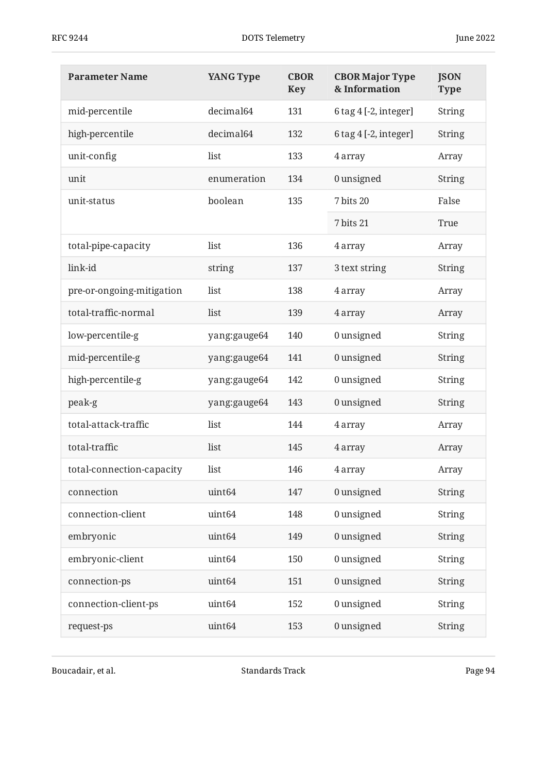| <b>Parameter Name</b>     | <b>YANG Type</b>   | <b>CBOR</b><br><b>Key</b> | <b>CBOR Major Type</b><br>& Information | <b>JSON</b><br><b>Type</b> |
|---------------------------|--------------------|---------------------------|-----------------------------------------|----------------------------|
| mid-percentile            | decimal64          | 131                       | 6 tag 4 [-2, integer]                   | <b>String</b>              |
| high-percentile           | decimal64          | 132                       | 6 tag 4 [-2, integer]                   | <b>String</b>              |
| unit-config               | list               | 133                       | 4 array                                 | Array                      |
| unit                      | enumeration        | 134                       | 0 unsigned                              | <b>String</b>              |
| unit-status               | boolean            | 135                       | 7 bits 20                               | False                      |
|                           |                    |                           | 7 bits 21                               | True                       |
| total-pipe-capacity       | list               | 136                       | 4 array                                 | Array                      |
| link-id                   | string             | 137                       | 3 text string                           | <b>String</b>              |
| pre-or-ongoing-mitigation | list               | 138                       | 4 array                                 | Array                      |
| total-traffic-normal      | list               | 139                       | 4 array                                 | Array                      |
| low-percentile-g          | yang:gauge64       | 140                       | 0 unsigned                              | <b>String</b>              |
| mid-percentile-g          | yang:gauge64       | 141                       | 0 unsigned                              | <b>String</b>              |
| high-percentile-g         | yang:gauge64       | 142                       | 0 unsigned                              | <b>String</b>              |
| peak-g                    | yang:gauge64       | 143                       | 0 unsigned                              | <b>String</b>              |
| total-attack-traffic      | list               | 144                       | 4 array                                 | Array                      |
| total-traffic             | list               | 145                       | 4 array                                 | Array                      |
| total-connection-capacity | list               | 146                       | 4 array                                 | Array                      |
| connection                | uint <sub>64</sub> | 147                       | 0 unsigned                              | <b>String</b>              |
| connection-client         | uint <sub>64</sub> | 148                       | 0 unsigned                              | <b>String</b>              |
| embryonic                 | uint <sub>64</sub> | 149                       | 0 unsigned                              | <b>String</b>              |
| embryonic-client          | uint <sub>64</sub> | 150                       | 0 unsigned                              | <b>String</b>              |
| connection-ps             | uint <sub>64</sub> | 151                       | 0 unsigned                              | <b>String</b>              |
| connection-client-ps      | uint <sub>64</sub> | 152                       | 0 unsigned                              | <b>String</b>              |
| request-ps                | uint <sub>64</sub> | 153                       | 0 unsigned                              | <b>String</b>              |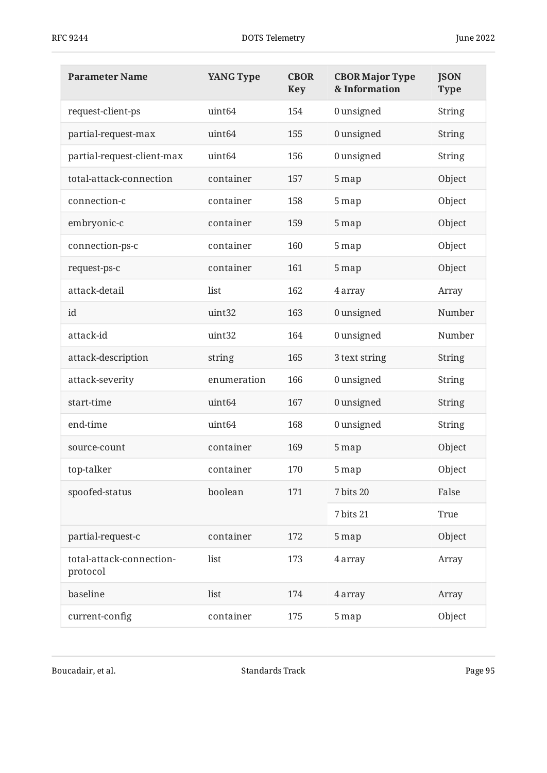| <b>Parameter Name</b>                | <b>YANG Type</b>   | <b>CBOR</b><br><b>Key</b> | <b>CBOR Major Type</b><br>& Information | <b>JSON</b><br><b>Type</b> |
|--------------------------------------|--------------------|---------------------------|-----------------------------------------|----------------------------|
| request-client-ps                    | uint <sub>64</sub> | 154                       | 0 unsigned                              | <b>String</b>              |
| partial-request-max                  | uint <sub>64</sub> | 155                       | 0 unsigned                              | <b>String</b>              |
| partial-request-client-max           | uint <sub>64</sub> | 156                       | 0 unsigned                              | <b>String</b>              |
| total-attack-connection              | container          | 157                       | 5 map                                   | Object                     |
| connection-c                         | container          | 158                       | 5 map                                   | Object                     |
| embryonic-c                          | container          | 159                       | 5 map                                   | Object                     |
| connection-ps-c                      | container          | 160                       | 5 map                                   | Object                     |
| request-ps-c                         | container          | 161                       | 5 map                                   | Object                     |
| attack-detail                        | list               | 162                       | 4 array                                 | Array                      |
| id                                   | uint32             | 163                       | 0 unsigned                              | Number                     |
| attack-id                            | uint32             | 164                       | 0 unsigned                              | Number                     |
| attack-description                   | string             | 165                       | 3 text string                           | <b>String</b>              |
| attack-severity                      | enumeration        | 166                       | 0 unsigned                              | <b>String</b>              |
| start-time                           | uint <sub>64</sub> | 167                       | 0 unsigned                              | <b>String</b>              |
| end-time                             | uint <sub>64</sub> | 168                       | 0 unsigned                              | <b>String</b>              |
| source-count                         | container          | 169                       | 5 map                                   | Object                     |
| top-talker                           | container          | 170                       | 5 map                                   | Object                     |
| spoofed-status                       | boolean            | 171                       | 7 bits 20                               | False                      |
|                                      |                    |                           | 7 bits 21                               | True                       |
| partial-request-c                    | container          | 172                       | 5 map                                   | Object                     |
| total-attack-connection-<br>protocol | list               | 173                       | 4 array                                 | Array                      |
| baseline                             | list               | 174                       | 4 array                                 | Array                      |
| current-config                       | container          | 175                       | 5 map                                   | Object                     |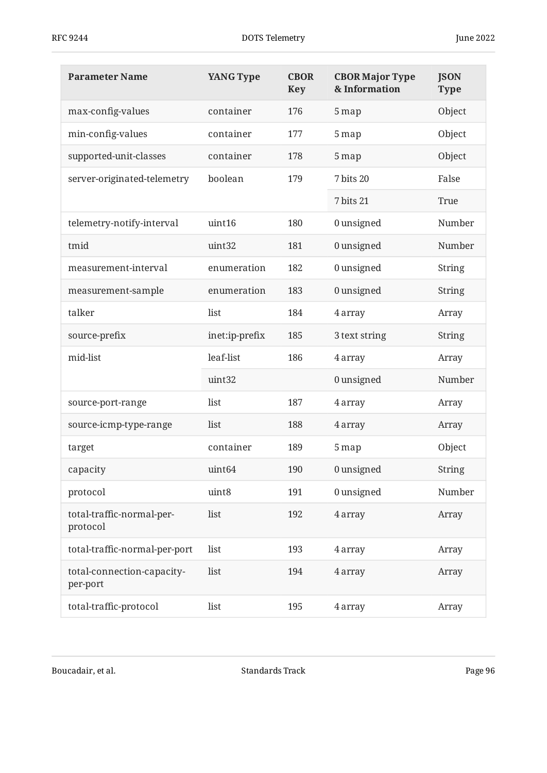| <b>Parameter Name</b>                  | <b>YANG Type</b>   | <b>CBOR</b><br><b>Key</b> | <b>CBOR Major Type</b><br>& Information | <b>JSON</b><br><b>Type</b> |
|----------------------------------------|--------------------|---------------------------|-----------------------------------------|----------------------------|
| max-config-values                      | container          | 176                       | 5 map                                   | Object                     |
| min-config-values                      | container          | 177                       | 5 map                                   | Object                     |
| supported-unit-classes                 | container          | 178                       | 5 map                                   | Object                     |
| server-originated-telemetry            | boolean            | 179                       | 7 bits 20                               | False                      |
|                                        |                    |                           | 7 bits 21                               | True                       |
| telemetry-notify-interval              | uint16             | 180                       | 0 unsigned                              | Number                     |
| tmid                                   | uint32             | 181                       | 0 unsigned                              | Number                     |
| measurement-interval                   | enumeration        | 182                       | 0 unsigned                              | String                     |
| measurement-sample                     | enumeration        | 183                       | 0 unsigned                              | <b>String</b>              |
| talker                                 | list               | 184                       | 4 array                                 | Array                      |
| source-prefix                          | inet:ip-prefix     | 185                       | 3 text string                           | String                     |
| mid-list                               | leaf-list          | 186                       | 4 array                                 | Array                      |
|                                        | uint32             |                           | 0 unsigned                              | Number                     |
| source-port-range                      | list               | 187                       | 4 array                                 | Array                      |
| source-icmp-type-range                 | list               | 188                       | 4 array                                 | Array                      |
| target                                 | container          | 189                       | 5 map                                   | Object                     |
| capacity                               | uint <sub>64</sub> | 190                       | 0 unsigned                              | <b>String</b>              |
| protocol                               | uint8              | 191                       | 0 unsigned                              | Number                     |
| total-traffic-normal-per-<br>protocol  | list               | 192                       | 4 array                                 | Array                      |
| total-traffic-normal-per-port          | list               | 193                       | 4 array                                 | Array                      |
| total-connection-capacity-<br>per-port | list               | 194                       | 4 array                                 | Array                      |
| total-traffic-protocol                 | list               | 195                       | 4 array                                 | Array                      |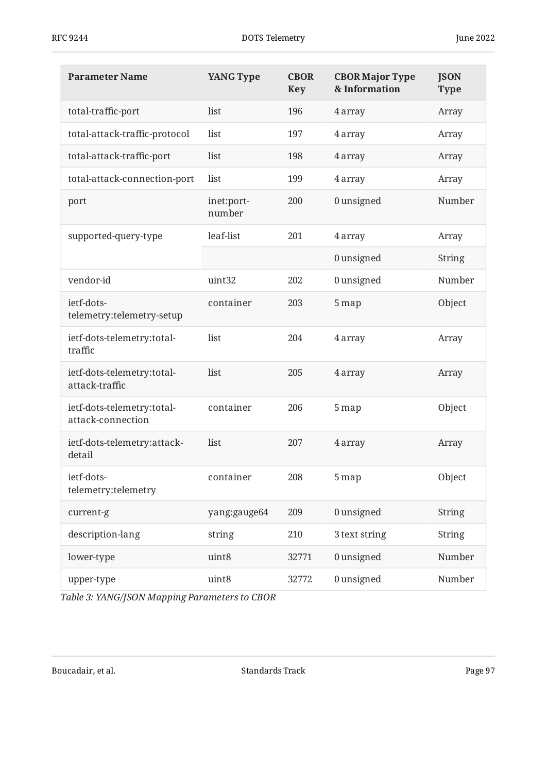| <b>Parameter Name</b>                           | <b>YANG Type</b>     | <b>CBOR</b><br><b>Key</b> | <b>CBOR Major Type</b><br>& Information | <b>JSON</b><br><b>Type</b> |
|-------------------------------------------------|----------------------|---------------------------|-----------------------------------------|----------------------------|
| total-traffic-port                              | list                 | 196                       | 4 array                                 | Array                      |
| total-attack-traffic-protocol                   | list                 | 197                       | 4 array                                 | Array                      |
| total-attack-traffic-port                       | list                 | 198                       | 4 array                                 | Array                      |
| total-attack-connection-port                    | list                 | 199                       | 4 array                                 | Array                      |
| port                                            | inet:port-<br>number | 200                       | 0 unsigned                              | Number                     |
| supported-query-type                            | leaf-list            | 201                       | 4 array                                 | Array                      |
|                                                 |                      |                           | 0 unsigned                              | <b>String</b>              |
| vendor-id                                       | uint32               | 202                       | 0 unsigned                              | Number                     |
| ietf-dots-<br>telemetry:telemetry-setup         | container            | 203                       | 5 map                                   | Object                     |
| ietf-dots-telemetry:total-<br>traffic           | list                 | 204                       | 4 array                                 | Array                      |
| ietf-dots-telemetry:total-<br>attack-traffic    | list                 | 205                       | 4 array                                 | Array                      |
| ietf-dots-telemetry:total-<br>attack-connection | container            | 206                       | 5 map                                   | Object                     |
| ietf-dots-telemetry:attack-<br>detail           | list                 | 207                       | 4 array                                 | Array                      |
| ietf-dots-<br>telemetry:telemetry               | container            | 208                       | 5 map                                   | Object                     |
| current-g                                       | yang:gauge64         | 209                       | 0 unsigned                              | <b>String</b>              |
| description-lang                                | string               | 210                       | 3 text string                           | <b>String</b>              |
| lower-type                                      | uint8                | 32771                     | 0 unsigned                              | Number                     |
| upper-type                                      | uint8                | 32772                     | 0 unsigned                              | Number                     |

*[Table 3: YANG/JSON Mapping Parameters to CBOR](#page-92-1)*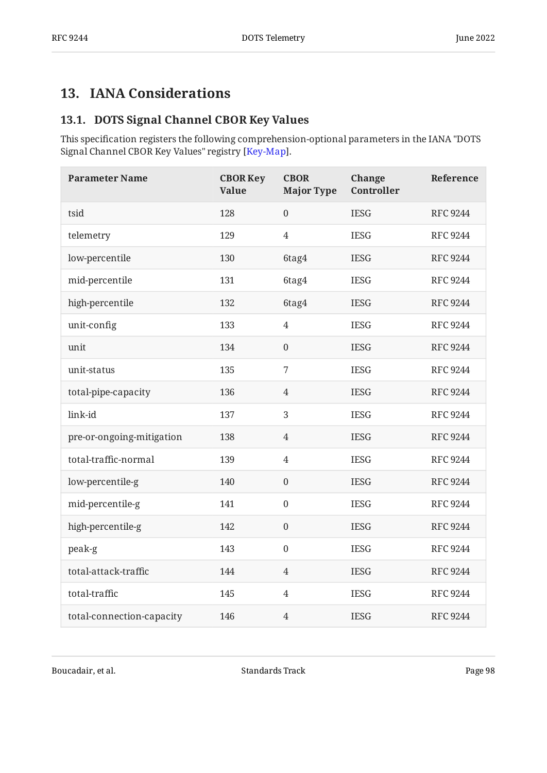## <span id="page-97-1"></span><span id="page-97-0"></span>**[13. IANA Considerations](#page-97-0)**

### **[13.1. DOTS Signal Channel CBOR Key Values](#page-97-1)**

This specification registers the following comprehension-optional parameters in the IANA "DOTS Signal Channel CBOR Key Values" registry [\[Key-Map](#page-105-0)].

<span id="page-97-2"></span>

| <b>Parameter Name</b>     | <b>CBOR Key</b><br><b>Value</b> | <b>CBOR</b><br><b>Major Type</b> | <b>Change</b><br>Controller | Reference       |
|---------------------------|---------------------------------|----------------------------------|-----------------------------|-----------------|
| tsid                      | 128                             | $\overline{0}$                   | <b>IESG</b>                 | <b>RFC 9244</b> |
| telemetry                 | 129                             | $\overline{4}$                   | <b>IESG</b>                 | <b>RFC 9244</b> |
| low-percentile            | 130                             | 6tag4                            | <b>IESG</b>                 | <b>RFC 9244</b> |
| mid-percentile            | 131                             | 6tag4                            | <b>IESG</b>                 | <b>RFC 9244</b> |
| high-percentile           | 132                             | 6tag4                            | <b>IESG</b>                 | <b>RFC 9244</b> |
| unit-config               | 133                             | $\overline{4}$                   | <b>IESG</b>                 | <b>RFC 9244</b> |
| unit                      | 134                             | $\boldsymbol{0}$                 | <b>IESG</b>                 | <b>RFC 9244</b> |
| unit-status               | 135                             | 7                                | <b>IESG</b>                 | <b>RFC 9244</b> |
| total-pipe-capacity       | 136                             | $\overline{4}$                   | <b>IESG</b>                 | <b>RFC 9244</b> |
| link-id                   | 137                             | 3                                | <b>IESG</b>                 | <b>RFC 9244</b> |
| pre-or-ongoing-mitigation | 138                             | $\overline{4}$                   | <b>IESG</b>                 | <b>RFC 9244</b> |
| total-traffic-normal      | 139                             | $\overline{4}$                   | <b>IESG</b>                 | <b>RFC 9244</b> |
| low-percentile-g          | 140                             | $\overline{0}$                   | <b>IESG</b>                 | <b>RFC 9244</b> |
| mid-percentile-g          | 141                             | $\boldsymbol{0}$                 | <b>IESG</b>                 | <b>RFC 9244</b> |
| high-percentile-g         | 142                             | $\boldsymbol{0}$                 | <b>IESG</b>                 | <b>RFC 9244</b> |
| peak-g                    | 143                             | $\boldsymbol{0}$                 | <b>IESG</b>                 | <b>RFC 9244</b> |
| total-attack-traffic      | 144                             | $\overline{4}$                   | <b>IESG</b>                 | <b>RFC 9244</b> |
| total-traffic             | 145                             | $\overline{4}$                   | <b>IESG</b>                 | <b>RFC 9244</b> |
| total-connection-capacity | 146                             | $\overline{4}$                   | <b>IESG</b>                 | <b>RFC 9244</b> |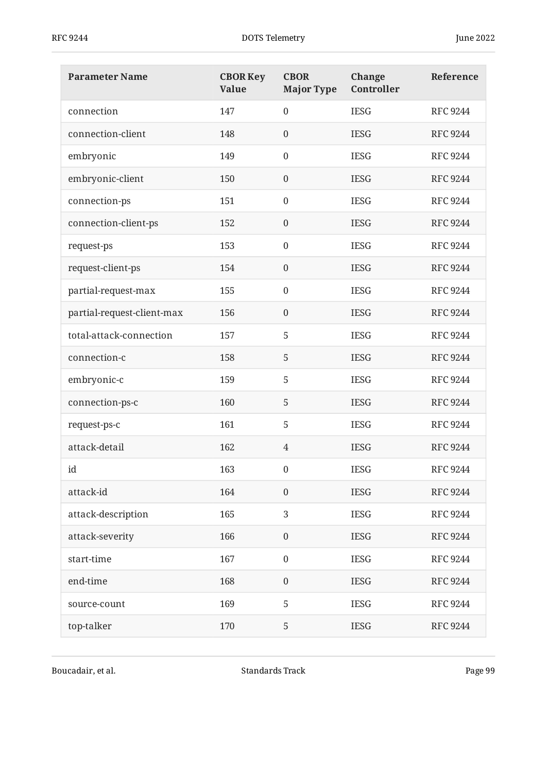| <b>Parameter Name</b>      | <b>CBOR Key</b><br><b>Value</b> | <b>CBOR</b><br><b>Major Type</b> | <b>Change</b><br>Controller | Reference       |
|----------------------------|---------------------------------|----------------------------------|-----------------------------|-----------------|
| connection                 | 147                             | $\overline{0}$                   | <b>IESG</b>                 | <b>RFC 9244</b> |
| connection-client          | 148                             | $\boldsymbol{0}$                 | <b>IESG</b>                 | <b>RFC 9244</b> |
| embryonic                  | 149                             | $\mathbf{0}$                     | <b>IESG</b>                 | <b>RFC 9244</b> |
| embryonic-client           | 150                             | $\boldsymbol{0}$                 | <b>IESG</b>                 | <b>RFC 9244</b> |
| connection-ps              | 151                             | $\boldsymbol{0}$                 | <b>IESG</b>                 | <b>RFC 9244</b> |
| connection-client-ps       | 152                             | $\boldsymbol{0}$                 | <b>IESG</b>                 | <b>RFC 9244</b> |
| request-ps                 | 153                             | $\boldsymbol{0}$                 | <b>IESG</b>                 | <b>RFC 9244</b> |
| request-client-ps          | 154                             | $\boldsymbol{0}$                 | <b>IESG</b>                 | <b>RFC 9244</b> |
| partial-request-max        | 155                             | $\boldsymbol{0}$                 | <b>IESG</b>                 | <b>RFC 9244</b> |
| partial-request-client-max | 156                             | $\boldsymbol{0}$                 | <b>IESG</b>                 | <b>RFC 9244</b> |
| total-attack-connection    | 157                             | 5                                | <b>IESG</b>                 | <b>RFC 9244</b> |
| connection-c               | 158                             | 5                                | <b>IESG</b>                 | <b>RFC 9244</b> |
| embryonic-c                | 159                             | 5                                | <b>IESG</b>                 | <b>RFC 9244</b> |
| connection-ps-c            | 160                             | 5                                | <b>IESG</b>                 | <b>RFC 9244</b> |
| request-ps-c               | 161                             | 5                                | <b>IESG</b>                 | <b>RFC 9244</b> |
| attack-detail              | 162                             | 4                                | <b>IESG</b>                 | <b>RFC 9244</b> |
| id                         | 163                             | $\boldsymbol{0}$                 | <b>IESG</b>                 | <b>RFC 9244</b> |
| attack-id                  | 164                             | $\boldsymbol{0}$                 | <b>IESG</b>                 | <b>RFC 9244</b> |
| attack-description         | 165                             | 3                                | <b>IESG</b>                 | <b>RFC 9244</b> |
| attack-severity            | 166                             | $\boldsymbol{0}$                 | <b>IESG</b>                 | <b>RFC 9244</b> |
| start-time                 | 167                             | $\boldsymbol{0}$                 | <b>IESG</b>                 | <b>RFC 9244</b> |
| end-time                   | 168                             | $\boldsymbol{0}$                 | <b>IESG</b>                 | <b>RFC 9244</b> |
| source-count               | 169                             | 5                                | <b>IESG</b>                 | <b>RFC 9244</b> |
| top-talker                 | 170                             | 5                                | <b>IESG</b>                 | <b>RFC 9244</b> |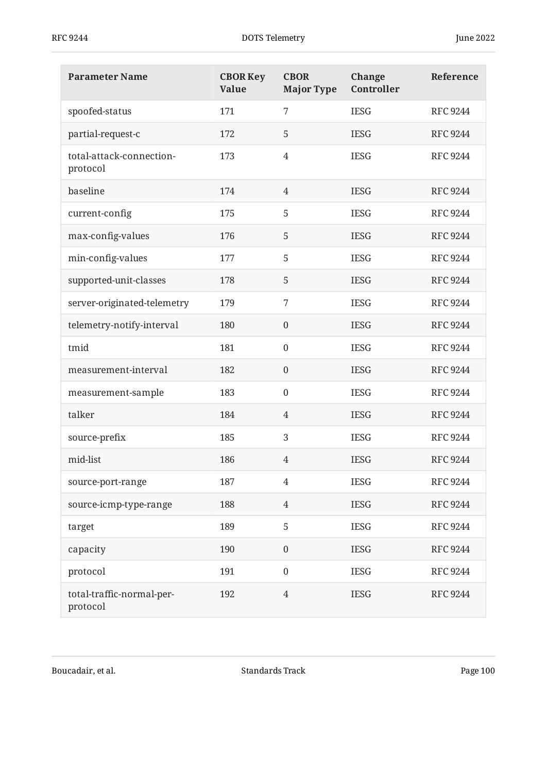| <b>Parameter Name</b>                 | <b>CBOR Key</b><br><b>Value</b> | <b>CBOR</b><br><b>Major Type</b> | <b>Change</b><br>Controller | Reference       |
|---------------------------------------|---------------------------------|----------------------------------|-----------------------------|-----------------|
| spoofed-status                        | 171                             | 7                                | <b>IESG</b>                 | <b>RFC 9244</b> |
| partial-request-c                     | 172                             | 5                                | <b>IESG</b>                 | <b>RFC 9244</b> |
| total-attack-connection-<br>protocol  | 173                             | $\overline{4}$                   | <b>IESG</b>                 | <b>RFC 9244</b> |
| baseline                              | 174                             | 4                                | <b>IESG</b>                 | <b>RFC 9244</b> |
| current-config                        | 175                             | 5                                | <b>IESG</b>                 | <b>RFC 9244</b> |
| max-config-values                     | 176                             | 5                                | <b>IESG</b>                 | <b>RFC 9244</b> |
| min-config-values                     | 177                             | 5                                | <b>IESG</b>                 | <b>RFC 9244</b> |
| supported-unit-classes                | 178                             | 5                                | <b>IESG</b>                 | <b>RFC 9244</b> |
| server-originated-telemetry           | 179                             | 7                                | <b>IESG</b>                 | <b>RFC 9244</b> |
| telemetry-notify-interval             | 180                             | $\boldsymbol{0}$                 | <b>IESG</b>                 | <b>RFC 9244</b> |
| tmid                                  | 181                             | $\mathbf{0}$                     | <b>IESG</b>                 | <b>RFC 9244</b> |
| measurement-interval                  | 182                             | $\boldsymbol{0}$                 | <b>IESG</b>                 | <b>RFC 9244</b> |
| measurement-sample                    | 183                             | $\boldsymbol{0}$                 | <b>IESG</b>                 | <b>RFC 9244</b> |
| talker                                | 184                             | $\overline{4}$                   | <b>IESG</b>                 | <b>RFC 9244</b> |
| source-prefix                         | 185                             | 3                                | <b>IESG</b>                 | <b>RFC 9244</b> |
| mid-list                              | 186                             | 4                                | <b>IESG</b>                 | <b>RFC 9244</b> |
| source-port-range                     | 187                             | $\overline{4}$                   | <b>IESG</b>                 | <b>RFC 9244</b> |
| source-icmp-type-range                | 188                             | $\overline{4}$                   | <b>IESG</b>                 | <b>RFC 9244</b> |
| target                                | 189                             | 5                                | <b>IESG</b>                 | <b>RFC 9244</b> |
| capacity                              | 190                             | $\boldsymbol{0}$                 | <b>IESG</b>                 | <b>RFC 9244</b> |
| protocol                              | 191                             | $\boldsymbol{0}$                 | <b>IESG</b>                 | <b>RFC 9244</b> |
| total-traffic-normal-per-<br>protocol | 192                             | $\overline{4}$                   | <b>IESG</b>                 | <b>RFC 9244</b> |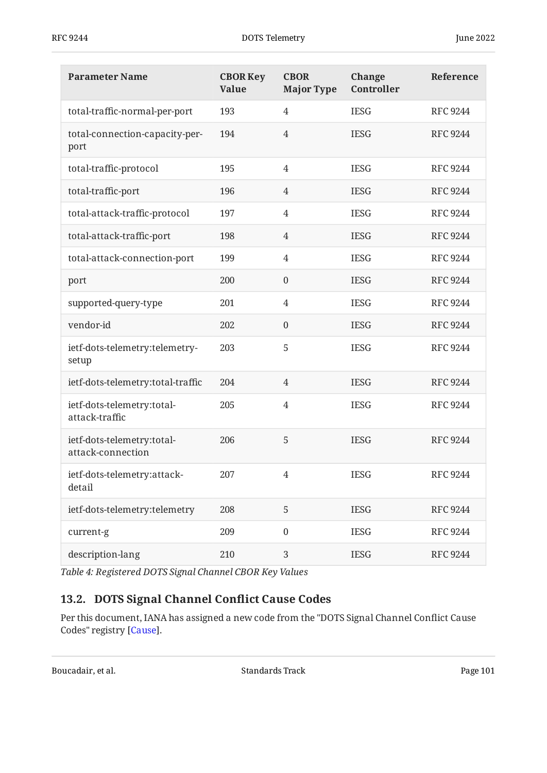| <b>Parameter Name</b>                           | <b>CBOR Key</b><br><b>Value</b> | <b>CBOR</b><br><b>Major Type</b> | Change<br>Controller | Reference       |
|-------------------------------------------------|---------------------------------|----------------------------------|----------------------|-----------------|
| total-traffic-normal-per-port                   | 193                             | $\overline{4}$                   | <b>IESG</b>          | <b>RFC 9244</b> |
| total-connection-capacity-per-<br>port          | 194                             | $\overline{4}$                   | <b>IESG</b>          | <b>RFC 9244</b> |
| total-traffic-protocol                          | 195                             | $\overline{4}$                   | <b>IESG</b>          | <b>RFC 9244</b> |
| total-traffic-port                              | 196                             | 4                                | <b>IESG</b>          | <b>RFC 9244</b> |
| total-attack-traffic-protocol                   | 197                             | 4                                | <b>IESG</b>          | <b>RFC 9244</b> |
| total-attack-traffic-port                       | 198                             | 4                                | <b>IESG</b>          | <b>RFC 9244</b> |
| total-attack-connection-port                    | 199                             | 4                                | <b>IESG</b>          | <b>RFC 9244</b> |
| port                                            | 200                             | $\boldsymbol{0}$                 | <b>IESG</b>          | <b>RFC 9244</b> |
| supported-query-type                            | 201                             | 4                                | <b>IESG</b>          | <b>RFC 9244</b> |
| vendor-id                                       | 202                             | $\boldsymbol{0}$                 | <b>IESG</b>          | <b>RFC 9244</b> |
| ietf-dots-telemetry:telemetry-<br>setup         | 203                             | 5                                | <b>IESG</b>          | <b>RFC 9244</b> |
| ietf-dots-telemetry:total-traffic               | 204                             | $\overline{4}$                   | <b>IESG</b>          | <b>RFC 9244</b> |
| ietf-dots-telemetry:total-<br>attack-traffic    | 205                             | $\overline{4}$                   | <b>IESG</b>          | <b>RFC 9244</b> |
| ietf-dots-telemetry:total-<br>attack-connection | 206                             | 5                                | <b>IESG</b>          | <b>RFC 9244</b> |
| ietf-dots-telemetry:attack-<br>detail           | 207                             |                                  | <b>IESG</b>          | <b>RFC 9244</b> |
| ietf-dots-telemetry:telemetry                   | 208                             | 5                                | <b>IESG</b>          | <b>RFC 9244</b> |
| current-g                                       | 209                             | $\boldsymbol{0}$                 | <b>IESG</b>          | <b>RFC 9244</b> |
| description-lang                                | 210                             | $\mathfrak{B}$                   | <b>IESG</b>          | <b>RFC 9244</b> |

<span id="page-100-0"></span>*[Table 4: Registered DOTS Signal Channel CBOR Key Values](#page-97-2)* 

# **[13.2. DOTS Signal Channel Con](#page-100-0)flict Cause Codes**

Per this document, IANA has assigned a new code from the "DOTS Signal Channel Conflict Cause Codes" registry [\[Cause](#page-104-0)].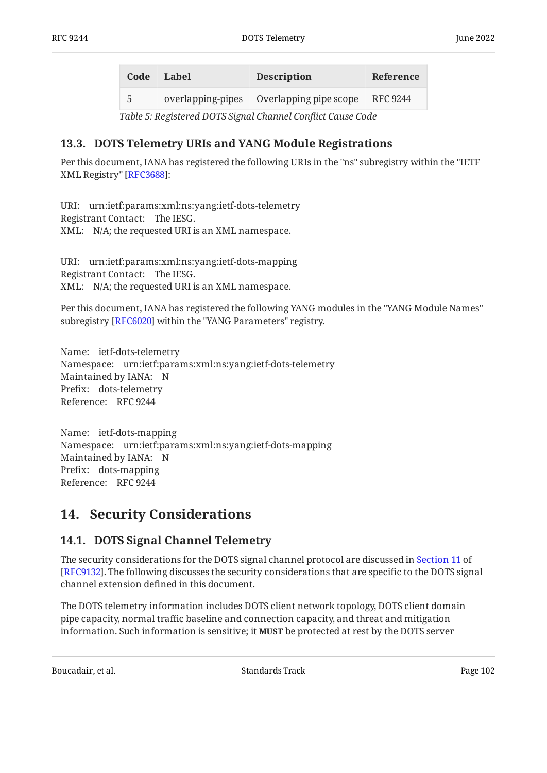<span id="page-101-1"></span><span id="page-101-0"></span>

| Code | Label | <b>Description</b>                       | Reference |
|------|-------|------------------------------------------|-----------|
| 5    |       | overlapping-pipes Overlapping pipe scope | RFC 9244  |

*[Table 5](#page-101-0): [Registered DOTS Signal Channel Con](#page-101-1)flict Cause Code* 

### <span id="page-101-2"></span>**[13.3. DOTS Telemetry URIs and YANG Module Registrations](#page-101-2)**

Per this document, IANA has registered the following URIs in the "ns" subregistry within the "IETF XML Registry" [\[RFC3688](#page-103-0)]:

URI: urn:ietf:params:xml:ns:yang:ietf-dots-telemetry Registrant Contact: The IESG. XML: N/A; the requested URI is an XML namespace.

URI: urn:ietf:params:xml:ns:yang:ietf-dots-mapping Registrant Contact: The IESG. XML: N/A; the requested URI is an XML namespace.

Per this document, IANA has registered the following YANG modules in the "YANG Module Names" subregistry [\[RFC6020\]](#page-103-1) within the "YANG Parameters" registry.

Name: ietf-dots-telemetry Namespace: urn:ietf:params:xml:ns:yang:ietf-dots-telemetry Maintained by IANA: N Prefix: dots-telemetry Reference: RFC 9244

Name: ietf-dots-mapping Namespace: urn:ietf:params:xml:ns:yang:ietf-dots-mapping Maintained by IANA: N Prefix: dots-mapping Reference: RFC 9244

## <span id="page-101-4"></span><span id="page-101-3"></span>**[14. Security Considerations](#page-101-3)**

### **[14.1. DOTS Signal Channel Telemetry](#page-101-4)**

The security considerations for the DOTS signal channel protocol are discussed in [Section 11](https://www.rfc-editor.org/rfc/rfc9132#section-11) of [[RFC9132\]](#page-104-1). The following discusses the security considerations that are specific to the DOTS signal channel extension defined in this document.

The DOTS telemetry information includes DOTS client network topology, DOTS client domain pipe capacity, normal traffic baseline and connection capacity, and threat and mitigation information. Such information is sensitive; it **MUST** be protected at rest by the DOTS server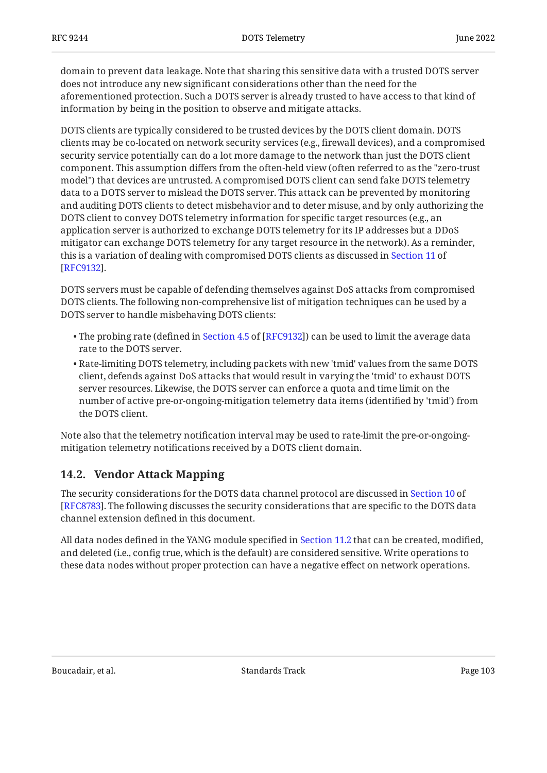domain to prevent data leakage. Note that sharing this sensitive data with a trusted DOTS server does not introduce any new significant considerations other than the need for the aforementioned protection. Such a DOTS server is already trusted to have access to that kind of information by being in the position to observe and mitigate attacks.

DOTS clients are typically considered to be trusted devices by the DOTS client domain. DOTS clients may be co-located on network security services (e.g., firewall devices), and a compromised security service potentially can do a lot more damage to the network than just the DOTS client component. This assumption differs from the often-held view (often referred to as the "zero-trust model") that devices are untrusted. A compromised DOTS client can send fake DOTS telemetry data to a DOTS server to mislead the DOTS server. This attack can be prevented by monitoring and auditing DOTS clients to detect misbehavior and to deter misuse, and by only authorizing the DOTS client to convey DOTS telemetry information for specific target resources (e.g., an application server is authorized to exchange DOTS telemetry for its IP addresses but a DDoS mitigator can exchange DOTS telemetry for any target resource in the network). As a reminder, this is a variation of dealing with compromised DOTS clients as discussed in [Section 11](https://www.rfc-editor.org/rfc/rfc9132#section-11) of . [[RFC9132\]](#page-104-1)

DOTS servers must be capable of defending themselves against DoS attacks from compromised DOTS clients. The following non-comprehensive list of mitigation techniques can be used by a DOTS server to handle misbehaving DOTS clients:

- $\bullet$ The probing rate (defined in Section 4.5 of [RFC9132]) can be used to limit the average data rate to the DOTS server.
- $\bullet$  Rate-limiting DOTS telemetry, including packets with new 'tmid' values from the same DOTS client, defends against DoS attacks that would result in varying the 'tmid' to exhaust DOTS server resources. Likewise, the DOTS server can enforce a quota and time limit on the number of active pre-or-ongoing-mitigation telemetry data items (identified by 'tmid') from the DOTS client.

Note also that the telemetry notification interval may be used to rate-limit the pre-or-ongoingmitigation telemetry notifications received by a DOTS client domain.

### <span id="page-102-0"></span>**[14.2. Vendor Attack Mapping](#page-102-0)**

The security considerations for the DOTS data channel protocol are discussed in [Section 10](https://www.rfc-editor.org/rfc/rfc8783#section-10) of . The following discusses the security considerations that are specific to the DOTS data [[RFC8783\]](#page-104-2) channel extension defined in this document.

All data nodes defined in the YANG module specified in [Section 11.2](#page-89-0) that can be created, modified, and deleted (i.e., config true, which is the default) are considered sensitive. Write operations to these data nodes without proper protection can have a negative effect on network operations.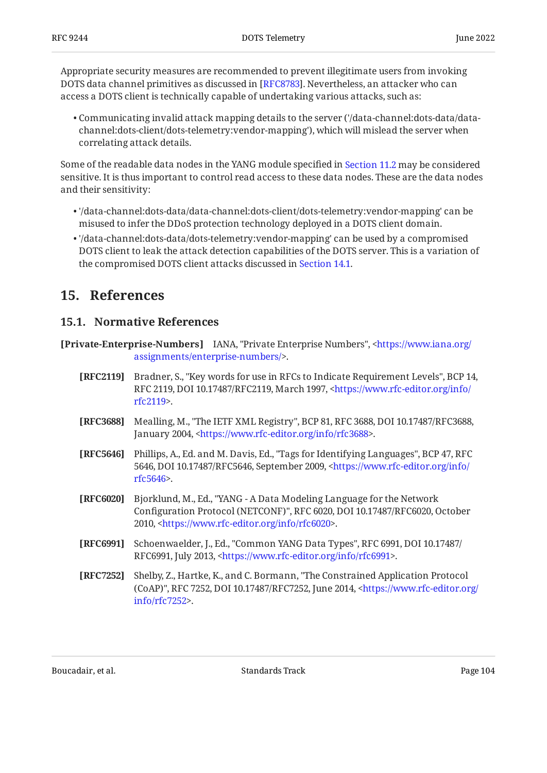Appropriate security measures are recommended to prevent illegitimate users from invoking DOTS data channel primitives as discussed in [\[RFC8783](#page-104-2)]. Nevertheless, an attacker who can access a DOTS client is technically capable of undertaking various attacks, such as:

Communicating invalid attack mapping details to the server ('/data-channel:dots-data/data-• channel:dots-client/dots-telemetry:vendor-mapping'), which will mislead the server when correlating attack details.

Some of the readable data nodes in the YANG module specified in [Section 11.2](#page-89-0) may be considered sensitive. It is thus important to control read access to these data nodes. These are the data nodes and their sensitivity:

- '/data-channel:dots-data/data-channel:dots-client/dots-telemetry:vendor-mapping' can be misused to infer the DDoS protection technology deployed in a DOTS client domain.
- '/data-channel:dots-data/dots-telemetry:vendor-mapping' can be used by a compromised DOTS client to leak the attack detection capabilities of the DOTS server. This is a variation of the compromised DOTS client attacks discussed in [Section 14.1.](#page-101-4)

## <span id="page-103-3"></span><span id="page-103-2"></span>**[15. References](#page-103-2)**

### **[15.1. Normative References](#page-103-3)**

**[Private-Enterprise-Numbers]** IANA, "Private Enterprise Numbers", [<https://www.iana.org/](https://www.iana.org/assignments/enterprise-numbers/) . [assignments/enterprise-numbers/](https://www.iana.org/assignments/enterprise-numbers/)>

- **[RFC2119]** Bradner, S., "Key words for use in RFCs to Indicate Requirement Levels", BCP 14, RFC 2119, DOI 10.17487/RFC2119, March 1997, [<https://www.rfc-editor.org/info/](https://www.rfc-editor.org/info/rfc2119) . [rfc2119](https://www.rfc-editor.org/info/rfc2119)>
- <span id="page-103-0"></span>**[RFC3688]** Mealling, M., "The IETF XML Registry", BCP 81, RFC 3688, DOI 10.17487/RFC3688, January 2004, <https://www.rfc-editor.org/info/rfc3688>.
- **[RFC5646]** Phillips, A., Ed. and M. Davis, Ed., "Tags for Identifying Languages", BCP 47, RFC 5646, DOI 10.17487/RFC5646, September 2009, [<https://www.rfc-editor.org/info/](https://www.rfc-editor.org/info/rfc5646) . [rfc5646](https://www.rfc-editor.org/info/rfc5646)>
- <span id="page-103-1"></span>**[RFC6020]** , Bjorklund, M., Ed. "YANG - A Data Modeling Language for the Network Configuration Protocol (NETCONF)", RFC 6020, DOI 10.17487/RFC6020, October 2010, <https://www.rfc-editor.org/info/rfc6020>.
- **[RFC6991]** Schoenwaelder, J., Ed., "Common YANG Data Types", RFC 6991, DOI 10.17487/ RFC6991, July 2013, <https://www.rfc-editor.org/info/rfc6991>.
- **[RFC7252]** Shelby, Z., Hartke, K., and C. Bormann, "The Constrained Application Protocol (CoAP)", RFC 7252, DOI 10.17487/RFC7252, June 2014, [<https://www.rfc-editor.org/](https://www.rfc-editor.org/info/rfc7252) . [info/rfc7252>](https://www.rfc-editor.org/info/rfc7252)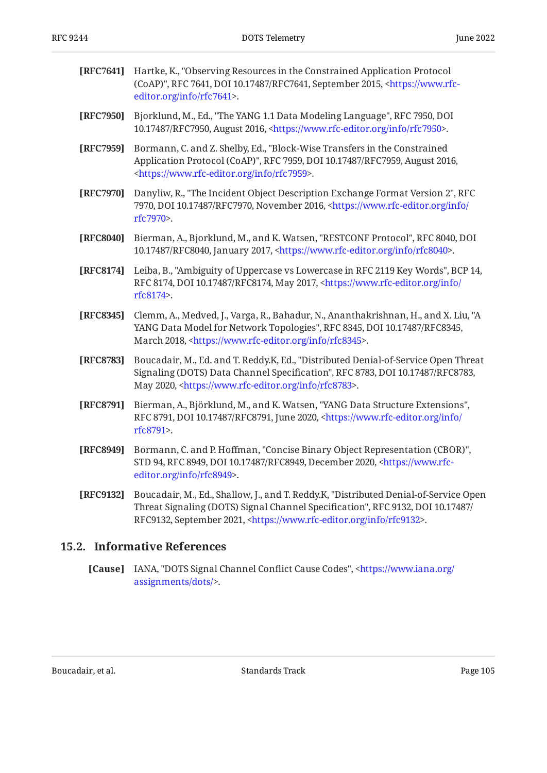| [RFC7641] | Hartke, K., "Observing Resources in the Constrained Application Protocol<br>(CoAP)", RFC 7641, DOI 10.17487/RFC7641, September 2015, <https: www.rfc-<br="">editor.org/info/rfc7641&gt;.</https:>                                            |
|-----------|----------------------------------------------------------------------------------------------------------------------------------------------------------------------------------------------------------------------------------------------|
| [RFC7950] | Bjorklund, M., Ed., "The YANG 1.1 Data Modeling Language", RFC 7950, DOI<br>10.17487/RFC7950, August 2016, <https: info="" rfc7950="" www.rfc-editor.org="">.</https:>                                                                       |
| [RFC7959] | Bormann, C. and Z. Shelby, Ed., "Block-Wise Transfers in the Constrained<br>Application Protocol (CoAP)", RFC 7959, DOI 10.17487/RFC7959, August 2016,<br><https: info="" rfc7959="" www.rfc-editor.org="">.</https:>                        |
| [RFC7970] | Danyliw, R., "The Incident Object Description Exchange Format Version 2", RFC<br>7970, DOI 10.17487/RFC7970, November 2016, <https: <br="" info="" www.rfc-editor.org="">rfc7970&gt;.</https:>                                               |
| [RFC8040] | Bierman, A., Bjorklund, M., and K. Watsen, "RESTCONF Protocol", RFC 8040, DOI<br>10.17487/RFC8040, January 2017, <https: info="" rfc8040="" www.rfc-editor.org="">.</https:>                                                                 |
| [RFC8174] | Leiba, B., "Ambiguity of Uppercase vs Lowercase in RFC 2119 Key Words", BCP 14,<br>RFC 8174, DOI 10.17487/RFC8174, May 2017, <https: <br="" info="" www.rfc-editor.org="">rfc8174&gt;.</https:>                                              |
| [RFC8345] | Clemm, A., Medved, J., Varga, R., Bahadur, N., Ananthakrishnan, H., and X. Liu, "A<br>YANG Data Model for Network Topologies", RFC 8345, DOI 10.17487/RFC8345,<br>March 2018, <https: info="" rfc8345="" www.rfc-editor.org="">.</https:>    |
| [RFC8783] | Boucadair, M., Ed. and T. Reddy.K, Ed., "Distributed Denial-of-Service Open Threat<br>Signaling (DOTS) Data Channel Specification", RFC 8783, DOI 10.17487/RFC8783,<br>May 2020, <https: info="" rfc8783="" www.rfc-editor.org="">.</https:> |
| [RFC8791] | Bierman, A., Björklund, M., and K. Watsen, "YANG Data Structure Extensions",<br>RFC 8791, DOI 10.17487/RFC8791, June 2020, <https: <br="" info="" www.rfc-editor.org="">rfc8791&gt;.</https:>                                                |
| [RFC8949] | Bormann, C. and P. Hoffman, "Concise Binary Object Representation (CBOR)",<br>STD 94, RFC 8949, DOI 10.17487/RFC8949, December 2020, <https: www.rfc-<br="">editor.org/info/rfc8949&gt;.</https:>                                            |

<span id="page-104-2"></span><span id="page-104-1"></span>**[RFC9132]** Boucadair, M., Ed., Shallow, J., and T. Reddy.K, "Distributed Denial-of-Service Open Threat Signaling (DOTS) Signal Channel Specification", RFC 9132, DOI 10.17487/ RFC9132, September 2021, <https://www.rfc-editor.org/info/rfc9132>.

### <span id="page-104-3"></span><span id="page-104-0"></span>**[15.2. Informative References](#page-104-3)**

**[Cause]** IANA, "DOTS Signal Channel Conflict Cause Codes", [<https://www.iana.org/](https://www.iana.org/assignments/dots/) . [assignments/dots/](https://www.iana.org/assignments/dots/)>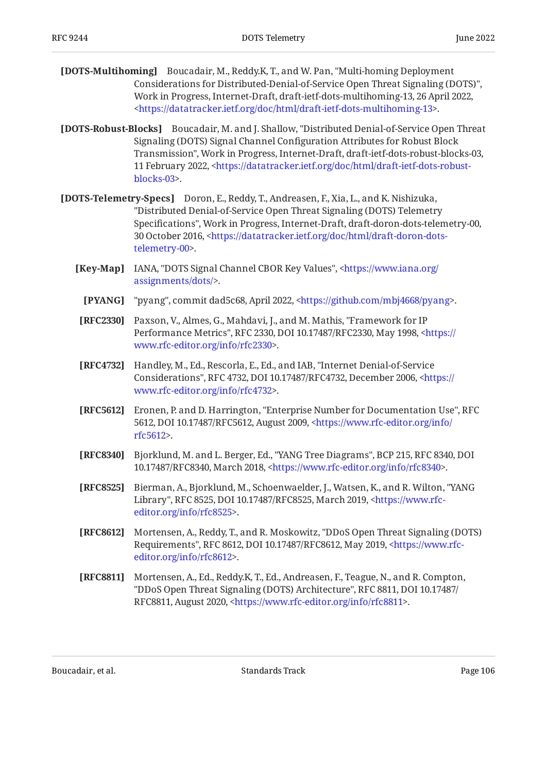- **[DOTS-Multihoming]** Boucadair, M., Reddy.K, T., and W. Pan, "Multi-homing Deployment , Considerations for Distributed-Denial-of-Service Open Threat Signaling (DOTS)" Work in Progress, Internet-Draft, draft-ietf-dots-multihoming-13, 26 April 2022, . [<https://datatracker.ietf.org/doc/html/draft-ietf-dots-multihoming-13>](https://datatracker.ietf.org/doc/html/draft-ietf-dots-multihoming-13)
- **[DOTS-Robust-Blocks]** Boucadair, M. and J. Shallow, "Distributed Denial-of-Service Open Threat Transmission", Work in Progress, Internet-Draft, draft-ietf-dots-robust-blocks-03, 11 February 2022, [<https://datatracker.ietf.org/doc/html/draft-ietf-dots-robust-](https://datatracker.ietf.org/doc/html/draft-ietf-dots-robust-blocks-03). [blocks-03](https://datatracker.ietf.org/doc/html/draft-ietf-dots-robust-blocks-03)> Signaling (DOTS) Signal Channel Configuration Attributes for Robust Block
- <span id="page-105-1"></span><span id="page-105-0"></span>**[DOTS-Telemetry-Specs]** Doron, E., Reddy, T., Andreasen, F., Xia, L., and K. Nishizuka, Specifications", Work in Progress, Internet-Draft, draft-doron-dots-telemetry-00, 30 October 2016, [<https://datatracker.ietf.org/doc/html/draft-doron-dots-](https://datatracker.ietf.org/doc/html/draft-doron-dots-telemetry-00). [telemetry-00>](https://datatracker.ietf.org/doc/html/draft-doron-dots-telemetry-00) "Distributed Denial-of-Service Open Threat Signaling (DOTS) Telemetry
	- **[Key-Map]** IANA, "DOTS Signal Channel CBOR Key Values", [<https://www.iana.org/](https://www.iana.org/assignments/dots/) . [assignments/dots/](https://www.iana.org/assignments/dots/)>
	- **[PYANG]** "pyang", commit dad5c68, April 2022, <https://github.com/mbj4668/pyang>.
	- **[RFC2330]** Paxson, V., Almes, G., Mahdavi, J., and M. Mathis, "Framework for IP Performance Metrics", RFC 2330, DOI 10.17487/RFC2330, May 1998, [<https://](https://www.rfc-editor.org/info/rfc2330) . [www.rfc-editor.org/info/rfc2330>](https://www.rfc-editor.org/info/rfc2330)
	- **[RFC4732]** Handley, M., Ed., Rescorla, E., Ed., and IAB, "Internet Denial-of-Service Considerations", RFC 4732, DOI 10.17487/RFC4732, December 2006, <[https://](https://www.rfc-editor.org/info/rfc4732) . [www.rfc-editor.org/info/rfc4732>](https://www.rfc-editor.org/info/rfc4732)
	- **[RFC5612]** Eronen, P. and D. Harrington, "Enterprise Number for Documentation Use", RFC 5612, DOI 10.17487/RFC5612, August 2009, [<https://www.rfc-editor.org/info/](https://www.rfc-editor.org/info/rfc5612) . [rfc5612](https://www.rfc-editor.org/info/rfc5612)>
	- **[RFC8340]** Bjorklund, M. and L. Berger, Ed., "YANG Tree Diagrams", BCP 215, RFC 8340, DOI 10.17487/RFC8340, March 2018, <[https://www.rfc-editor.org/info/rfc8340>](https://www.rfc-editor.org/info/rfc8340).
	- **[RFC8525]** Bierman, A., Bjorklund, M., Schoenwaelder, J., Watsen, K., and R. Wilton, "YANG Library", RFC 8525, DOI 10.17487/RFC8525, March 2019, [<https://www.rfc-](https://www.rfc-editor.org/info/rfc8525). [editor.org/info/rfc8525](https://www.rfc-editor.org/info/rfc8525)>
	- **[RFC8612]** Mortensen, A., Reddy, T., and R. Moskowitz, "DDoS Open Threat Signaling (DOTS) Requirements", RFC 8612, DOI 10.17487/RFC8612, May 2019, <[https://www.rfc-](https://www.rfc-editor.org/info/rfc8612). [editor.org/info/rfc8612](https://www.rfc-editor.org/info/rfc8612)>
	- **[RFC8811]** Mortensen, A., Ed., Reddy.K, T., Ed., Andreasen, F., Teague, N., and R. Compton, "DDoS Open Threat Signaling (DOTS) Architecture", RFC 8811, DOI 10.17487/ RFC8811, August 2020, [<https://www.rfc-editor.org/info/rfc8811](https://www.rfc-editor.org/info/rfc8811)>.

Boucadair, et al. The contract of the Standards Track Page 106 Page 106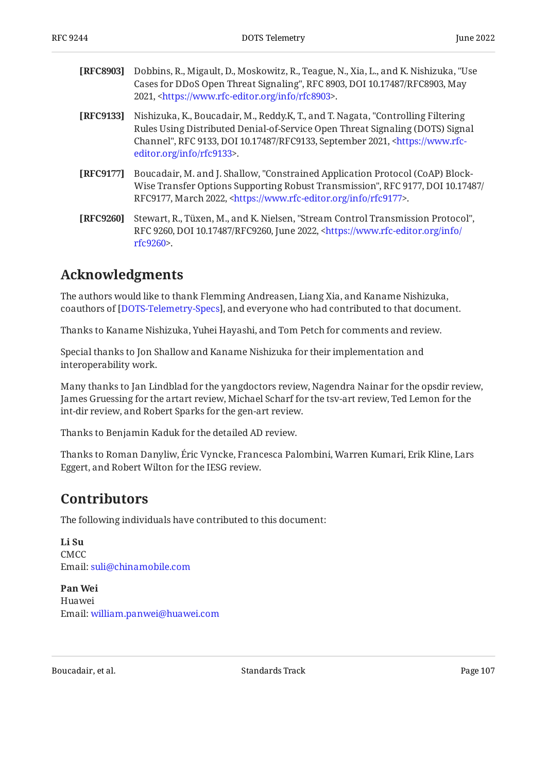| [RFC8903] | Dobbins, R., Migault, D., Moskowitz, R., Teague, N., Xia, L., and K. Nishizuka, "Use<br>Cases for DDoS Open Threat Signaling", RFC 8903, DOI 10.17487/RFC8903, May<br>2021, <https: info="" rfc8903="" www.rfc-editor.org="">.</https:>                                                     |
|-----------|---------------------------------------------------------------------------------------------------------------------------------------------------------------------------------------------------------------------------------------------------------------------------------------------|
| [RFC9133] | Nishizuka, K., Boucadair, M., Reddy.K, T., and T. Nagata, "Controlling Filtering<br>Rules Using Distributed Denial-of-Service Open Threat Signaling (DOTS) Signal<br>Channel", RFC 9133, DOI 10.17487/RFC9133, September 2021, <https: www.rfc-<br="">editor.org/info/rfc9133&gt;.</https:> |
| [RFC9177] | Boucadair, M. and J. Shallow, "Constrained Application Protocol (CoAP) Block-<br>Wise Transfer Options Supporting Robust Transmission", RFC 9177, DOI 10.17487/<br>RFC9177, March 2022, <https: info="" rfc9177="" www.rfc-editor.org="">.</https:>                                         |

**[RFC9260]** Stewart, R., Tüxen, M., and K. Nielsen, "Stream Control Transmission Protocol", RFC 9260, DOI 10.17487/RFC9260, June 2022, [<https://www.rfc-editor.org/info/](https://www.rfc-editor.org/info/rfc9260) . [rfc9260](https://www.rfc-editor.org/info/rfc9260)>

## <span id="page-106-0"></span>**[Acknowledgments](#page-106-0)**

The authors would like to thank Flemming Andreasen, Liang Xia, and Kaname Nishizuka, coauthors of [[DOTS-Telemetry-Specs](#page-105-1)], and everyone who had contributed to that document.

Thanks to Kaname Nishizuka, Yuhei Hayashi, and Tom Petch for comments and review.

Special thanks to Jon Shallow and Kaname Nishizuka for their implementation and interoperability work.

Many thanks to Jan Lindblad for the yangdoctors review, Nagendra Nainar for the opsdir review, James Gruessing for the artart review, Michael Scharf for the tsv-art review, Ted Lemon for the int-dir review, and Robert Sparks for the gen-art review.

Thanks to Benjamin Kaduk for the detailed AD review.

<span id="page-106-1"></span>Thanks to Roman Danyliw, Eric Vyncke, Francesca Palombini, Warren Kumari, Erik Kline, Lars Eggert, and Robert Wilton for the IESG review.

## **[Contributors](#page-106-1)**

The following individuals have contributed to this document:

**Li Su** CMCC Email: [suli@chinamobile.com](mailto:suli@chinamobile.com)

**Pan Wei** Huawei Email: [william.panwei@huawei.com](mailto:william.panwei@huawei.com)